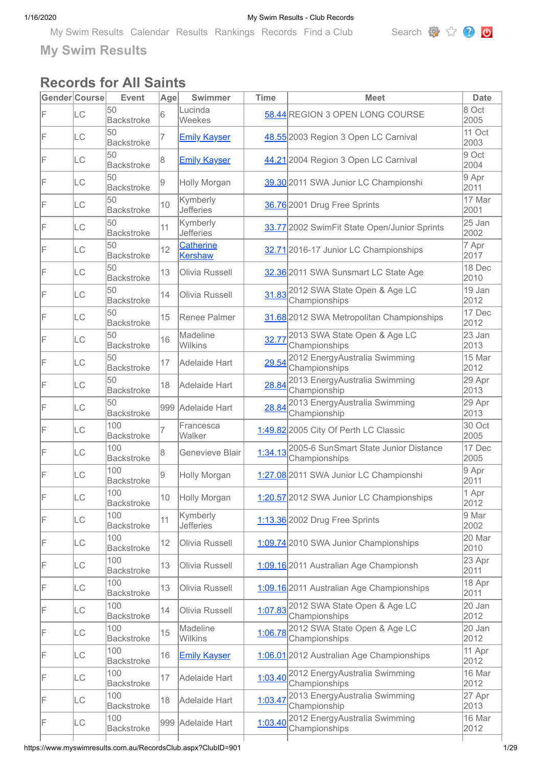[My Swim Results](https://www.myswimresults.com.au/) [Calendar](https://www.myswimresults.com.au/Calendar.aspx) [Results](https://www.myswimresults.com.au/Results.aspx) [Rankings](https://www.myswimresults.com.au/Ranking.aspx) [Records](https://www.myswimresults.com.au/Records.aspx) [Find a Club](https://www.myswimresults.com.au/FindClub.aspx) Search  $\mathbb{R}$   $\mathbb{C}$ 



**My Swim Results**

# **Records for All Saints**

|    | Gender Course | <b>Event</b>             | Age | <b>Swimmer</b>               | <b>Time</b> | <b>Meet</b>                                            | <b>Date</b>    |
|----|---------------|--------------------------|-----|------------------------------|-------------|--------------------------------------------------------|----------------|
| F  | LC            | 50<br><b>Backstroke</b>  | 6   | Lucinda<br>Weekes            |             | 58.44 REGION 3 OPEN LONG COURSE                        | 8 Oct<br>2005  |
| F  | LC            | 50<br><b>Backstroke</b>  | 7   | <b>Emily Kayser</b>          |             | 48.55 2003 Region 3 Open LC Carnival                   | 11 Oct<br>2003 |
| F  | <b>LC</b>     | 50<br><b>Backstroke</b>  | 8   | <b>Emily Kayser</b>          |             | 44.21 2004 Region 3 Open LC Carnival                   | 9 Oct<br>2004  |
| F  | LC            | 50<br><b>Backstroke</b>  | 9   | Holly Morgan                 |             | 39.30 2011 SWA Junior LC Championshi                   | 9 Apr<br>2011  |
| F  | LC            | 50<br><b>Backstroke</b>  | 10  | Kymberly<br><b>Jefferies</b> |             | 36.76 2001 Drug Free Sprints                           | 17 Mar<br>2001 |
| F  | <b>LC</b>     | 50<br><b>Backstroke</b>  | 11  | Kymberly<br><b>Jefferies</b> |             | 33.77 2002 SwimFit State Open/Junior Sprints           | 25 Jan<br>2002 |
| F  | <b>LC</b>     | 50<br><b>Backstroke</b>  | 12  | Catherine<br><b>Kershaw</b>  |             | 32.71 2016-17 Junior LC Championships                  | 7 Apr<br>2017  |
| IF | LC            | 50<br><b>Backstroke</b>  | 13  | Olivia Russell               |             | 32.36 2011 SWA Sunsmart LC State Age                   | 18 Dec<br>2010 |
| F  | LC            | 50<br><b>Backstroke</b>  | 14  | Olivia Russell               | 31.83       | 2012 SWA State Open & Age LC<br>Championships          | 19 Jan<br>2012 |
| F  | LC            | 50<br><b>Backstroke</b>  | 15  | Renee Palmer                 |             | 31.68 2012 SWA Metropolitan Championships              | 17 Dec<br>2012 |
| F  | LC            | 50<br><b>Backstroke</b>  | 16  | Madeline<br>Wilkins          | 32.77       | 2013 SWA State Open & Age LC<br>Championships          | 23 Jan<br>2013 |
| F  | LC            | 50<br><b>Backstroke</b>  | 17  | Adelaide Hart                | 29.54       | 2012 EnergyAustralia Swimming<br>Championships         | 15 Mar<br>2012 |
| F  | LC            | 50<br><b>Backstroke</b>  | 18  | Adelaide Hart                | 28.84       | 2013 EnergyAustralia Swimming<br>Championship          | 29 Apr<br>2013 |
| F  | <b>LC</b>     | 50<br><b>Backstroke</b>  |     | 999 Adelaide Hart            | 28.84       | 2013 EnergyAustralia Swimming<br>Championship          | 29 Apr<br>2013 |
| F  | LC            | 100<br><b>Backstroke</b> | 7   | Francesca<br>Walker          |             | 1:49.82 2005 City Of Perth LC Classic                  | 30 Oct<br>2005 |
| F  | LC            | 100<br><b>Backstroke</b> | 8   | Genevieve Blair              | 1:34.13     | 2005-6 SunSmart State Junior Distance<br>Championships | 17 Dec<br>2005 |
| F  | LC            | 100<br><b>Backstroke</b> | 9   | Holly Morgan                 |             | 1:27.08 2011 SWA Junior LC Championshi                 | 9 Apr<br>2011  |
| F  | LС            | 100<br>Backstroke        | 10  | Holly Morgan                 |             | 1:20.57 2012 SWA Junior LC Championships               | 1 Apr<br>2012  |
| F  | <b>LC</b>     | 100<br><b>Backstroke</b> | 11  | Kymberly<br><b>Jefferies</b> |             | 1:13.36 2002 Drug Free Sprints                         | 9 Mar<br>2002  |
| F  | LC            | 100<br><b>Backstroke</b> | 12  | Olivia Russell               |             | 1:09.74 2010 SWA Junior Championships                  | 20 Mar<br>2010 |
| F  | LC            | 100<br><b>Backstroke</b> | 13  | Olivia Russell               |             | 1:09.16 2011 Australian Age Championsh                 | 23 Apr<br>2011 |
| F  | LC            | 100<br><b>Backstroke</b> | 13  | Olivia Russell               |             | 1:09.16 2011 Australian Age Championships              | 18 Apr<br>2011 |
| F  | LC            | 100<br><b>Backstroke</b> | 14  | Olivia Russell               |             | 1:07.83 2012 SWA State Open & Age LC<br>Championships  | 20 Jan<br>2012 |
| F  | LC            | 100<br><b>Backstroke</b> | 15  | Madeline<br>Wilkins          | 1:06.78     | 2012 SWA State Open & Age LC<br>Championships          | 20 Jan<br>2012 |
| F  | LC            | 100<br><b>Backstroke</b> | 16  | <b>Emily Kayser</b>          |             | 1:06.01 2012 Australian Age Championships              | 11 Apr<br>2012 |
| F  | <b>LC</b>     | 100<br><b>Backstroke</b> | 17  | Adelaide Hart                |             | 1:03.40 2012 EnergyAustralia Swimming<br>Championships | 16 Mar<br>2012 |
| F  | LC            | 100<br><b>Backstroke</b> | 18  | Adelaide Hart                | 1:03.47     | 2013 EnergyAustralia Swimming<br>Championship          | 27 Apr<br>2013 |
| F  | LC            | 100<br><b>Backstroke</b> |     | 999 Adelaide Hart            | 1:03.40     | 2012 EnergyAustralia Swimming<br>Championships         | 16 Mar<br>2012 |
|    |               |                          |     |                              |             |                                                        |                |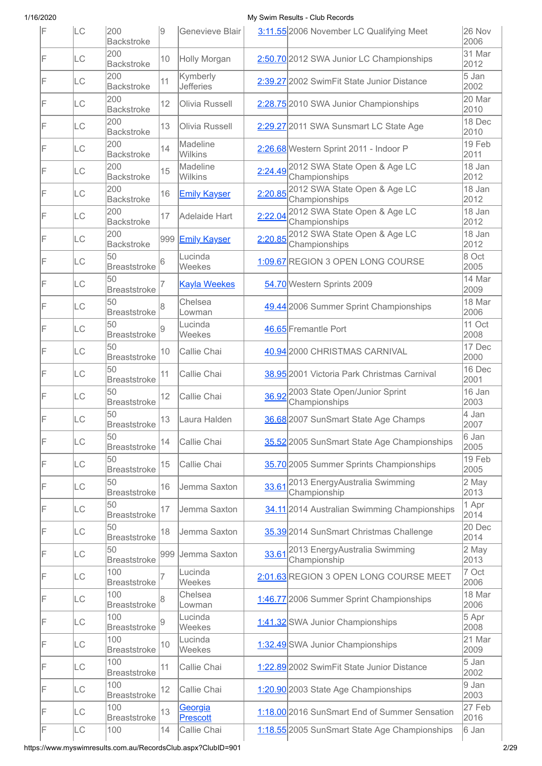| IF | <b>LC</b> | 200<br><b>Backstroke</b>   | 19  | Genevieve Blair              |         | 3:11.55 2006 November LC Qualifying Meet                        | 26 Nov<br>2006  |
|----|-----------|----------------------------|-----|------------------------------|---------|-----------------------------------------------------------------|-----------------|
| F  | LC        | 200<br><b>Backstroke</b>   | 10  | Holly Morgan                 |         | 2:50.70 2012 SWA Junior LC Championships                        | 31 Mar<br>2012  |
| IF | LC        | 200<br><b>Backstroke</b>   | 11  | Kymberly<br><b>Jefferies</b> |         | 2:39.27 2002 SwimFit State Junior Distance                      | 5 Jan<br>2002   |
| F  | <b>LC</b> | 200<br><b>Backstroke</b>   | 12  | Olivia Russell               |         | 2:28.75 2010 SWA Junior Championships                           | 20 Mar<br>2010  |
| IF | <b>LC</b> | 200<br><b>Backstroke</b>   | 13  | Olivia Russell               |         | 2:29.27 2011 SWA Sunsmart LC State Age                          | 18 Dec<br>2010  |
| IF | <b>LC</b> | 200<br><b>Backstroke</b>   | 14  | Madeline<br>Wilkins          |         | 2:26.68 Western Sprint 2011 - Indoor P                          | 19 Feb<br>2011  |
| IF | LC        | 200<br><b>Backstroke</b>   | 15  | Madeline<br>Wilkins          |         | 2:24.49 2012 SWA State Open & Age LC<br>Championships           | 18 Jan<br>2012  |
| F  | <b>LC</b> | 200<br><b>Backstroke</b>   | 16  | <b>Emily Kayser</b>          |         | 2:20.85 2012 SWA State Open & Age LC<br>Championships           | 18 Jan<br>2012  |
| IF | LC        | 200<br><b>Backstroke</b>   | 17  | Adelaide Hart                | 2:22.04 | 2012 SWA State Open & Age LC<br>Championships                   | 18 Jan<br>2012  |
| F  | LC        | 200<br><b>Backstroke</b>   |     | 999 Emily Kayser             | 2:20.85 | 2012 SWA State Open & Age LC<br>Championships                   | 18 Jan<br>2012  |
| IF | <b>LC</b> | 50<br><b>Breaststroke</b>  | 6   | Lucinda<br>Weekes            |         | 1:09.67 REGION 3 OPEN LONG COURSE                               | 8 Oct<br>2005   |
| F  | <b>LC</b> | 50<br><b>Breaststroke</b>  |     | <b>Kayla Weekes</b>          |         | 54.70 Western Sprints 2009                                      | 14 Mar<br>2009  |
| IF | <b>LC</b> | 50<br><b>Breaststroke</b>  | 8   | Chelsea<br>Lowman            |         | 49.44 2006 Summer Sprint Championships                          | 18 Mar<br>2006  |
| F  | <b>LC</b> | 50<br><b>Breaststroke</b>  | 9   | Lucinda<br>Weekes            |         | 46.65 Fremantle Port                                            | 11 Oct<br>2008  |
| IF | <b>LC</b> | 50<br><b>Breaststroke</b>  | 10  | Callie Chai                  |         | 40.94 2000 CHRISTMAS CARNIVAL                                   | 17 Dec<br>2000  |
| F  | <b>LC</b> | 50<br><b>Breaststroke</b>  | 11  | Callie Chai                  |         | 38.95 2001 Victoria Park Christmas Carnival                     | 16 Dec<br>2001  |
| F  | <b>LC</b> | 50<br><b>Breaststroke</b>  | 12  | Callie Chai                  |         | 36.92 2003 State Open/Junior Sprint<br>Championships            | 16 Jan<br>2003  |
| F  | LC        | 50<br><b>Breaststroke</b>  | 13  | Laura Halden                 |         | 36.68 2007 SunSmart State Age Champs                            | 4 Jan<br>2007   |
| F  | <b>LC</b> | 50<br><b>Breaststroke</b>  | 14  | Callie Chai                  |         | 35.52 2005 SunSmart State Age Championships                     | 6 Jan<br>2005   |
| F  | <b>LC</b> | 50<br><b>Breaststroke</b>  | 15  | Callie Chai                  |         | 35.70 2005 Summer Sprints Championships                         | 19 Feb<br>2005  |
| F  | LC        | 50<br><b>Breaststroke</b>  | 16  | Jemma Saxton                 | 33.61   | 2013 EnergyAustralia Swimming<br>Championship                   | 2 May<br>2013   |
| F  | <b>LC</b> | 50<br><b>Breaststroke</b>  | 17  | Jemma Saxton                 |         | 34.11 2014 Australian Swimming Championships                    | 1 Apr<br>2014   |
| F  | LC        | 50<br><b>Breaststroke</b>  | 18  | Jemma Saxton                 |         | 35.39 2014 SunSmart Christmas Challenge                         | 20 Dec<br>2014  |
| F  | <b>LC</b> | 50<br><b>Breaststroke</b>  | 999 | Jemma Saxton                 |         | 33.61 <sup>2013</sup> Energy Australia Swimming<br>Championship | 2 May<br>2013   |
| F  | LC        | 100<br><b>Breaststroke</b> | 7   | Lucinda<br>Weekes            |         | 2:01.63 REGION 3 OPEN LONG COURSE MEET                          | 7 Oct<br>2006   |
| F  | <b>LC</b> | 100<br><b>Breaststroke</b> | 8   | Chelsea<br>Lowman            |         | 1:46.77 2006 Summer Sprint Championships                        | 18 Mar<br>2006  |
| F  | <b>LC</b> | 100<br><b>Breaststroke</b> | 9   | Lucinda<br>Weekes            |         | 1:41.32 SWA Junior Championships                                | $5$ Apr<br>2008 |
| F  | <b>LC</b> | 100<br><b>Breaststroke</b> | 10  | Lucinda<br>Weekes            |         | 1:32.49 SWA Junior Championships                                | 21 Mar<br>2009  |
| F  | LC        | 100<br><b>Breaststroke</b> | 11  | Callie Chai                  |         | 1:22.89 2002 SwimFit State Junior Distance                      | 5 Jan<br>2002   |
| F  | LC        | 100<br><b>Breaststroke</b> | 12  | Callie Chai                  |         | 1:20.90 2003 State Age Championships                            | 9 Jan<br>2003   |
| F  | LC        | 100<br><b>Breaststroke</b> | 13  | <u>Georgia</u><br>Prescott   |         | 1:18.00 2016 SunSmart End of Summer Sensation                   | 27 Feb<br>2016  |
| F  | LC        | 100                        | 14  | Callie Chai                  |         | 1:18.55 2005 SunSmart State Age Championships                   | 6 Jan           |

https://www.myswimresults.com.au/RecordsClub.aspx?ClubID=901 2/29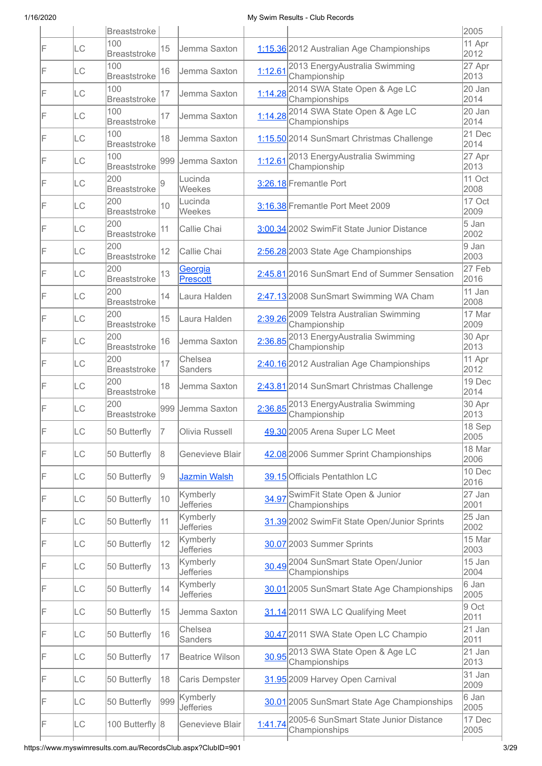|    |           | <b>Breaststroke</b>        |     |                                   |         |                                                                | 2005           |
|----|-----------|----------------------------|-----|-----------------------------------|---------|----------------------------------------------------------------|----------------|
| F  | LC        | 100<br><b>Breaststroke</b> | 15  | Jemma Saxton                      |         | 1:15.36 2012 Australian Age Championships                      | 11 Apr<br>2012 |
| IF | LC        | 100<br><b>Breaststroke</b> | 16  | Jemma Saxton                      |         | 1:12.61 2013 EnergyAustralia Swimming<br>Championship          | 27 Apr<br>2013 |
| IF | LC        | 100<br><b>Breaststroke</b> | 17  | Jemma Saxton                      |         | 1:14.28 2014 SWA State Open & Age LC<br>Championships          | 20 Jan<br>2014 |
| IF | LC        | 100<br><b>Breaststroke</b> | 17  | Jemma Saxton                      |         | 1:14.28 2014 SWA State Open & Age LC<br>Championships          | 20 Jan<br>2014 |
| IF | LC        | 100<br><b>Breaststroke</b> | 18  | Jemma Saxton                      |         | 1:15.50 2014 SunSmart Christmas Challenge                      | 21 Dec<br>2014 |
| IF | LC        | 100<br><b>Breaststroke</b> |     | 999 Jemma Saxton                  |         | 1:12.61 2013 Energy Australia Swimming<br>Championship         | 27 Apr<br>2013 |
| IF | LC        | 200<br><b>Breaststroke</b> |     | Lucinda<br>Weekes                 |         | 3:26.18 Fremantle Port                                         | 11 Oct<br>2008 |
| IF | LC        | 200<br><b>Breaststroke</b> | 10  | Lucinda<br>Weekes                 |         | 3:16.38 Fremantle Port Meet 2009                               | 17 Oct<br>2009 |
| IF | LC        | 200<br><b>Breaststroke</b> | 11  | Callie Chai                       |         | 3:00.34 2002 SwimFit State Junior Distance                     | 5 Jan<br>2002  |
| IF | LC        | 200<br><b>Breaststroke</b> | 12  | Callie Chai                       |         | 2:56.28 2003 State Age Championships                           | 9 Jan<br>2003  |
| IF | LC        | 200<br><b>Breaststroke</b> | 13  | <b>Georgia</b><br><b>Prescott</b> |         | 2:45.81 2016 SunSmart End of Summer Sensation                  | 27 Feb<br>2016 |
| IF | LC        | 200<br><b>Breaststroke</b> | 14  | Laura Halden                      |         | 2:47.13 2008 SunSmart Swimming WA Cham                         | 11 Jan<br>2008 |
| F  | LC        | 200<br><b>Breaststroke</b> | 15  | Laura Halden                      |         | 2:39.26 2009 Telstra Australian Swimming<br>Championship       | 17 Mar<br>2009 |
| F  | LC        | 200<br><b>Breaststroke</b> | 16  | Jemma Saxton                      | 2:36.85 | 2013 EnergyAustralia Swimming<br>Championship                  | 30 Apr<br>2013 |
| IF | LC        | 200<br><b>Breaststroke</b> | 17  | Chelsea<br><b>Sanders</b>         |         | 2:40.16 2012 Australian Age Championships                      | 11 Apr<br>2012 |
| F  | LC        | 200<br><b>Breaststroke</b> | 18  | Jemma Saxton                      |         | 2:43.81 2014 SunSmart Christmas Challenge                      | 19 Dec<br>2014 |
| IF | <b>LC</b> | 200<br><b>Breaststroke</b> |     | 999 Jemma Saxton                  |         | 2:36.85 2013 EnergyAustralia Swimming<br>Championship          | 30 Apr<br>2013 |
| IF | LC        | 50 Butterfly               | 7   | Olivia Russell                    |         | 49.30 2005 Arena Super LC Meet                                 | 18 Sep<br>2005 |
| F  | LC        | 50 Butterfly               | 8   | Genevieve Blair                   |         | 42.08 2006 Summer Sprint Championships                         | 18 Mar<br>2006 |
| F  | LC        | 50 Butterfly               | 9   | <b>Jazmin Walsh</b>               |         | 39.15 Officials Pentathlon LC                                  | 10 Dec<br>2016 |
| F  | LC        | 50 Butterfly               | 10  | Kymberly<br><b>Jefferies</b>      | 34.97   | SwimFit State Open & Junior<br>Championships                   | 27 Jan<br>2001 |
| F  | LC        | 50 Butterfly               | 11  | Kymberly<br><b>Jefferies</b>      |         | 31.39 2002 SwimFit State Open/Junior Sprints                   | 25 Jan<br>2002 |
| F  | LC        | 50 Butterfly               | 12  | Kymberly<br><b>Jefferies</b>      |         | 30.07 2003 Summer Sprints                                      | 15 Mar<br>2003 |
| F  | LC        | 50 Butterfly               | 13  | Kymberly<br><b>Jefferies</b>      |         | 30.49 2004 SunSmart State Open/Junior<br>Championships         | 15 Jan<br>2004 |
| F  | LC        | 50 Butterfly               | 14  | Kymberly<br><b>Jefferies</b>      |         | 30.01 2005 SunSmart State Age Championships                    | 6 Jan<br>2005  |
| F  | LC        | 50 Butterfly               | 15  | Jemma Saxton                      |         | 31.14 2011 SWA LC Qualifying Meet                              | 9 Oct<br>2011  |
| F  | LC        | 50 Butterfly               | 16  | Chelsea<br><b>Sanders</b>         |         | 30.47 2011 SWA State Open LC Champio                           | 21 Jan<br>2011 |
| F  | LC        | 50 Butterfly               | 17  | <b>Beatrice Wilson</b>            |         | 30.95 <sup>2013</sup> SWA State Open & Age LC<br>Championships | 21 Jan<br>2013 |
| F  | LC        | 50 Butterfly               | 18  | Caris Dempster                    |         | 31.95 2009 Harvey Open Carnival                                | 31 Jan<br>2009 |
| F  | LC        | 50 Butterfly               | 999 | Kymberly<br><b>Jefferies</b>      |         | 30.01 2005 SunSmart State Age Championships                    | 6 Jan<br>2005  |
| IF | LC        | 100 Butterfly 8            |     | Genevieve Blair                   | 1:41.74 | 2005-6 SunSmart State Junior Distance<br>Championships         | 17 Dec<br>2005 |
|    |           |                            |     |                                   |         |                                                                |                |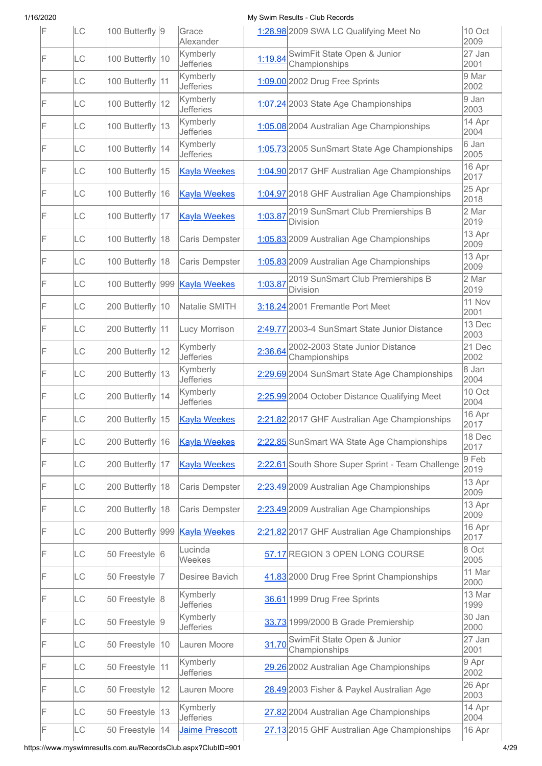| IF | LC        | 100 Butterfly 9   |              | Grace<br>Alexander             |         | 1:28.98 2009 SWA LC Qualifying Meet No                | 10 Oct<br>2009  |
|----|-----------|-------------------|--------------|--------------------------------|---------|-------------------------------------------------------|-----------------|
| F  | <b>LC</b> | 100 Butterfly 10  |              | Kymberly<br><b>Jefferies</b>   | 1:19.84 | SwimFit State Open & Junior<br>Championships          | 27 Jan<br>2001  |
| IF | <b>LC</b> | 100 Butterfly 11  |              | Kymberly<br><b>Jefferies</b>   |         | 1:09.00 2002 Drug Free Sprints                        | 9 Mar<br>2002   |
| F  | LC        | 100 Butterfly 12  |              | Kymberly<br><b>Jefferies</b>   |         | 1:07.24 2003 State Age Championships                  | 9 Jan<br>2003   |
| F  | LC        | 100 Butterfly 13  |              | Kymberly<br><b>Jefferies</b>   |         | 1:05.08 2004 Australian Age Championships             | 14 Apr<br>2004  |
| F  | LC        | 100 Butterfly 14  |              | Kymberly<br><b>Jefferies</b>   |         | 1:05.73 2005 SunSmart State Age Championships         | 6 Jan<br>2005   |
| IF | LC        | 100 Butterfly 15  |              | <b>Kayla Weekes</b>            |         | 1:04.90 2017 GHF Australian Age Championships         | 16 Apr<br>2017  |
| F  | <b>LC</b> | 100 Butterfly 16  |              | <b>Kayla Weekes</b>            |         | 1:04.97 2018 GHF Australian Age Championships         | 25 Apr<br>2018  |
| F  | <b>LC</b> | 100 Butterfly 17  |              | <b>Kayla Weekes</b>            | 1:03.87 | 2019 SunSmart Club Premierships B<br><b>Division</b>  | 2 Mar<br>2019   |
| IF | <b>LC</b> | 100 Butterfly 18  |              | Caris Dempster                 |         | 1:05.83 2009 Australian Age Championships             | 13 Apr<br>2009  |
| IF | LC        | 100 Butterfly 18  |              | Caris Dempster                 |         | 1:05.83 2009 Australian Age Championships             | 13 Apr<br>2009  |
| F  | <b>LC</b> | 100 Butterfly 999 |              | <b>Kayla Weekes</b>            |         | 1:03.87 2019 SunSmart Club Premierships B<br>Division | 2 Mar<br>2019   |
| F  | LC        | 200 Butterfly 10  |              | Natalie SMITH                  |         | 3:18.24 2001 Fremantle Port Meet                      | 11 Nov<br>2001  |
| F  | LC        | 200 Butterfly 11  |              | Lucy Morrison                  |         | 2:49.77 2003-4 SunSmart State Junior Distance         | 13 Dec<br>2003  |
| IF | LC        | 200 Butterfly 12  |              | Kymberly<br><b>Jefferies</b>   | 2:36.64 | 2002-2003 State Junior Distance<br>Championships      | 21 Dec<br>2002  |
| F  | LC        | 200 Butterfly 13  |              | Kymberly<br><b>Jefferies</b>   |         | 2:29.69 2004 SunSmart State Age Championships         | 8 Jan<br>2004   |
| F  | LC        | 200 Butterfly 14  |              | Kymberly<br><b>Jefferies</b>   |         | 2:25.99 2004 October Distance Qualifying Meet         | 10 Oct<br>2004  |
| F  | <b>LC</b> | 200 Butterfly 15  |              | <b>Kayla Weekes</b>            |         | 2:21.82 2017 GHF Australian Age Championships         | 16 Apr<br>2017  |
| F  | LC        | 200 Butterfly 16  |              | <b>Kayla Weekes</b>            |         | 2:22.85 SunSmart WA State Age Championships           | 18 Dec<br>2017  |
| F  | LC        | 200 Butterfly 17  |              | <b>Kayla Weekes</b>            |         | 2:22.61 South Shore Super Sprint - Team Challenge     | $9$ Feb<br>2019 |
| F  | LC        | 200 Butterfly 18  |              | Caris Dempster                 |         | 2:23.49 2009 Australian Age Championships             | 13 Apr<br>2009  |
| F  | <b>LC</b> | 200 Butterfly 18  |              | Caris Dempster                 |         | 2:23.49 2009 Australian Age Championships             | 13 Apr<br>2009  |
| F  | <b>LC</b> |                   |              | 200 Butterfly 999 Kayla Weekes |         | 2:21.82 2017 GHF Australian Age Championships         | 16 Apr<br>2017  |
| F  | <b>LC</b> | 50 Freestyle 6    |              | Lucinda<br>Weekes              |         | 57.17 REGION 3 OPEN LONG COURSE                       | 8 Oct<br>2005   |
| F  | <b>LC</b> | 50 Freestyle      | 17           | Desiree Bavich                 |         | 41.83 2000 Drug Free Sprint Championships             | 11 Mar<br>2000  |
| F  | <b>LC</b> | 50 Freestyle 8    |              | Kymberly<br><b>Jefferies</b>   |         | 36.61 1999 Drug Free Sprints                          | 13 Mar<br>1999  |
| F  | LC        | 50 Freestyle 9    |              | Kymberly<br><b>Jefferies</b>   |         | 33.73 1999/2000 B Grade Premiership                   | 30 Jan<br>2000  |
| F  | LC        | 50 Freestyle      | $ 10\rangle$ | Lauren Moore                   |         | 31.70 SwimFit State Open & Junior<br>Championships    | 27 Jan<br>2001  |
| F  | LC        | 50 Freestyle  11  |              | Kymberly<br><b>Jefferies</b>   |         | 29.26 2002 Australian Age Championships               | 9 Apr<br>2002   |
| F  | LC        | 50 Freestyle      | 12           | Lauren Moore                   |         | 28.49 2003 Fisher & Paykel Australian Age             | 26 Apr<br>2003  |
| F  | LC        | 50 Freestyle 13   |              | Kymberly<br><b>Jefferies</b>   |         | 27.82 2004 Australian Age Championships               | 14 Apr<br>2004  |
| F  | LC        | 50 Freestyle      | 14           | Jaime Prescott                 |         | 27.13 2015 GHF Australian Age Championships           | 16 Apr          |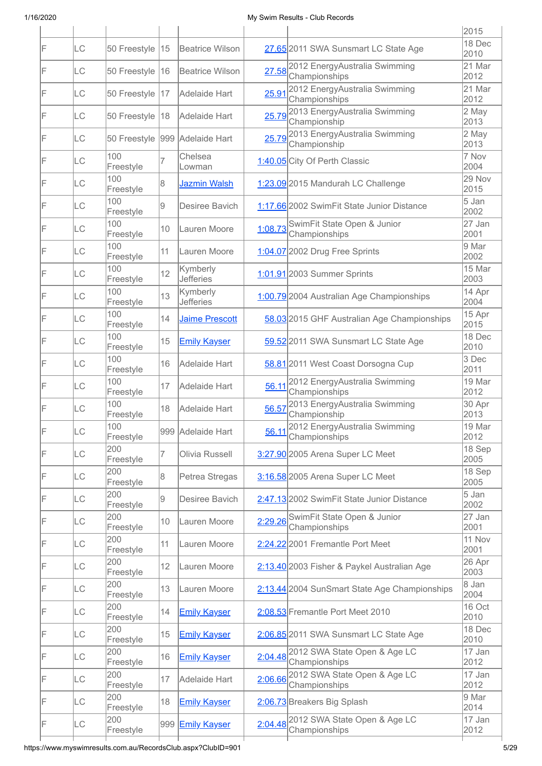|    |           |                  |     |                              |         |                                                       | 2015                        |
|----|-----------|------------------|-----|------------------------------|---------|-------------------------------------------------------|-----------------------------|
| IF | LC        | 50 Freestyle     | 15  | <b>Beatrice Wilson</b>       |         | 27.65 2011 SWA Sunsmart LC State Age                  | 18 Dec<br>2010              |
| F  | <b>LC</b> | 50 Freestyle     | 16  | <b>Beatrice Wilson</b>       |         | 27.58 2012 EnergyAustralia Swimming<br>Championships  | 21 Mar<br>2012              |
| F  | <b>LC</b> | 50 Freestyle     | 117 | Adelaide Hart                | 25.91   | 2012 EnergyAustralia Swimming<br>Championships        | 21 Mar<br>2012              |
| IF | LC        | 50 Freestyle     | 18  | Adelaide Hart                | 25.79   | 2013 EnergyAustralia Swimming<br>Championship         | 2 May<br>2013               |
| IF | LC        | 50 Freestyle     |     | 999 Adelaide Hart            |         | 25.79 2013 EnergyAustralia Swimming<br>Championship   | 2 May<br>2013               |
| F  | <b>LC</b> | 100<br>Freestyle |     | Chelsea<br>Lowman            |         | 1:40.05 City Of Perth Classic                         | 7 Nov<br>2004               |
| IF | LC        | 100<br>Freestyle | 8   | Jazmin Walsh                 |         | 1:23.09 2015 Mandurah LC Challenge                    | 29 Nov<br>2015              |
| IF | LC        | 100<br>Freestyle | 9   | Desiree Bavich               |         | 1:17.66 2002 SwimFit State Junior Distance            | 5 Jan<br>2002               |
| IF | LC        | 100<br>Freestyle | 10  | Lauren Moore                 | 1:08.73 | SwimFit State Open & Junior<br>Championships          | 27 Jan<br>2001              |
| IF | LC        | 100<br>Freestyle | 11  | Lauren Moore                 |         | 1:04.07 2002 Drug Free Sprints                        | 9 Mar<br>2002               |
| IF | LC        | 100<br>Freestyle | 12  | Kymberly<br><b>Jefferies</b> |         | 1:01.91 2003 Summer Sprints                           | 15 Mar<br>2003              |
| IF | LC        | 100<br>Freestyle | 13  | Kymberly<br><b>Jefferies</b> |         | 1:00.79 2004 Australian Age Championships             | 14 Apr<br>2004              |
| IF | LC        | 100<br>Freestyle | 14  | <b>Jaime Prescott</b>        |         | 58.03 2015 GHF Australian Age Championships           | 15 Apr<br>2015              |
| F  | <b>LC</b> | 100<br>Freestyle | 15  | <b>Emily Kayser</b>          |         | 59.52 2011 SWA Sunsmart LC State Age                  | 18 Dec<br>2010              |
| F  | LC        | 100<br>Freestyle | 16  | Adelaide Hart                |         | 58.81 2011 West Coast Dorsogna Cup                    | 3 Dec<br>2011               |
| IF | LC        | 100<br>Freestyle | 17  | Adelaide Hart                | 56.11   | 2012 EnergyAustralia Swimming<br>Championships        | 19 Mar<br>2012              |
| IF | <b>LC</b> | 100<br>Freestyle | 18  | Adelaide Hart                | 56.57   | 2013 EnergyAustralia Swimming<br>Championship         | 30 Apr<br>2013              |
| F  | LC        | 100<br>Freestyle |     | 999 Adelaide Hart            |         | 56.11 2012 EnergyAustralia Swimming<br>Championships  | 19 Mar<br>2012              |
| IF | LC        | 200<br>Freestyle | 7   | Olivia Russell               |         | 3:27.90 2005 Arena Super LC Meet                      | 18 Sep<br>2005              |
| IF | <b>LC</b> | 200<br>Freestyle | 8   | Petrea Stregas               |         | 3:16.58 2005 Arena Super LC Meet                      | 18 Sep<br>2005              |
| F  | <b>LC</b> | 200<br>Freestyle | 9   | Desiree Bavich               |         | 2:47.13 2002 SwimFit State Junior Distance            | 5 Jan<br>2002               |
| F  | LC        | 200<br>Freestyle | 10  | Lauren Moore                 | 2:29.26 | SwimFit State Open & Junior<br>Championships          | 27 Jan<br>2001              |
| F  | LC        | 200<br>Freestyle | 11  | Lauren Moore                 |         | 2:24.22 2001 Fremantle Port Meet                      | 11 Nov<br>2001              |
| F  | LC        | 200<br>Freestyle | 12  | Lauren Moore                 |         | 2:13.40 2003 Fisher & Paykel Australian Age           | 26 Apr<br>2003              |
| F  | LC        | 200<br>Freestyle | 13  | Lauren Moore                 |         | 2:13.44 2004 SunSmart State Age Championships         | 8 Jan<br>2004               |
| F  | LC        | 200<br>Freestyle | 14  | <b>Emily Kayser</b>          |         | 2:08.53 Fremantle Port Meet 2010                      | 16 Oct<br>2010              |
| F  | <b>LC</b> | 200<br>Freestyle | 15  | <b>Emily Kayser</b>          |         | 2:06.85 2011 SWA Sunsmart LC State Age                | 18 Dec<br>2010              |
| F  | LC        | 200<br>Freestyle | 16  | <b>Emily Kayser</b>          |         | 2:04.48 2012 SWA State Open & Age LC<br>Championships | 17 Jan<br>2012              |
| F  | LC        | 200<br>Freestyle | 17  | Adelaide Hart                |         | 2:06.66 2012 SWA State Open & Age LC<br>Championships | 17 Jan<br>2012              |
| F  | <b>LC</b> | 200<br>Freestyle | 18  | <b>Emily Kayser</b>          |         | 2:06.73 Breakers Big Splash                           | 9 Mar<br>2014               |
| F  | LC        | 200<br>Freestyle | 999 | <b>Emily Kayser</b>          |         | 2:04.48 2012 SWA State Open & Age LC<br>Championships | $\overline{17}$ Jan<br>2012 |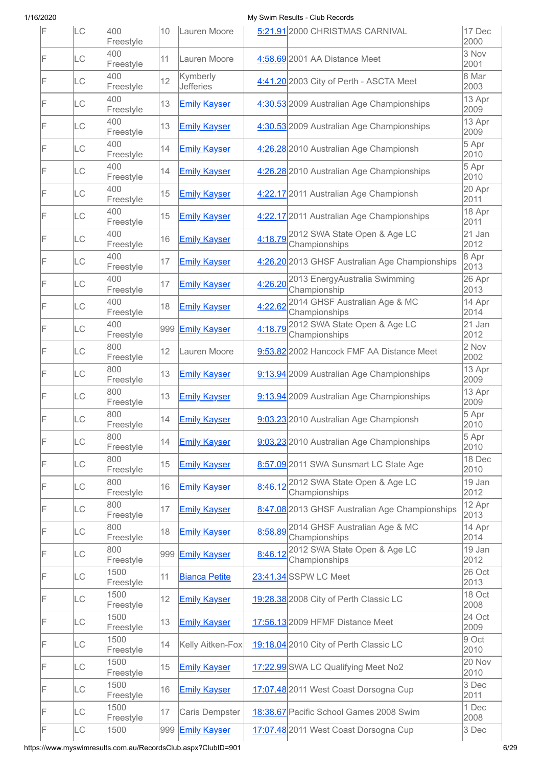| IF | <b>LC</b> | 400<br>Freestyle  | 10  | Lauren Moore                 |         | 5:21.91 2000 CHRISTMAS CARNIVAL                        | 17 Dec<br>2000        |
|----|-----------|-------------------|-----|------------------------------|---------|--------------------------------------------------------|-----------------------|
| IF | LC        | 400<br>Freestyle  | 11  | Lauren Moore                 |         | 4:58.69 2001 AA Distance Meet                          | 3 Nov<br>2001         |
| IF | LC        | 400<br>Freestyle  | 12  | Kymberly<br><b>Jefferies</b> |         | 4:41.20 2003 City of Perth - ASCTA Meet                | 8 Mar<br>2003         |
| IF | LC        | 400<br>Freestyle  | 13  | <b>Emily Kayser</b>          |         | 4:30.53 2009 Australian Age Championships              | 13 Apr<br>2009        |
| IF | LC        | 400<br>Freestyle  | 13  | <b>Emily Kayser</b>          |         | 4:30.53 2009 Australian Age Championships              | 13 Apr<br>2009        |
| IF | LC        | 400<br>Freestyle  | 14  | <b>Emily Kayser</b>          |         | 4:26.28 2010 Australian Age Championsh                 | 5 Apr<br>2010         |
| IF | LC        | 400<br>Freestyle  | 14  | <b>Emily Kayser</b>          |         | 4:26.28 2010 Australian Age Championships              | $5$ Apr<br>2010       |
| F  | LC        | 400<br>Freestyle  | 15  | <b>Emily Kayser</b>          |         | 4:22.17 2011 Australian Age Championsh                 | 20 Apr<br>2011        |
| IF | LC        | 400<br>Freestyle  | 15  | <b>Emily Kayser</b>          |         | 4:22.17 2011 Australian Age Championships              | 18 Apr<br>2011        |
| IF | LC        | 400<br>Freestyle  | 16  | <b>Emily Kayser</b>          | 4:18.79 | 2012 SWA State Open & Age LC<br>Championships          | 21 Jan<br>2012        |
| IF | LC        | 400<br>Freestyle  | 17  | <b>Emily Kayser</b>          |         | 4:26.20 2013 GHSF Australian Age Championships         | 8 Apr<br>2013         |
| F  | LC        | 400<br>Freestyle  | 17  | <b>Emily Kayser</b>          | 4:26.20 | 2013 EnergyAustralia Swimming<br>Championship          | 26 Apr<br>2013        |
| F  | LC        | 400<br>Freestyle  | 18  | <b>Emily Kayser</b>          | 4:22.62 | 2014 GHSF Australian Age & MC<br>Championships         | 14 Apr<br>2014        |
| F  | LC        | 400<br>Freestyle  | 999 | <b>Emily Kayser</b>          | 4:18.79 | 2012 SWA State Open & Age LC<br>Championships          | 21 Jan<br>2012        |
| IF | LC        | 800<br>Freestyle  | 12  | Lauren Moore                 |         | 9:53.82 2002 Hancock FMF AA Distance Meet              | 2 Nov<br>2002         |
| F  | LC        | 800<br>Freestyle  | 13  | <b>Emily Kayser</b>          |         | 9:13.94 2009 Australian Age Championships              | 13 Apr<br>2009        |
| IF | LC        | 800<br>Freestyle  | 13  | <b>Emily Kayser</b>          |         | 9:13.94 2009 Australian Age Championships              | 13 Apr<br>2009        |
| IF | LC        | 800<br>Freestyle  | 14  | <b>Emily Kayser</b>          |         | 9:03.23 2010 Australian Age Championsh                 | 5 Apr<br>2010         |
| F  | LC        | 800<br>Freestyle  | 14  | <b>Emily Kayser</b>          |         | 9:03.23 2010 Australian Age Championships              | 5 Apr<br>2010         |
| F  | LC        | 800<br>Freestyle  | 15  | <b>Emily Kayser</b>          |         | 8:57.09 2011 SWA Sunsmart LC State Age                 | 18 Dec<br>2010        |
| F  | LC        | 800<br>Freestyle  | 16  | <b>Emily Kayser</b>          |         | 8:46.12 2012 SWA State Open & Age LC<br>Championships  | 19 Jan<br>2012        |
| F  | LC        | 800<br>Freestyle  | 17  | <b>Emily Kayser</b>          |         | 8:47.08 2013 GHSF Australian Age Championships         | 12 Apr<br>2013        |
| F  | LC        | 800<br>Freestyle  | 18  | <b>Emily Kayser</b>          |         | 8:58.89 2014 GHSF Australian Age & MC<br>Championships | 14 Apr<br>2014        |
| F  | LC        | 800<br>Freestyle  | 999 | <b>Emily Kayser</b>          |         | 8:46.12 2012 SWA State Open & Age LC<br>Championships  | 19 Jan<br>2012        |
| F  | LC        | 1500<br>Freestyle | 11  | <b>Bianca Petite</b>         |         | 23:41.34 SSPW LC Meet                                  | 26 Oct<br>2013        |
| F  | LC        | 1500<br>Freestyle | 12  | <b>Emily Kayser</b>          |         | 19:28.38 2008 City of Perth Classic LC                 | 18 Oct<br>2008        |
| F  | LC        | 1500<br>Freestyle | 13  | <b>Emily Kayser</b>          |         | 17:56.13 2009 HFMF Distance Meet                       | 24 Oct<br>2009        |
| F  | LC        | 1500<br>Freestyle | 14  | Kelly Aitken-Fox             |         | 19:18.04 2010 City of Perth Classic LC                 | 9 Oct<br>2010         |
| F  | LC        | 1500<br>Freestyle | 15  | <b>Emily Kayser</b>          |         | 17:22.99 SWA LC Qualifying Meet No2                    | <b>20 Nov</b><br>2010 |
| F  | LC        | 1500<br>Freestyle | 16  | <b>Emily Kayser</b>          |         | 17:07.48 2011 West Coast Dorsogna Cup                  | 3 Dec<br>2011         |
| F  | LC        | 1500<br>Freestyle | 17  | Caris Dempster               |         | 18:38.67 Pacific School Games 2008 Swim                | 1 Dec<br>2008         |
| IF | LC        | 1500              |     | 999 Emily Kayser             |         | 17:07.48 2011 West Coast Dorsogna Cup                  | 3 Dec                 |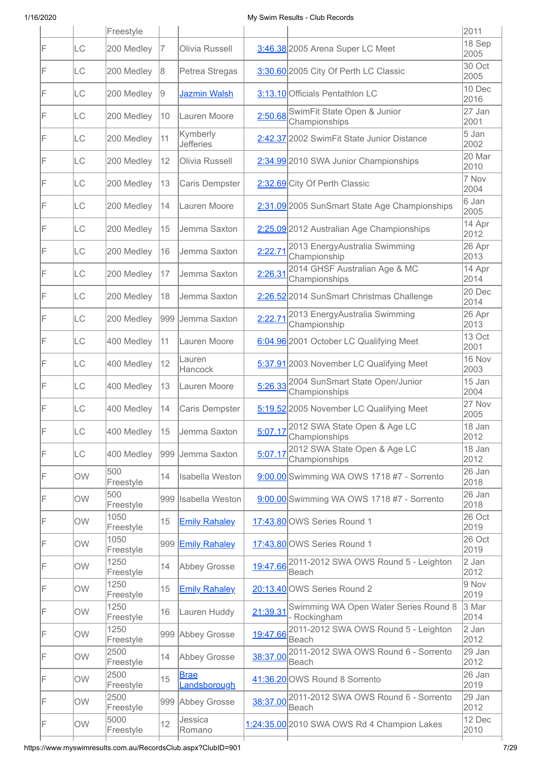|    |           | Freestyle         |     |                              |          |                                                               | 2011           |
|----|-----------|-------------------|-----|------------------------------|----------|---------------------------------------------------------------|----------------|
| F  | LC        | 200 Medley        | 17  | Olivia Russell               |          | 3:46.38 2005 Arena Super LC Meet                              | 18 Sep<br>2005 |
| IF | LC        | 200 Medley        | 8   | Petrea Stregas               |          | 3:30.60 2005 City Of Perth LC Classic                         | 30 Oct<br>2005 |
| F  | LC        | 200 Medley        | 19  | Jazmin Walsh                 |          | 3:13.10 Officials Pentathlon LC                               | 10 Dec<br>2016 |
| F  | LC        | 200 Medley        | 10  | Lauren Moore                 | 2:50.68  | SwimFit State Open & Junior<br>Championships                  | 27 Jan<br>2001 |
| IF | LC        | 200 Medley        | 11  | Kymberly<br><b>Jefferies</b> |          | 2:42.37 2002 SwimFit State Junior Distance                    | 5 Jan<br>2002  |
| F  | LC        | 200 Medley        | 12  | Olivia Russell               |          | 2:34.99 2010 SWA Junior Championships                         | 20 Mar<br>2010 |
| IF | <b>LC</b> | 200 Medley        | 13  | Caris Dempster               |          | 2:32.69 City Of Perth Classic                                 | 7 Nov<br>2004  |
| IF | LC        | 200 Medley        | 14  | Lauren Moore                 |          | 2:31.09 2005 SunSmart State Age Championships                 | 6 Jan<br>2005  |
| IF | LC        | 200 Medley        | 15  | Jemma Saxton                 |          | 2:25.09 2012 Australian Age Championships                     | 14 Apr<br>2012 |
| IF | LC        | 200 Medley        | 16  | Jemma Saxton                 | 2:22.71  | 2013 EnergyAustralia Swimming<br>Championship                 | 26 Apr<br>2013 |
| F  | LC        | 200 Medley        | 17  | Jemma Saxton                 | 2:26.31  | 2014 GHSF Australian Age & MC<br>Championships                | 14 Apr<br>2014 |
| IF | LC        | 200 Medley        | 18  | Jemma Saxton                 |          | 2:26.52 2014 SunSmart Christmas Challenge                     | 20 Dec<br>2014 |
| IF | LC        | 200 Medley        | 999 | Jemma Saxton                 | 2:22.71  | 2013 EnergyAustralia Swimming<br>Championship                 | 26 Apr<br>2013 |
| F  | LC        | 400 Medley        | 11  | Lauren Moore                 |          | 6:04.96 2001 October LC Qualifying Meet                       | 13 Oct<br>2001 |
| F  | <b>LC</b> | 400 Medley        | 12  | Lauren<br>Hancock            |          | 5:37.91 2003 November LC Qualifying Meet                      | 16 Nov<br>2003 |
| F  | LC        | 400 Medley        | 13  | Lauren Moore                 | 5:26.33  | 2004 SunSmart State Open/Junior<br>Championships              | 15 Jan<br>2004 |
| F  | LC        | 400 Medley        | 14  | Caris Dempster               |          | 5:19.52 2005 November LC Qualifying Meet                      | 27 Nov<br>2005 |
| F  | LC        | 400 Medley        | 15  | Jemma Saxton                 |          | 5:07.17 2012 SWA State Open & Age LC<br>Championships         | 18 Jan<br>2012 |
| F  | LC        | 400 Medley        |     | 999 Jemma Saxton             | 5:07.17  | 2012 SWA State Open & Age LC<br>Championships                 | 18 Jan<br>2012 |
| IF | OW        | 500<br>Freestyle  | 14  | <b>Isabella Weston</b>       |          | 9:00.00 Swimming WA OWS 1718 #7 - Sorrento                    | 26 Jan<br>2018 |
| F  | OW        | 500<br>Freestyle  | 999 | Isabella Weston              |          | 9:00.00 Swimming WA OWS 1718 #7 - Sorrento                    | 26 Jan<br>2018 |
| F  | OW        | 1050<br>Freestyle | 15  | <b>Emily Rahaley</b>         |          | 17:43.80 OWS Series Round 1                                   | 26 Oct<br>2019 |
| F  | <b>OW</b> | 1050<br>Freestyle | 999 | <b>Emily Rahaley</b>         |          | 17:43.80 OWS Series Round 1                                   | 26 Oct<br>2019 |
| F  | <b>OW</b> | 1250<br>Freestyle | 14  | <b>Abbey Grosse</b>          |          | 19:47.66 2011-2012 SWA OWS Round 5 - Leighton<br><b>Beach</b> | 2 Jan<br>2012  |
| F  | <b>OW</b> | 1250<br>Freestyle | 15  | <b>Emily Rahaley</b>         |          | 20:13.40 OWS Series Round 2                                   | 9 Nov<br>2019  |
| F  | <b>OW</b> | 1250<br>Freestyle | 16  | Lauren Huddy                 | 21:39.31 | Swimming WA Open Water Series Round 8<br>- Rockingham         | 3 Mar<br>2014  |
| F  | <b>OW</b> | 1250<br>Freestyle |     | 999 Abbey Grosse             | 19:47.66 | 2011-2012 SWA OWS Round 5 - Leighton<br><b>Beach</b>          | 2 Jan<br>2012  |
| F  | <b>OW</b> | 2500<br>Freestyle | 14  | Abbey Grosse                 | 38:37.00 | 2011-2012 SWA OWS Round 6 - Sorrento<br>Beach                 | 29 Jan<br>2012 |
| F  | OW        | 2500<br>Freestyle | 15  | <b>Brae</b><br>Landsborough  |          | 41:36.20 OWS Round 8 Sorrento                                 | 26 Jan<br>2019 |
| F  | <b>OW</b> | 2500<br>Freestyle |     | 999 Abbey Grosse             | 38:37.00 | 2011-2012 SWA OWS Round 6 - Sorrento<br><b>Beach</b>          | 29 Jan<br>2012 |
| F  | <b>OW</b> | 5000<br>Freestyle | 12  | Jessica<br>Romano            |          | 1:24:35.00 2010 SWA OWS Rd 4 Champion Lakes                   | 12 Dec<br>2010 |
|    |           |                   |     |                              |          |                                                               |                |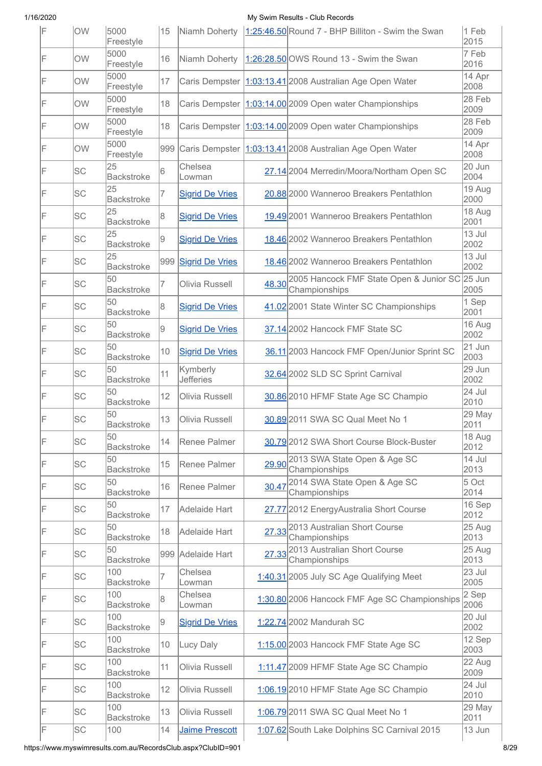| IF | OW        | 5000<br>Freestyle        | 15  |                              |       | Niamh Doherty   1:25:46.50 Round 7 - BHP Billiton - Swim the Swan     | 1 Feb<br>2015  |
|----|-----------|--------------------------|-----|------------------------------|-------|-----------------------------------------------------------------------|----------------|
| F  | OW        | 5000<br>Freestyle        | 16  | Niamh Doherty                |       | 1:26:28.50 OWS Round 13 - Swim the Swan                               | 7 Feb<br>2016  |
| IF | <b>OW</b> | 5000<br>Freestyle        | 17  | Caris Dempster               |       | 1:03:13.41 2008 Australian Age Open Water                             | 14 Apr<br>2008 |
| F  | OW        | 5000<br>Freestyle        | 18  | Caris Dempster               |       | 1:03:14.00 2009 Open water Championships                              | 28 Feb<br>2009 |
| F  | <b>OW</b> | 5000<br>Freestyle        | 18  | Caris Dempster               |       | 1:03:14.00 2009 Open water Championships                              | 28 Feb<br>2009 |
| IF | <b>OW</b> | 5000<br>Freestyle        | 999 | Caris Dempster               |       | 1:03:13.41 2008 Australian Age Open Water                             | 14 Apr<br>2008 |
| IF | SC        | 25<br><b>Backstroke</b>  | 6   | Chelsea<br>Lowman            |       | 27.14 2004 Merredin/Moora/Northam Open SC                             | 20 Jun<br>2004 |
| F  | SC        | 25<br><b>Backstroke</b>  | 7   | <b>Sigrid De Vries</b>       |       | 20.88 2000 Wanneroo Breakers Pentathlon                               | 19 Aug<br>2000 |
| F  | <b>SC</b> | 25<br><b>Backstroke</b>  | 8   | <b>Sigrid De Vries</b>       |       | 19.49 2001 Wanneroo Breakers Pentathlon                               | 18 Aug<br>2001 |
| F  | SC        | 25<br><b>Backstroke</b>  | 9   | <b>Sigrid De Vries</b>       |       | 18.46 2002 Wanneroo Breakers Pentathlon                               | 13 Jul<br>2002 |
| IF | SC        | 25<br><b>Backstroke</b>  | 999 | <b>Sigrid De Vries</b>       |       | 18.46 2002 Wanneroo Breakers Pentathlon                               | 13 Jul<br>2002 |
| F  | SC        | 50<br><b>Backstroke</b>  | 7   | Olivia Russell               |       | 48.30 2005 Hancock FMF State Open & Junior SC 25 Jun<br>Championships | 2005           |
| F  | SC        | 50<br><b>Backstroke</b>  | 8   | <b>Sigrid De Vries</b>       |       | 41.02 2001 State Winter SC Championships                              | 1 Sep<br>2001  |
| F  | SC        | 50<br><b>Backstroke</b>  | 9   | <b>Sigrid De Vries</b>       |       | 37.14 2002 Hancock FMF State SC                                       | 16 Aug<br>2002 |
| F  | SC        | 50<br><b>Backstroke</b>  | 10  | <b>Sigrid De Vries</b>       |       | 36.11 2003 Hancock FMF Open/Junior Sprint SC                          | 21 Jun<br>2003 |
| F  | SC        | 50<br><b>Backstroke</b>  | 11  | Kymberly<br><b>Jefferies</b> |       | 32.64 2002 SLD SC Sprint Carnival                                     | 29 Jun<br>2002 |
| F  | <b>SC</b> | 50<br><b>Backstroke</b>  | 12  | Olivia Russell               |       | 30.86 2010 HFMF State Age SC Champio                                  | 24 Jul<br>2010 |
| F  | <b>SC</b> | 50<br><b>Backstroke</b>  | 13  | Olivia Russell               |       | 30.89 2011 SWA SC Qual Meet No 1                                      | 29 May<br>2011 |
| F  | SC        | 50<br><b>Backstroke</b>  | 14  | Renee Palmer                 |       | 30.79 2012 SWA Short Course Block-Buster                              | 18 Aug<br>2012 |
| F  | <b>SC</b> | 50<br><b>Backstroke</b>  | 15  | Renee Palmer                 |       | 29.90 2013 SWA State Open & Age SC<br>Championships                   | 14 Jul<br>2013 |
| F  | SC        | 50<br><b>Backstroke</b>  | 16  | Renee Palmer                 | 30.47 | 2014 SWA State Open & Age SC<br>Championships                         | 5 Oct<br>2014  |
| F  | SC        | 50<br><b>Backstroke</b>  | 17  | Adelaide Hart                |       | 27.77 2012 EnergyAustralia Short Course                               | 16 Sep<br>2012 |
| F  | <b>SC</b> | 50<br><b>Backstroke</b>  | 18  | Adelaide Hart                |       | 27.33 2013 Australian Short Course<br>Championships                   | 25 Aug<br>2013 |
| F  | SC        | 50<br><b>Backstroke</b>  |     | 999 Adelaide Hart            |       | 27.33 2013 Australian Short Course<br>Championships                   | 25 Aug<br>2013 |
| F  | <b>SC</b> | 100<br><b>Backstroke</b> | 7   | Chelsea<br>Lowman            |       | 1:40.31 2005 July SC Age Qualifying Meet                              | 23 Jul<br>2005 |
| F  | <b>SC</b> | 100<br><b>Backstroke</b> | 8   | Chelsea<br>Lowman            |       | 1:30.80 2006 Hancock FMF Age SC Championships                         | 2 Sep<br>2006  |
| F  | <b>SC</b> | 100<br><b>Backstroke</b> | 9   | <b>Sigrid De Vries</b>       |       | 1:22.74 2002 Mandurah SC                                              | 20 Jul<br>2002 |
| F  | SC        | 100<br><b>Backstroke</b> | 10  | Lucy Daly                    |       | 1:15.00 2003 Hancock FMF State Age SC                                 | 12 Sep<br>2003 |
| F  | SC        | 100<br><b>Backstroke</b> | 11  | Olivia Russell               |       | 1:11.47 2009 HFMF State Age SC Champio                                | 22 Aug<br>2009 |
| IF | SC        | 100<br><b>Backstroke</b> | 12  | Olivia Russell               |       | 1:06.19 2010 HFMF State Age SC Champio                                | 24 Jul<br>2010 |
| F  | <b>SC</b> | 100<br><b>Backstroke</b> | 13  | Olivia Russell               |       | 1:06.79 2011 SWA SC Qual Meet No 1                                    | 29 May<br>2011 |
| IF | SC        | 100                      | 14  | Jaime Prescott               |       | 1:07.62 South Lake Dolphins SC Carnival 2015                          | 13 Jun         |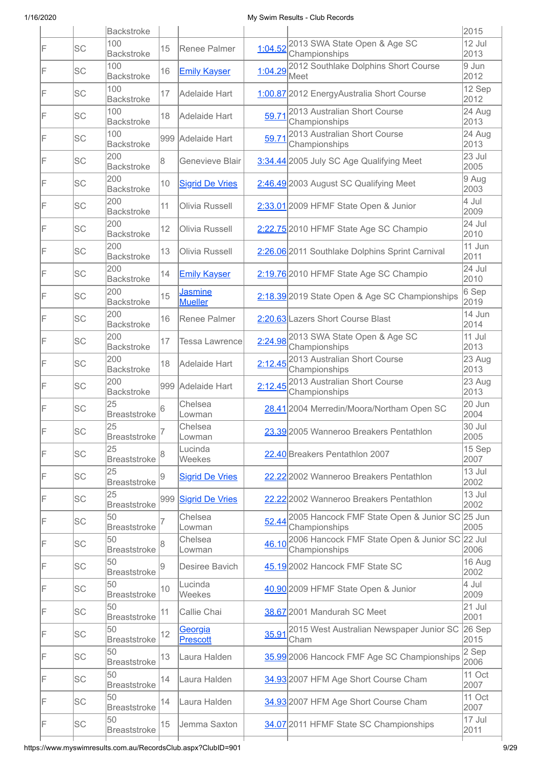|    |           | <b>Backstroke</b>         |     |                                  |         |                                                                       | 2015             |
|----|-----------|---------------------------|-----|----------------------------------|---------|-----------------------------------------------------------------------|------------------|
| IF | <b>SC</b> | 100<br><b>Backstroke</b>  | 15  | Renee Palmer                     | 1:04.52 | 2013 SWA State Open & Age SC<br>Championships                         | 12 Jul<br>2013   |
| F  | SC        | 100<br><b>Backstroke</b>  | 16  | <b>Emily Kayser</b>              | 1:04.29 | 2012 Southlake Dolphins Short Course<br>Meet                          | 9 Jun<br>2012    |
| IF | SC        | 100<br><b>Backstroke</b>  | 17  | Adelaide Hart                    |         | 1:00.87 2012 EnergyAustralia Short Course                             | 12 Sep<br>2012   |
| IF | <b>SC</b> | 100<br><b>Backstroke</b>  | 18  | Adelaide Hart                    | 59.71   | 2013 Australian Short Course<br>Championships                         | 24 Aug<br>2013   |
| IF | SC        | 100<br><b>Backstroke</b>  |     | 999 Adelaide Hart                | 59.71   | 2013 Australian Short Course<br>Championships                         | 24 Aug<br>2013   |
| IF | <b>SC</b> | 200<br><b>Backstroke</b>  | 8   | Genevieve Blair                  |         | 3:34.44 2005 July SC Age Qualifying Meet                              | 23 Jul<br>2005   |
| IF | SC        | 200<br><b>Backstroke</b>  | 10  | <b>Sigrid De Vries</b>           |         | 2:46.49 2003 August SC Qualifying Meet                                | $9$ Aug<br>2003  |
| IF | <b>SC</b> | 200<br><b>Backstroke</b>  | 11  | Olivia Russell                   |         | 2:33.01 2009 HFMF State Open & Junior                                 | 4 Jul<br>2009    |
| IF | SC        | 200<br><b>Backstroke</b>  | 12  | Olivia Russell                   |         | 2:22.75 2010 HFMF State Age SC Champio                                | 24 Jul<br>2010   |
| IF | <b>SC</b> | 200<br><b>Backstroke</b>  | 13  | Olivia Russell                   |         | 2:26.06 2011 Southlake Dolphins Sprint Carnival                       | 11 Jun<br>2011   |
| IF | <b>SC</b> | 200<br><b>Backstroke</b>  | 14  | <b>Emily Kayser</b>              |         | 2:19.76 2010 HFMF State Age SC Champio                                | 24 Jul<br>2010   |
| F  | <b>SC</b> | 200<br><b>Backstroke</b>  | 15  | <b>Jasmine</b><br><b>Mueller</b> |         | 2:18.39 2019 State Open & Age SC Championships                        | $6$ Sep<br>2019  |
| F  | SC        | 200<br><b>Backstroke</b>  | 16  | Renee Palmer                     |         | 2:20.63 Lazers Short Course Blast                                     | 14 Jun<br>2014   |
| IF | <b>SC</b> | 200<br><b>Backstroke</b>  | 17  | Tessa Lawrence                   |         | 2:24.98 2013 SWA State Open & Age SC<br>Championships                 | 11 Jul<br>2013   |
| F  | SC        | 200<br><b>Backstroke</b>  | 18  | Adelaide Hart                    | 2:12.45 | 2013 Australian Short Course<br>Championships                         | $23$ Aug<br>2013 |
| IF | <b>SC</b> | 200<br><b>Backstroke</b>  |     | 999 Adelaide Hart                |         | 2:12.45 <sup>2013</sup> Australian Short Course<br>Championships      | 23 Aug<br>2013   |
| IF | SC        | 25<br><b>Breaststroke</b> | 6   | Chelsea<br>Lowman                |         | 28.41 2004 Merredin/Moora/Northam Open SC                             | 20 Jun<br>2004   |
|    | SC        | 25<br>Breaststroke        |     | Chelsea<br>Lowman                |         | 23.39 2005 Wanneroo Breakers Pentathlon                               | 30 Jul<br>2005   |
| F  | SC        | 25<br><b>Breaststroke</b> |     | Lucinda<br>Weekes                |         | 22.40 Breakers Pentathlon 2007                                        | 15 Sep<br>2007   |
| F  | SC        | 25<br><b>Breaststroke</b> |     | <b>Sigrid De Vries</b>           |         | 22.22 2002 Wanneroo Breakers Pentathlon                               | 13 Jul<br>2002   |
| IF | SC        | 25<br><b>Breaststroke</b> | 999 | <b>Sigrid De Vries</b>           |         | 22.22 2002 Wanneroo Breakers Pentathlon                               | 13 Jul<br>2002   |
| F  | <b>SC</b> | 50<br>Breaststroke        |     | Chelsea<br>Lowman                | 52.44   | 2005 Hancock FMF State Open & Junior SC 25 Jun<br>Championships       | 2005             |
| F  | SC        | 50<br><b>Breaststroke</b> |     | Chelsea<br>Lowman                |         | 46.10 2006 Hancock FMF State Open & Junior SC 22 Jul<br>Championships | 2006             |
| F  | <b>SC</b> | 50<br><b>Breaststroke</b> | 9   | Desiree Bavich                   |         | 45.19 2002 Hancock FMF State SC                                       | 16 Aug<br>2002   |
| F  | SC        | 50<br><b>Breaststroke</b> | 10  | Lucinda<br>Weekes                |         | 40.90 2009 HFMF State Open & Junior                                   | 4 Jul<br>2009    |
| IF | <b>SC</b> | 50<br><b>Breaststroke</b> | 11  | Callie Chai                      |         | 38.67 2001 Mandurah SC Meet                                           | $21$ Jul<br>2001 |
| F  | SC        | 50<br><b>Breaststroke</b> | 12  | Georgia<br><b>Prescott</b>       | 35.91   | 2015 West Australian Newspaper Junior SC<br>Cham                      | 26 Sep<br>2015   |
| F  | <b>SC</b> | 50<br><b>Breaststroke</b> | 13  | Laura Halden                     |         | 35.99 2006 Hancock FMF Age SC Championships                           | 2 Sep<br>2006    |
| IF | SC        | 50<br><b>Breaststroke</b> | 14  | Laura Halden                     |         | 34.93 2007 HFM Age Short Course Cham                                  | 11 Oct<br>2007   |
| IF | <b>SC</b> | 50<br>Breaststroke        | 14  | Laura Halden                     |         | 34.93 2007 HFM Age Short Course Cham                                  | 11 Oct<br>2007   |
| IF | SC        | 50<br><b>Breaststroke</b> | 15  | Jemma Saxton                     |         | 34.07 2011 HFMF State SC Championships                                | 17 Jul<br>2011   |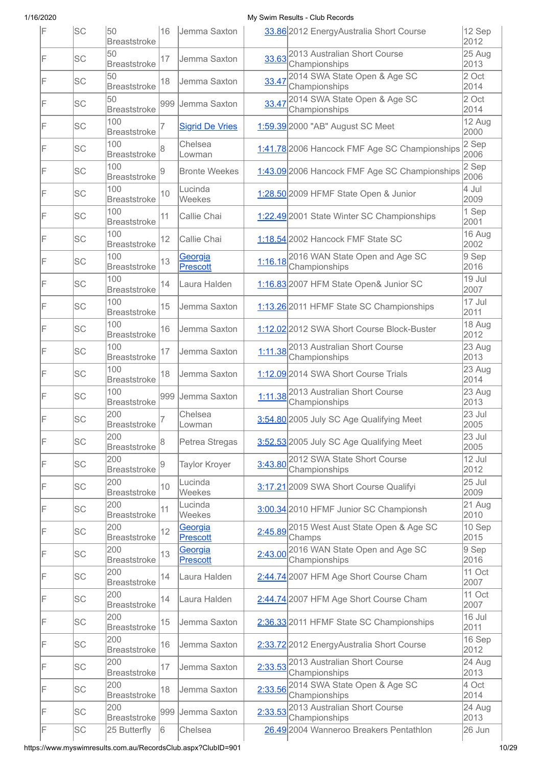| IF | <b>SC</b> | 50<br><b>Breaststroke</b>  | 16  | Jemma Saxton               |         | 33.86 2012 EnergyAustralia Short Course                        | 12 Sep<br>2012  |
|----|-----------|----------------------------|-----|----------------------------|---------|----------------------------------------------------------------|-----------------|
| IF | SC        | 50<br><b>Breaststroke</b>  | 17  | Jemma Saxton               |         | 33.63 <sup>2013</sup> Australian Short Course<br>Championships | 25 Aug<br>2013  |
| F  | SC        | 50<br><b>Breaststroke</b>  | 18  | Jemma Saxton               | 33.47   | 2014 SWA State Open & Age SC<br>Championships                  | 2 Oct<br>2014   |
| F  | SC        | 50<br><b>Breaststroke</b>  |     | 999 Jemma Saxton           | 33.47   | 2014 SWA State Open & Age SC<br>Championships                  | 2 Oct<br>2014   |
| F  | SC        | 100<br><b>Breaststroke</b> | 7   | <b>Sigrid De Vries</b>     |         | 1:59.39 2000 "AB" August SC Meet                               | 12 Aug<br>2000  |
| F  | <b>SC</b> | 100<br><b>Breaststroke</b> | 8   | Chelsea<br>Lowman          |         | 1:41.78 2006 Hancock FMF Age SC Championships                  | 2 Sep<br>2006   |
| F  | SC        | 100<br><b>Breaststroke</b> | 9   | <b>Bronte Weekes</b>       |         | 1:43.09 2006 Hancock FMF Age SC Championships                  | 2 Sep<br>2006   |
| IF | SC        | 100<br><b>Breaststroke</b> | 10  | Lucinda<br>Weekes          |         | 1:28.50 2009 HFMF State Open & Junior                          | 4 Jul<br>2009   |
| IF | SC        | 100<br><b>Breaststroke</b> | 11  | Callie Chai                |         | 1:22.49 2001 State Winter SC Championships                     | 1 Sep<br>2001   |
| IF | SC        | 100<br><b>Breaststroke</b> | 12  | Callie Chai                |         | 1:18.54 2002 Hancock FMF State SC                              | 16 Aug<br>2002  |
| F  | SC        | 100<br><b>Breaststroke</b> | 13  | Georgia<br><b>Prescott</b> |         | 1:16.18 2016 WAN State Open and Age SC<br>Championships        | $9$ Sep<br>2016 |
| F  | SC        | 100<br><b>Breaststroke</b> | 14  | Laura Halden               |         | 1:16.83 2007 HFM State Open& Junior SC                         | 19 Jul<br>2007  |
| IF | SC        | 100<br><b>Breaststroke</b> | 15  | Jemma Saxton               |         | 1:13.26 2011 HFMF State SC Championships                       | 17 Jul<br>2011  |
| F  | <b>SC</b> | 100<br><b>Breaststroke</b> | 16  | Jemma Saxton               |         | 1:12.02 2012 SWA Short Course Block-Buster                     | 18 Aug<br>2012  |
| F  | SC        | 100<br><b>Breaststroke</b> | 17  | Jemma Saxton               |         | 1:11.38 2013 Australian Short Course<br>Championships          | 23 Aug<br>2013  |
| F  | SC        | 100<br><b>Breaststroke</b> | 18  | Jemma Saxton               |         | 1:12.09 2014 SWA Short Course Trials                           | 23 Aug<br>2014  |
| F  | SC        | 100<br><b>Breaststroke</b> | 999 | Jemma Saxton               |         | 1:11.38 2013 Australian Short Course<br>Championships          | 23 Aug<br>2013  |
| F  | SC        | 200<br><b>Breaststroke</b> |     | Chelsea<br>Lowman          |         | 3:54.80 2005 July SC Age Qualifying Meet                       | 23 Jul<br>2005  |
| F  | SC        | 200<br><b>Breaststroke</b> | 8   | Petrea Stregas             |         | 3:52.53 2005 July SC Age Qualifying Meet                       | 23 Jul<br>2005  |
| F  | <b>SC</b> | 200<br><b>Breaststroke</b> | 9   | <b>Taylor Kroyer</b>       |         | 3:43.80 2012 SWA State Short Course<br>Championships           | 12 Jul<br>2012  |
| F  | SC        | 200<br><b>Breaststroke</b> | 10  | Lucinda<br>Weekes          |         | 3:17.21 2009 SWA Short Course Qualifyi                         | 25 Jul<br>2009  |
| F  | <b>SC</b> | 200<br><b>Breaststroke</b> | 11  | Lucinda<br>Weekes          |         | 3:00.34 2010 HFMF Junior SC Championsh                         | 21 Aug<br>2010  |
| F  | <b>SC</b> | 200<br><b>Breaststroke</b> | 12  | Georgia<br>Prescott        |         | 2:45.89 2015 West Aust State Open & Age SC<br>Champs           | 10 Sep<br>2015  |
| F  | SC        | 200<br><b>Breaststroke</b> | 13  | Georgia<br><b>Prescott</b> | 2:43.00 | 2016 WAN State Open and Age SC<br>Championships                | 9 Sep<br>2016   |
| F  | SC        | 200<br><b>Breaststroke</b> | 14  | Laura Halden               |         | 2:44.74 2007 HFM Age Short Course Cham                         | 11 Oct<br>2007  |
| F  | SC        | 200<br><b>Breaststroke</b> | 14  | Laura Halden               |         | 2:44.74 2007 HFM Age Short Course Cham                         | 11 Oct<br>2007  |
| F  | <b>SC</b> | 200<br><b>Breaststroke</b> | 15  | Jemma Saxton               |         | 2:36.33 2011 HFMF State SC Championships                       | 16 Jul<br>2011  |
| F  | <b>SC</b> | 200<br><b>Breaststroke</b> | 16  | Jemma Saxton               |         | 2:33.7222012 EnergyAustralia Short Course                      | 16 Sep<br>2012  |
| F  | <b>SC</b> | 200<br><b>Breaststroke</b> | 17  | Jemma Saxton               | 2:33.53 | 2013 Australian Short Course<br>Championships                  | 24 Aug<br>2013  |
| F  | SC        | 200<br><b>Breaststroke</b> | 18  | Jemma Saxton               | 2:33.56 | 2014 SWA State Open & Age SC<br>Championships                  | 4 Oct<br>2014   |
| F  | SC        | 200<br><b>Breaststroke</b> |     | 999 Jemma Saxton           |         | 2:33.53 2013 Australian Short Course<br>Championships          | 24 Aug<br>2013  |
| F  | SC        | 25 Butterfly               | 6   | Chelsea                    |         | 26.49 2004 Wanneroo Breakers Pentathlon                        | 26 Jun          |

https://www.myswimresults.com.au/RecordsClub.aspx?ClubID=901 10/29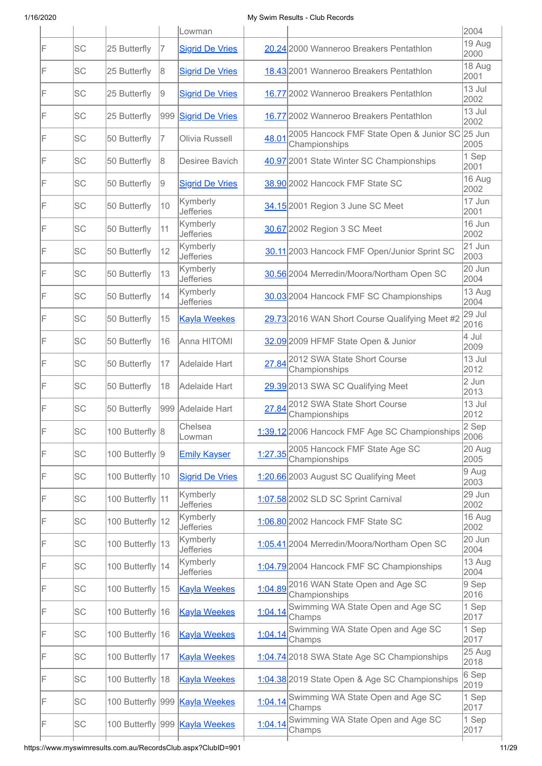|    |           |                  |     | Lowman                         |         |                                                          | 2004           |
|----|-----------|------------------|-----|--------------------------------|---------|----------------------------------------------------------|----------------|
| F  | <b>SC</b> | 25 Butterfly     | 17  | <b>Sigrid De Vries</b>         |         | 20.24 2000 Wanneroo Breakers Pentathlon                  | 19 Aug<br>2000 |
| F  | SC        | 25 Butterfly     | 8   | <b>Sigrid De Vries</b>         |         | 18.43 2001 Wanneroo Breakers Pentathlon                  | 18 Aug<br>2001 |
| IF | <b>SC</b> | 25 Butterfly     | 9   | <b>Sigrid De Vries</b>         |         | 16.77 2002 Wanneroo Breakers Pentathlon                  | 13 Jul<br>2002 |
| IF | <b>SC</b> | 25 Butterfly     | 999 | <b>Sigrid De Vries</b>         |         | 16.77 2002 Wanneroo Breakers Pentathlon                  | 13 Jul<br>2002 |
| IF | <b>SC</b> | 50 Butterfly     | 7   | Olivia Russell                 | 48.01   | 2005 Hancock FMF State Open & Junior SC<br>Championships | 25 Jun<br>2005 |
| IF | <b>SC</b> | 50 Butterfly     | 18  | Desiree Bavich                 |         | 40.97 2001 State Winter SC Championships                 | 1 Sep<br>2001  |
| IF | SC        | 50 Butterfly     | 9   | <b>Sigrid De Vries</b>         |         | 38.90 2002 Hancock FMF State SC                          | 16 Aug<br>2002 |
| F  | SC        | 50 Butterfly     | 10  | Kymberly<br><b>Jefferies</b>   |         | 34.15 2001 Region 3 June SC Meet                         | 17 Jun<br>2001 |
| IF | SC        | 50 Butterfly     | 11  | Kymberly<br><b>Jefferies</b>   |         | 30.67 2002 Region 3 SC Meet                              | 16 Jun<br>2002 |
| F  | <b>SC</b> | 50 Butterfly     | 12  | Kymberly<br><b>Jefferies</b>   |         | 30.11 2003 Hancock FMF Open/Junior Sprint SC             | 21 Jun<br>2003 |
| IF | <b>SC</b> | 50 Butterfly     | 13  | Kymberly<br><b>Jefferies</b>   |         | 30.56 2004 Merredin/Moora/Northam Open SC                | 20 Jun<br>2004 |
| IF | <b>SC</b> | 50 Butterfly     | 14  | Kymberly<br><b>Jefferies</b>   |         | 30.03 2004 Hancock FMF SC Championships                  | 13 Aug<br>2004 |
| IF | SC        | 50 Butterfly     | 15  | <b>Kayla Weekes</b>            |         | 29.73 2016 WAN Short Course Qualifying Meet #2           | 29 Jul<br>2016 |
| IF | <b>SC</b> | 50 Butterfly     | 16  | Anna HITOMI                    |         | 32.09 2009 HFMF State Open & Junior                      | 4 Jul<br>2009  |
| IF | SC        | 50 Butterfly     | 17  | <b>Adelaide Hart</b>           | 27.84   | 2012 SWA State Short Course<br>Championships             | 13 Jul<br>2012 |
| F  | <b>SC</b> | 50 Butterfly     | 18  | Adelaide Hart                  |         | 29.39 2013 SWA SC Qualifying Meet                        | 2 Jun<br>2013  |
| IF | <b>SC</b> | 50 Butterfly     |     | 999 Adelaide Hart              | 27.84   | 2012 SWA State Short Course<br>Championships             | 13 Jul<br>2012 |
| IF | <b>SC</b> | 100 Butterfly 8  |     | Chelsea<br>Lowman              |         | 1:39.12 2006 Hancock FMF Age SC Championships            | 2 Sep<br>2006  |
| F  | <b>SC</b> | 100 Butterfly 9  |     | <b>Emily Kayser</b>            | 1:27.35 | 2005 Hancock FMF State Age SC<br>Championships           | 20 Aug<br>2005 |
| IF | <b>SC</b> | 100 Butterfly 10 |     | <b>Sigrid De Vries</b>         |         | 1:20.66 2003 August SC Qualifying Meet                   | 9 Aug<br>2003  |
| F  | SC        | 100 Butterfly 11 |     | Kymberly<br><b>Jefferies</b>   |         | 1:07.58 2002 SLD SC Sprint Carnival                      | 29 Jun<br>2002 |
| F  | SC        | 100 Butterfly 12 |     | Kymberly<br><b>Jefferies</b>   |         | 1:06.80 2002 Hancock FMF State SC                        | 16 Aug<br>2002 |
| F  | <b>SC</b> | 100 Butterfly 13 |     | Kymberly<br><b>Jefferies</b>   |         | 1:05.41 2004 Merredin/Moora/Northam Open SC              | 20 Jun<br>2004 |
| F  | <b>SC</b> | 100 Butterfly 14 |     | Kymberly<br><b>Jefferies</b>   |         | 1:04.79 2004 Hancock FMF SC Championships                | 13 Aug<br>2004 |
| F  | <b>SC</b> | 100 Butterfly 15 |     | <b>Kayla Weekes</b>            |         | 1:04.89 2016 WAN State Open and Age SC<br>Championships  | 9 Sep<br>2016  |
| F  | SC        | 100 Butterfly 16 |     | <b>Kayla Weekes</b>            | 1:04.14 | Swimming WA State Open and Age SC<br>Champs              | 1 Sep<br>2017  |
| F  | SC        | 100 Butterfly 16 |     | <b>Kayla Weekes</b>            | 1:04.14 | Swimming WA State Open and Age SC<br>Champs              | 1 Sep<br>2017  |
| F  | SC        | 100 Butterfly 17 |     | <b>Kayla Weekes</b>            |         | 1:04.74 2018 SWA State Age SC Championships              | 25 Aug<br>2018 |
| F  | SC        | 100 Butterfly 18 |     | <b>Kayla Weekes</b>            |         | 1:04.38 2019 State Open & Age SC Championships           | 6 Sep<br>2019  |
| IF | SC        |                  |     | 100 Butterfly 999 Kayla Weekes | 1:04.14 | Swimming WA State Open and Age SC<br>Champs              | 1 Sep<br>2017  |
| IF | <b>SC</b> |                  |     | 100 Butterfly 999 Kayla Weekes | 1:04.14 | Swimming WA State Open and Age SC<br>Champs              | 1 Sep<br>2017  |
|    |           |                  |     |                                |         |                                                          |                |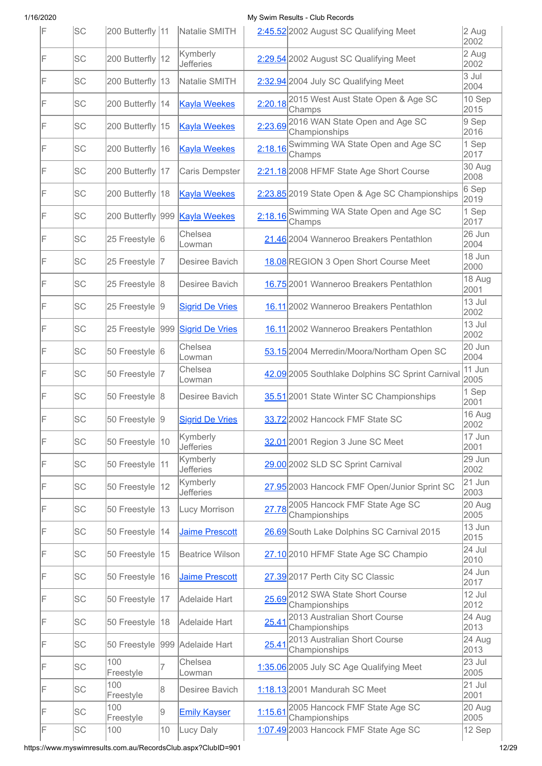| IF | <b>SC</b> | 200 Butterfly 11 |              | Natalie SMITH                         |         | 2:45.52 2002 August SC Qualifying Meet                  | 2 Aug<br>2002    |
|----|-----------|------------------|--------------|---------------------------------------|---------|---------------------------------------------------------|------------------|
| F  | <b>SC</b> | 200 Butterfly 12 |              | Kymberly<br><b>Jefferies</b>          |         | 2:29.54 2002 August SC Qualifying Meet                  | 2 Aug<br>2002    |
| F  | SC        | 200 Butterfly 13 |              | Natalie SMITH                         |         | 2:32.94 2004 July SC Qualifying Meet                    | 3 Jul<br>2004    |
| F  | SC        | 200 Butterfly 14 |              | <b>Kayla Weekes</b>                   |         | 2:20.18 2015 West Aust State Open & Age SC<br>Champs    | 10 Sep<br>2015   |
| F  | SC        | 200 Butterfly 15 |              | <b>Kayla Weekes</b>                   |         | 2:23.69 2016 WAN State Open and Age SC<br>Championships | 9 Sep<br>2016    |
| F  | SC        | 200 Butterfly 16 |              | <b>Kayla Weekes</b>                   |         | 2:18.16 Swimming WA State Open and Age SC<br>Champs     | 1 Sep<br>2017    |
| F  | SC        | 200 Butterfly 17 |              | Caris Dempster                        |         | 2:21.18 2008 HFMF State Age Short Course                | 30 Aug<br>2008   |
| F  | <b>SC</b> | 200 Butterfly 18 |              | <b>Kayla Weekes</b>                   |         | 2:23.85 2019 State Open & Age SC Championships          | 6 Sep<br>2019    |
| F  | <b>SC</b> |                  |              | 200 Butterfly 999 <b>Kayla Weekes</b> |         | 2:18.16 Swimming WA State Open and Age SC<br>Champs     | 1 Sep<br>2017    |
| F  | SC        | 25 Freestyle 6   |              | Chelsea<br>Lowman                     |         | 21.46 2004 Wanneroo Breakers Pentathlon                 | 26 Jun<br>2004   |
| F  | SC        | 25 Freestyle     | 17.          | Desiree Bavich                        |         | 18.08 REGION 3 Open Short Course Meet                   | 18 Jun<br>2000   |
| F  | SC        | 25 Freestyle 8   |              | Desiree Bavich                        |         | 16.75 2001 Wanneroo Breakers Pentathlon                 | 18 Aug<br>2001   |
| F  | <b>SC</b> | 25 Freestyle 9   |              | <b>Sigrid De Vries</b>                |         | 16.11 2002 Wanneroo Breakers Pentathlon                 | 13 Jul<br>2002   |
| F  | SC        | 25 Freestyle     |              | 999 Sigrid De Vries                   |         | 16.11 2002 Wanneroo Breakers Pentathlon                 | 13 Jul<br>2002   |
| F  | <b>SC</b> | 50 Freestyle 6   |              | Chelsea<br>Lowman                     |         | 53.15 2004 Merredin/Moora/Northam Open SC               | 20 Jun<br>2004   |
| F  | <b>SC</b> | 50 Freestyle  7  |              | Chelsea<br>Lowman                     |         | 42.09 2005 Southlake Dolphins SC Sprint Carnival        | 11 Jun<br>2005   |
| F  | <b>SC</b> | 50 Freestyle 8   |              | Desiree Bavich                        |         | 35.51 2001 State Winter SC Championships                | 1 Sep<br>2001    |
| F  | SC        | 50 Freestyle 9   |              | <b>Sigrid De Vries</b>                |         | 33.72 2002 Hancock FMF State SC                         | 16 Aug<br>2002   |
| F  | <b>SC</b> | 50 Freestyle     | $ 10\rangle$ | Kymberly<br><b>Jefferies</b>          |         | 32.01 2001 Region 3 June SC Meet                        | 17 Jun<br>2001   |
| F  | <b>SC</b> | 50 Freestyle     | 11           | Kymberly<br><b>Jefferies</b>          |         | 29.00 2002 SLD SC Sprint Carnival                       | 29 Jun<br>2002   |
| F  | SC        | 50 Freestyle     | 12           | Kymberly<br><b>Jefferies</b>          |         | 27.95 2003 Hancock FMF Open/Junior Sprint SC            | $21$ Jun<br>2003 |
| F  | SC        | 50 Freestyle     | 13           | Lucy Morrison                         |         | 27.78 2005 Hancock FMF State Age SC<br>Championships    | 20 Aug<br>2005   |
| F  | SC        | 50 Freestyle     | 14           | Jaime Prescott                        |         | 26.69 South Lake Dolphins SC Carnival 2015              | 13 Jun<br>2015   |
| F  | <b>SC</b> | 50 Freestyle     | 15           | <b>Beatrice Wilson</b>                |         | 27.10 2010 HFMF State Age SC Champio                    | 24 Jul<br>2010   |
| F  | SC        | 50 Freestyle     | 16           | <b>Jaime Prescott</b>                 |         | 27.39 2017 Perth City SC Classic                        | 24 Jun<br>2017   |
| F  | SC        | 50 Freestyle     | 17           | Adelaide Hart                         | 25.69   | 2012 SWA State Short Course<br>Championships            | 12 Jul<br>2012   |
| F  | SC        | 50 Freestyle     | 18           | Adelaide Hart                         | 25.41   | 2013 Australian Short Course<br>Championships           | 24 Aug<br>2013   |
| F  | <b>SC</b> | 50 Freestyle     |              | 999 Adelaide Hart                     | 25.41   | 2013 Australian Short Course<br>Championships           | 24 Aug<br>2013   |
| F  | <b>SC</b> | 100<br>Freestyle | 7            | Chelsea<br>Lowman                     |         | 1:35.06 2005 July SC Age Qualifying Meet                | 23 Jul<br>2005   |
| F  | SC        | 100<br>Freestyle | 8            | Desiree Bavich                        |         | 1:18.13 2001 Mandurah SC Meet                           | $21$ Jul<br>2001 |
| F  | SC        | 100<br>Freestyle | 9            | <b>Emily Kayser</b>                   | 1:15.61 | 2005 Hancock FMF State Age SC<br>Championships          | 20 Aug<br>2005   |
| F  | SC        | 100              | 10           | Lucy Daly                             |         | 1:07.49 2003 Hancock FMF State Age SC                   | 12 Sep           |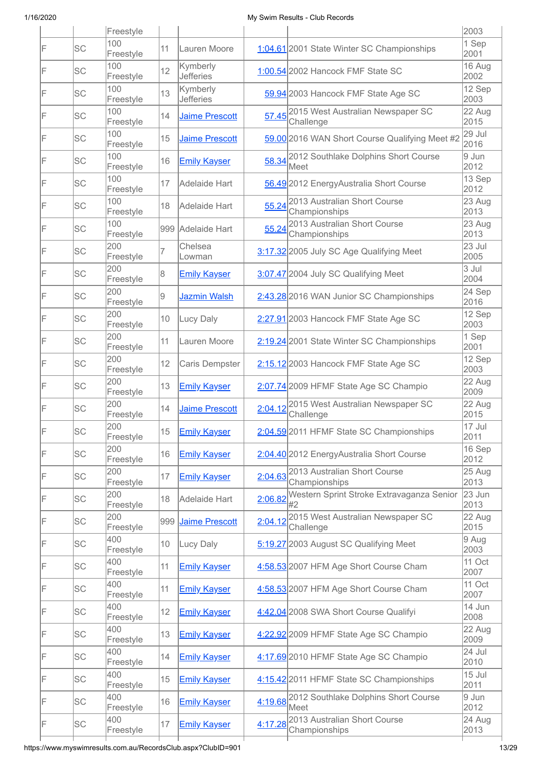|    |           | Freestyle        |                |                              |         |                                                       | 2003                       |
|----|-----------|------------------|----------------|------------------------------|---------|-------------------------------------------------------|----------------------------|
| IF | SC        | 100<br>Freestyle | 11             | Lauren Moore                 |         | 1:04.61 2001 State Winter SC Championships            | $\overline{1}$ Sep<br>2001 |
| IF | <b>SC</b> | 100<br>Freestyle | 12             | Kymberly<br><b>Jefferies</b> |         | 1:00.54 2002 Hancock FMF State SC                     | 16 Aug<br>2002             |
| IF | <b>SC</b> | 100<br>Freestyle | 13             | Kymberly<br><b>Jefferies</b> |         | 59.94 2003 Hancock FMF State Age SC                   | 12 Sep<br>2003             |
| IF | <b>SC</b> | 100<br>Freestyle | 14             | <b>Jaime Prescott</b>        | 57.45   | 2015 West Australian Newspaper SC<br>Challenge        | 22 Aug<br>2015             |
| IF | SC        | 100<br>Freestyle | 15             | Jaime Prescott               |         | 59.00 2016 WAN Short Course Qualifying Meet #2        | 29 Jul<br>2016             |
| IF | <b>SC</b> | 100<br>Freestyle | 16             | <b>Emily Kayser</b>          | 58.34   | 2012 Southlake Dolphins Short Course<br>Meet          | 9 Jun<br>2012              |
| IF | SC        | 100<br>Freestyle | 17             | Adelaide Hart                |         | 56.49 2012 EnergyAustralia Short Course               | 13 Sep<br>2012             |
| IF | SC        | 100<br>Freestyle | 18             | Adelaide Hart                | 55.24   | 2013 Australian Short Course<br>Championships         | 23 Aug<br>2013             |
| IF | SC        | 100<br>Freestyle |                | 999 Adelaide Hart            | 55.24   | 2013 Australian Short Course<br>Championships         | 23 Aug<br>2013             |
| IF | <b>SC</b> | 200<br>Freestyle | $\overline{7}$ | Chelsea<br>Lowman            |         | 3:17.32 2005 July SC Age Qualifying Meet              | 23 Jul<br>2005             |
| IF | <b>SC</b> | 200<br>Freestyle | 8              | <b>Emily Kayser</b>          |         | 3:07.47 2004 July SC Qualifying Meet                  | 3 Jul<br>2004              |
| F  | <b>SC</b> | 200<br>Freestyle | 9              | <b>Jazmin Walsh</b>          |         | 2:43.28 2016 WAN Junior SC Championships              | 24 Sep<br>2016             |
| F  | SC        | 200<br>Freestyle | 10             | Lucy Daly                    |         | 2:27.91 2003 Hancock FMF State Age SC                 | $12$ Sep<br>2003           |
| IF | SC        | 200<br>Freestyle | 11             | Lauren Moore                 |         | 2:19.24 2001 State Winter SC Championships            | 1 Sep<br>2001              |
| F  | SC        | 200<br>Freestyle | 12             | Caris Dempster               |         | 2:15.12 2003 Hancock FMF State Age SC                 | 12 Sep<br>2003             |
| IF | SC        | 200<br>Freestyle | 13             | <b>Emily Kayser</b>          |         | 2:07.74 2009 HFMF State Age SC Champio                | 22 Aug<br>2009             |
| IF | SC        | 200<br>Freestyle | 14             | <b>Jaime Prescott</b>        | 2:04.12 | 2015 West Australian Newspaper SC<br>Challenge        | 22 Aug<br>2015             |
| IF | SC        | 200<br>Freestyle | $15-15$        | <b>Emily Kayser</b>          |         | 2:04.59 2011 HFMF State SC Championships              | $17$ Jul<br>2011           |
| F  | <b>SC</b> | 200<br>Freestyle | 16             | <b>Emily Kayser</b>          |         | 2:04.40 2012 EnergyAustralia Short Course             | 16 Sep<br>2012             |
| F  | SC        | 200<br>Freestyle | 17             | <b>Emily Kayser</b>          |         | 2:04.63 2013 Australian Short Course<br>Championships | 25 Aug<br>2013             |
| F  | <b>SC</b> | 200<br>Freestyle | 18             | Adelaide Hart                | 2:06.82 | Western Sprint Stroke Extravaganza Senior             | 23 Jun<br>2013             |
| F  | SC        | 200<br>Freestyle | 999            | Jaime Prescott               | 2:04.12 | 2015 West Australian Newspaper SC<br>Challenge        | 22 Aug<br>2015             |
| F  | SC        | 400<br>Freestyle | 10             | Lucy Daly                    |         | 5:19.27 2003 August SC Qualifying Meet                | 9 Aug<br>2003              |
| F  | SC        | 400<br>Freestyle | 11             | <b>Emily Kayser</b>          |         | 4:58.53 2007 HFM Age Short Course Cham                | 11 Oct<br>2007             |
| F  | SC        | 400<br>Freestyle | 11             | <b>Emily Kayser</b>          |         | 4:58.53 2007 HFM Age Short Course Cham                | 11 Oct<br>2007             |
| F  | SC        | 400<br>Freestyle | 12             | <b>Emily Kayser</b>          |         | 4:42.04 2008 SWA Short Course Qualifyi                | 14 Jun<br>2008             |
| F  | SC        | 400<br>Freestyle | 13             | <b>Emily Kayser</b>          |         | 4:22.92 2009 HFMF State Age SC Champio                | 22 Aug<br>2009             |
| F  | SC        | 400<br>Freestyle | 14             | <b>Emily Kayser</b>          |         | 4:17.69 2010 HFMF State Age SC Champio                | 24 Jul<br>2010             |
| F  | SC        | 400<br>Freestyle | 15             | <b>Emily Kayser</b>          |         | 4:15.42 2011 HFMF State SC Championships              | 15 Jul<br>2011             |
| F  | SC        | 400<br>Freestyle | 16             | <b>Emily Kayser</b>          |         | 4:19.68 2012 Southlake Dolphins Short Course<br>Meet  | 9 Jun<br>2012              |
| F  | <b>SC</b> | 400<br>Freestyle | 17             | <b>Emily Kayser</b>          |         | 4:17.28 2013 Australian Short Course<br>Championships | 24 Aug<br>2013             |
|    |           |                  |                |                              |         |                                                       |                            |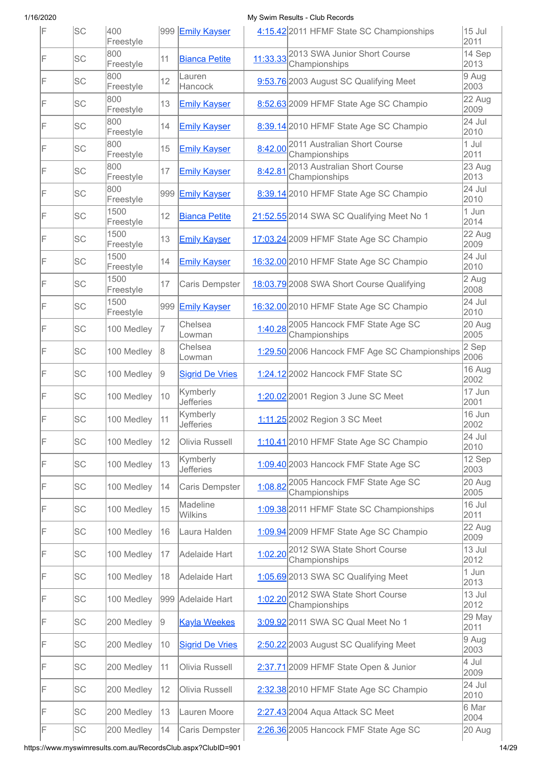| F | lsc       | 400<br>Freestyle  |    | 999 Emily Kayser             |         | 4:15.42 2011 HFMF State SC Championships               | 15 Jul<br>2011 |
|---|-----------|-------------------|----|------------------------------|---------|--------------------------------------------------------|----------------|
| F | <b>SC</b> | 800<br>Freestyle  | 11 | <b>Bianca Petite</b>         |         | 11:33.33 2013 SWA Junior Short Course<br>Championships | 14 Sep<br>2013 |
| F | <b>SC</b> | 800<br>Freestyle  | 12 | Lauren<br>Hancock            |         | 9:53.76 2003 August SC Qualifying Meet                 | 9 Aug<br>2003  |
| F | <b>SC</b> | 800<br>Freestyle  | 13 | <b>Emily Kayser</b>          |         | 8:52.63 2009 HFMF State Age SC Champio                 | 22 Aug<br>2009 |
| F | <b>SC</b> | 800<br>Freestyle  | 14 | <b>Emily Kayser</b>          |         | 8:39.14 2010 HFMF State Age SC Champio                 | 24 Jul<br>2010 |
| F | <b>SC</b> | 800<br>Freestyle  | 15 | <b>Emily Kayser</b>          |         | 8:42.00 2011 Australian Short Course<br>Championships  | 1 Jul<br>2011  |
| F | <b>SC</b> | 800<br>Freestyle  | 17 | <b>Emily Kayser</b>          | 8:42.81 | 2013 Australian Short Course<br>Championships          | 23 Aug<br>2013 |
| F | <b>SC</b> | 800<br>Freestyle  |    | 999 Emily Kayser             |         | 8:39.14 2010 HFMF State Age SC Champio                 | 24 Jul<br>2010 |
| F | <b>SC</b> | 1500<br>Freestyle | 12 | <b>Bianca Petite</b>         |         | 21:52.55 2014 SWA SC Qualifying Meet No 1              | 1 Jun<br>2014  |
| F | <b>SC</b> | 1500<br>Freestyle | 13 | <b>Emily Kayser</b>          |         | 17:03.24 2009 HFMF State Age SC Champio                | 22 Aug<br>2009 |
| F | <b>SC</b> | 1500<br>Freestyle | 14 | <b>Emily Kayser</b>          |         | 16:32.00 2010 HFMF State Age SC Champio                | 24 Jul<br>2010 |
| F | <b>SC</b> | 1500<br>Freestyle | 17 | Caris Dempster               |         | 18:03.79 2008 SWA Short Course Qualifying              | 2 Aug<br>2008  |
| F | <b>SC</b> | 1500<br>Freestyle |    | 999 Emily Kayser             |         | 16:32.00 2010 HFMF State Age SC Champio                | 24 Jul<br>2010 |
| F | <b>SC</b> | 100 Medley        | 7  | Chelsea<br>Lowman            |         | 1:40.28 2005 Hancock FMF State Age SC<br>Championships | 20 Aug<br>2005 |
| F | SC        | 100 Medley        | 8  | Chelsea<br>Lowman            |         | 1:29.50 2006 Hancock FMF Age SC Championships          | 2 Sep<br>2006  |
| F | <b>SC</b> | 100 Medley        | 19 | <b>Sigrid De Vries</b>       |         | 1:24.12 2002 Hancock FMF State SC                      | 16 Aug<br>2002 |
| F | SC        | 100 Medley        | 10 | Kymberly<br><b>Jefferies</b> |         | 1:20.02 2001 Region 3 June SC Meet                     | 17 Jun<br>2001 |
| F | <b>SC</b> | 100 Medley        | 11 | Kymberly<br>Jefferies        |         | 1:11.25 2002 Region 3 SC Meet                          | 16 Jun<br>2002 |
| F | <b>SC</b> | 100 Medley        | 12 | Olivia Russell               |         | 1:10.41 2010 HFMF State Age SC Champio                 | 24 Jul<br>2010 |
| F | <b>SC</b> | 100 Medley        | 13 | Kymberly<br><b>Jefferies</b> |         | 1:09.40 2003 Hancock FMF State Age SC                  | 12 Sep<br>2003 |
| F | SC        | 100 Medley        | 14 | Caris Dempster               | 1:08.82 | 2005 Hancock FMF State Age SC<br>Championships         | 20 Aug<br>2005 |
| F | SC        | 100 Medley        | 15 | Madeline<br>Wilkins          |         | 1:09.38 2011 HFMF State SC Championships               | 16 Jul<br>2011 |
| F | <b>SC</b> | 100 Medley        | 16 | Laura Halden                 |         | 1:09.94 2009 HFMF State Age SC Champio                 | 22 Aug<br>2009 |
| F | <b>SC</b> | 100 Medley        | 17 | Adelaide Hart                |         | 1:02.20 2012 SWA State Short Course<br>Championships   | 13 Jul<br>2012 |
| F | <b>SC</b> | 100 Medley        | 18 | Adelaide Hart                |         | 1:05.69 2013 SWA SC Qualifying Meet                    | 1 Jun<br>2013  |
| F | <b>SC</b> | 100 Medley        |    | 999 Adelaide Hart            |         | 1:02.20 2012 SWA State Short Course<br>Championships   | 13 Jul<br>2012 |
| F | <b>SC</b> | 200 Medley        | 9  | <b>Kayla Weekes</b>          |         | 3:09.92 2011 SWA SC Qual Meet No 1                     | 29 May<br>2011 |
| F | SC        | 200 Medley        | 10 | <b>Sigrid De Vries</b>       |         | 2:50.22 2003 August SC Qualifying Meet                 | 9 Aug<br>2003  |
| F | SC        | 200 Medley        | 11 | Olivia Russell               |         | 2:37.71 2009 HFMF State Open & Junior                  | 4 Jul<br>2009  |
| F | SC        | 200 Medley        | 12 | Olivia Russell               |         | 2:32.38 2010 HFMF State Age SC Champio                 | 24 Jul<br>2010 |
| F | SC        | 200 Medley        | 13 | Lauren Moore                 |         | 2:27.43 2004 Aqua Attack SC Meet                       | 6 Mar<br>2004  |
|   | <b>SC</b> | 200 Medley        |    | Caris Dempster               |         |                                                        |                |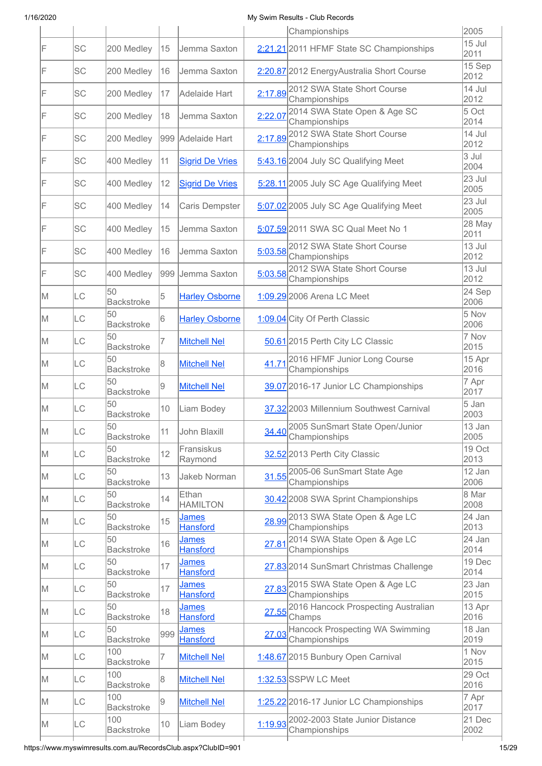|     |           |                          |     |                                 |         | Championships                                          | 2005             |
|-----|-----------|--------------------------|-----|---------------------------------|---------|--------------------------------------------------------|------------------|
| F   | SC        | 200 Medley               | 15  | Jemma Saxton                    |         | 2:21.21 2011 HFMF State SC Championships               | 15 Jul<br>2011   |
| IF  | SC        | 200 Medley               | 16  | Jemma Saxton                    |         | 2:20.87 2012 EnergyAustralia Short Course              | 15 Sep<br>2012   |
| IF  | <b>SC</b> | 200 Medley               | 17  | Adelaide Hart                   |         | 2:17.89 2012 SWA State Short Course<br>Championships   | 14 Jul<br>2012   |
| IF  | SC        | 200 Medley               | 18  | Jemma Saxton                    | 2:22.07 | 2014 SWA State Open & Age SC<br>Championships          | 5 Oct<br>2014    |
| F   | SC        | 200 Medley               |     | 999 Adelaide Hart               |         | 2:17.89 2012 SWA State Short Course<br>Championships   | 14 Jul<br>2012   |
| F   | SC        | 400 Medley               | 11  | <b>Sigrid De Vries</b>          |         | 5:43.16 2004 July SC Qualifying Meet                   | 3 Jul<br>2004    |
| F   | <b>SC</b> | 400 Medley               | 12  | <b>Sigrid De Vries</b>          |         | 5:28.11 2005 July SC Age Qualifying Meet               | 23 Jul<br>2005   |
| F   | <b>SC</b> | 400 Medley               | 14  | Caris Dempster                  |         | 5:07.02 2005 July SC Age Qualifying Meet               | 23 Jul<br>2005   |
| F   | SC        | 400 Medley               | 15  | Jemma Saxton                    |         | 5:07.59 2011 SWA SC Qual Meet No 1                     | 28 May<br>2011   |
| IF  | SC        | 400 Medley               | 16  | Jemma Saxton                    |         | 5:03.58 2012 SWA State Short Course<br>Championships   | 13 Jul<br>2012   |
| F   | <b>SC</b> | 400 Medley               | 999 | Jemma Saxton                    | 5:03.58 | 2012 SWA State Short Course<br>Championships           | 13 Jul<br>2012   |
| M   | LC        | 50<br><b>Backstroke</b>  | 5   | <b>Harley Osborne</b>           |         | 1:09.29 2006 Arena LC Meet                             | $24$ Sep<br>2006 |
| M   | LC        | 50<br><b>Backstroke</b>  | 6   | <b>Harley Osborne</b>           |         | 1:09.04 City Of Perth Classic                          | 5 Nov<br>2006    |
| M   | LC        | 50<br><b>Backstroke</b>  | 7   | <b>Mitchell Nel</b>             |         | 50.61 2015 Perth City LC Classic                       | 7 Nov<br>2015    |
| IM. | LC        | 50<br><b>Backstroke</b>  | 8   | <b>Mitchell Nel</b>             | 41.71   | 2016 HFMF Junior Long Course<br>Championships          | 15 Apr<br>2016   |
| M   | LC        | 50<br><b>Backstroke</b>  | 9   | <b>Mitchell Nel</b>             |         | 39.07 2016-17 Junior LC Championships                  | 7 Apr<br>2017    |
| M   | LC        | 50<br><b>Backstroke</b>  | 10  | Liam Bodey                      |         | 37.32 2003 Millennium Southwest Carnival               | 5 Jan<br>2003    |
| ΙM  | ILC       | 50<br><b>Backstroke</b>  | 11  | John Blaxill                    |         | 2005 SunSmart State Open/Junior<br>34.40 Championships | 13 Jan<br>2005   |
| M   | <b>LC</b> | 50<br><b>Backstroke</b>  | 12  | Fransiskus<br>Raymond           |         | 32.52 2013 Perth City Classic                          | 19 Oct<br>2013   |
| M   | LC        | 50<br><b>Backstroke</b>  | 13  | Jakeb Norman                    | 31.55   | 2005-06 SunSmart State Age<br>Championships            | 12 Jan<br>2006   |
| M   | LC        | 50<br><b>Backstroke</b>  | 14  | Ethan<br><b>HAMILTON</b>        |         | 30.42 2008 SWA Sprint Championships                    | 8 Mar<br>2008    |
| M   | LC        | 50<br><b>Backstroke</b>  | 15  | <u>James</u><br><b>Hansford</b> |         | 28.99 2013 SWA State Open & Age LC<br>Championships    | 24 Jan<br>2013   |
| M   | LC        | 50<br><b>Backstroke</b>  | 16  | <b>James</b><br><b>Hansford</b> | 27.81   | 2014 SWA State Open & Age LC<br>Championships          | 24 Jan<br>2014   |
| M   | LC        | 50<br><b>Backstroke</b>  | 17  | <b>James</b><br><b>Hansford</b> |         | 27.83 2014 SunSmart Christmas Challenge                | 19 Dec<br>2014   |
| IM. | LC        | 50<br><b>Backstroke</b>  | 17  | <b>James</b><br><b>Hansford</b> | 27.83   | 2015 SWA State Open & Age LC<br>Championships          | 23 Jan<br>2015   |
| IM. | LC        | 50<br><b>Backstroke</b>  | 18  | <b>James</b><br><b>Hansford</b> | 27.55   | 2016 Hancock Prospecting Australian<br>Champs          | 13 Apr<br>2016   |
| IM. | LC        | 50<br><b>Backstroke</b>  | 999 | <b>James</b><br><b>Hansford</b> | 27.03   | Hancock Prospecting WA Swimming<br>Championships       | 18 Jan<br>2019   |
| IM. | LC        | 100<br><b>Backstroke</b> | 7   | <b>Mitchell Nel</b>             |         | 1:48.67 2015 Bunbury Open Carnival                     | 1 Nov<br>2015    |
| M   | LC        | 100<br><b>Backstroke</b> | 8   | <b>Mitchell Nel</b>             |         | 1:32.53 SSPW LC Meet                                   | 29 Oct<br>2016   |
| IM. | LC        | 100<br><b>Backstroke</b> | 9   | <b>Mitchell Nel</b>             |         | 1:25.22 2016-17 Junior LC Championships                | 7 Apr<br>2017    |
| M   | LC        | 100<br><b>Backstroke</b> | 10  | Liam Bodey                      | 1:19.93 | 2002-2003 State Junior Distance<br>Championships       | 21 Dec<br>2002   |
|     |           |                          |     |                                 |         |                                                        |                  |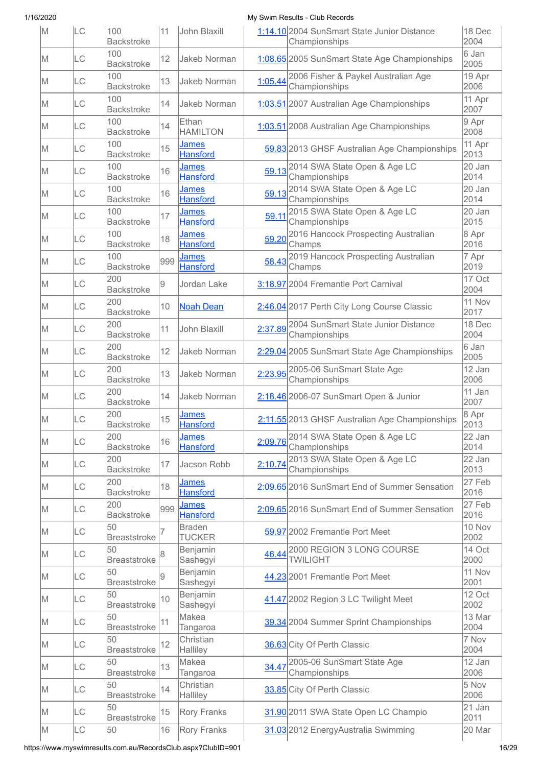| M  | LC  | 100<br><b>Backstroke</b>  | 11  | John Blaxill                    |         | 1:14.10 2004 SunSmart State Junior Distance<br>Championships | 18 Dec<br>2004 |
|----|-----|---------------------------|-----|---------------------------------|---------|--------------------------------------------------------------|----------------|
| M  | ILС | 100<br><b>Backstroke</b>  | 12  | Jakeb Norman                    |         | 1:08.65 2005 SunSmart State Age Championships                | 6 Jan<br>2005  |
| lΜ | LC  | 100<br><b>Backstroke</b>  | 13  | Jakeb Norman                    | 1:05.44 | 2006 Fisher & Paykel Australian Age<br>Championships         | 19 Apr<br>2006 |
| ΙM | LC  | 100<br><b>Backstroke</b>  | 14  | Jakeb Norman                    |         | 1:03.51 2007 Australian Age Championships                    | 11 Apr<br>2007 |
| M  | LC  | 100<br><b>Backstroke</b>  | 14  | Ethan<br><b>HAMILTON</b>        |         | 1:03.51 2008 Australian Age Championships                    | 9 Apr<br>2008  |
| lΜ | LC  | 100<br><b>Backstroke</b>  | 15  | James<br><b>Hansford</b>        |         | 59.83 2013 GHSF Australian Age Championships                 | 11 Apr<br>2013 |
| lΜ | LC  | 100<br><b>Backstroke</b>  | 16  | <b>James</b><br><b>Hansford</b> |         | 59.13 2014 SWA State Open & Age LC<br>Championships          | 20 Jan<br>2014 |
| lΜ | LC  | 100<br><b>Backstroke</b>  | 16  | <b>James</b><br><b>Hansford</b> | 59.13   | 2014 SWA State Open & Age LC<br>Championships                | 20 Jan<br>2014 |
| lΜ | LC  | 100<br><b>Backstroke</b>  | 17  | <b>James</b><br><b>Hansford</b> | 59.11   | 2015 SWA State Open & Age LC<br>Championships                | 20 Jan<br>2015 |
| M  | LC  | 100<br><b>Backstroke</b>  | 18  | <b>James</b><br><b>Hansford</b> | 59.20   | 2016 Hancock Prospecting Australian<br>Champs                | 8 Apr<br>2016  |
| lΜ | LC  | 100<br><b>Backstroke</b>  | 999 | James<br><b>Hansford</b>        | 58.43   | 2019 Hancock Prospecting Australian<br>Champs                | 7 Apr<br>2019  |
| M  | LC  | 200<br><b>Backstroke</b>  | 9   | Jordan Lake                     |         | 3:18.97 2004 Fremantle Port Carnival                         | 17 Oct<br>2004 |
| lΜ | LC  | 200<br><b>Backstroke</b>  | 10  | <b>Noah Dean</b>                |         | 2:46.04 2017 Perth City Long Course Classic                  | 11 Nov<br>2017 |
| M  | LC  | 200<br><b>Backstroke</b>  | 11  | John Blaxill                    |         | 2:37.89 2004 SunSmart State Junior Distance<br>Championships | 18 Dec<br>2004 |
| lΜ | LC  | 200<br><b>Backstroke</b>  | 12  | Jakeb Norman                    |         | 2:29.04 2005 SunSmart State Age Championships                | 6 Jan<br>2005  |
| lΜ | LC  | 200<br><b>Backstroke</b>  | 13  | Jakeb Norman                    |         | 2:23.95 2005-06 SunSmart State Age<br>Championships          | 12 Jan<br>2006 |
| lΜ | LC  | 200<br><b>Backstroke</b>  | 14  | Jakeb Norman                    |         | 2:18.46 2006-07 SunSmart Open & Junior                       | 11 Jan<br>2007 |
| M  | LC  | 200<br><b>Backstroke</b>  | 15  | <u>James</u><br><b>Hansford</b> |         | 2:11.55 2013 GHSF Australian Age Championships               | 8 Apr<br>2013  |
| M  | LC  | 200<br><b>Backstroke</b>  | 16  | <b>James</b><br><b>Hansford</b> | 2:09.76 | 2014 SWA State Open & Age LC<br>Championships                | 22 Jan<br>2014 |
| M  | LC  | 200<br><b>Backstroke</b>  | 17  | Jacson Robb                     | 2:10.74 | 2013 SWA State Open & Age LC<br>Championships                | 22 Jan<br>2013 |
| M  | LC  | 200<br><b>Backstroke</b>  | 18  | James<br><b>Hansford</b>        |         | 2:09.65 2016 SunSmart End of Summer Sensation                | 27 Feb<br>2016 |
| lΜ | LC  | 200<br><b>Backstroke</b>  | 999 | <u>James</u><br><b>Hansford</b> |         | 2:09.65 2016 SunSmart End of Summer Sensation                | 27 Feb<br>2016 |
| lΜ | LC  | 50<br><b>Breaststroke</b> | 7   | <b>Braden</b><br><b>TUCKER</b>  |         | 59.97 2002 Fremantle Port Meet                               | 10 Nov<br>2002 |
| lΜ | LC  | 50<br><b>Breaststroke</b> | 8   | Benjamin<br>Sashegyi            | 46.44   | 2000 REGION 3 LONG COURSE<br><b>TWILIGHT</b>                 | 14 Oct<br>2000 |
| M  | LC  | 50<br><b>Breaststroke</b> | 9   | Benjamin<br>Sashegyi            |         | 44.23 2001 Fremantle Port Meet                               | 11 Nov<br>2001 |
| lΜ | LC  | 50<br><b>Breaststroke</b> | 10  | Benjamin<br>Sashegyi            |         | 41.47 2002 Region 3 LC Twilight Meet                         | 12 Oct<br>2002 |
| M  | LC  | 50<br><b>Breaststroke</b> | 11  | Makea<br>Tangaroa               |         | 39.34 2004 Summer Sprint Championships                       | 13 Mar<br>2004 |
| M  | LC  | 50<br><b>Breaststroke</b> | 12  | Christian<br>Halliley           |         | 36.63 City Of Perth Classic                                  | 7 Nov<br>2004  |
| M  | LC  | 50<br><b>Breaststroke</b> | 13  | Makea<br>Tangaroa               | 34.47   | 2005-06 SunSmart State Age<br>Championships                  | 12 Jan<br>2006 |
| lΜ | LC  | 50<br><b>Breaststroke</b> | 14  | Christian<br>Halliley           |         | 33.85 City Of Perth Classic                                  | 5 Nov<br>2006  |
| M  | LC  | 50<br><b>Breaststroke</b> | 15  | <b>Rory Franks</b>              |         | 31.90 2011 SWA State Open LC Champio                         | 21 Jan<br>2011 |
| M  | LC  | 50                        | 16  | Rory Franks                     |         | 31.03 2012 EnergyAustralia Swimming                          | 20 Mar         |

https://www.myswimresults.com.au/RecordsClub.aspx?ClubID=901 16/29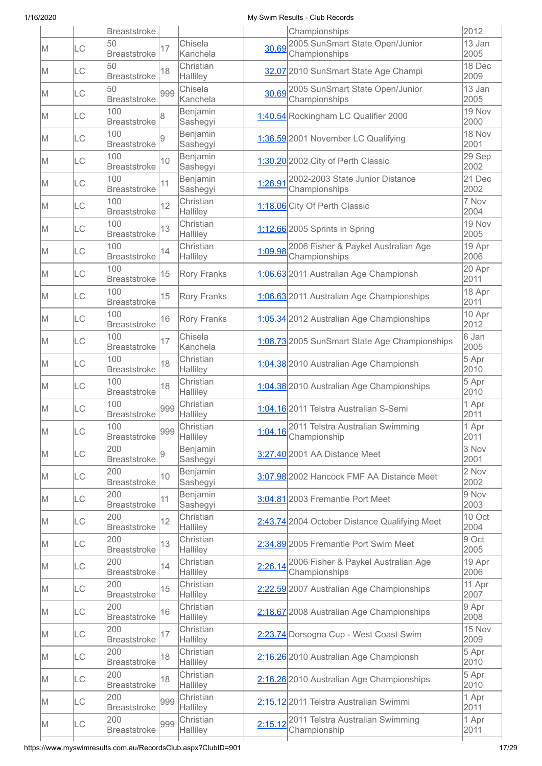|     |           | <b>Breaststroke</b>        |     |                       |         | Championships                                            | 2012           |
|-----|-----------|----------------------------|-----|-----------------------|---------|----------------------------------------------------------|----------------|
| M   | ILС       | 50<br><b>Breaststroke</b>  | 17  | Chisela<br>Kanchela   | 30.69   | 2005 SunSmart State Open/Junior<br>Championships         | 13 Jan<br>2005 |
| M   | LC        | 50<br><b>Breaststroke</b>  | 18  | Christian<br>Halliley |         | 32.07 2010 SunSmart State Age Champi                     | 18 Dec<br>2009 |
| M   | LC        | 50<br><b>Breaststroke</b>  | 999 | Chisela<br>Kanchela   | 30.69   | 2005 SunSmart State Open/Junior<br>Championships         | 13 Jan<br>2005 |
| M   | LC        | 100<br><b>Breaststroke</b> | 8   | Benjamin<br>Sashegyi  |         | 1:40.54 Rockingham LC Qualifier 2000                     | 19 Nov<br>2000 |
| M   | LC        | 100<br><b>Breaststroke</b> | 9   | Benjamin<br>Sashegyi  |         | 1:36.59 2001 November LC Qualifying                      | 18 Nov<br>2001 |
| M   | LC        | 100<br><b>Breaststroke</b> | 10  | Benjamin<br>Sashegyi  |         | 1:30.20 2002 City of Perth Classic                       | 29 Sep<br>2002 |
| M   | LC        | 100<br><b>Breaststroke</b> | 11  | Benjamin<br>Sashegyi  | 1:26.91 | 2002-2003 State Junior Distance<br>Championships         | 21 Dec<br>2002 |
| M   | LC        | 100<br><b>Breaststroke</b> | 12  | Christian<br>Halliley |         | 1:18.06 City Of Perth Classic                            | 7 Nov<br>2004  |
| M   | LC        | 100<br><b>Breaststroke</b> | 13  | Christian<br>Halliley |         | 1:12.66 2005 Sprints in Spring                           | 19 Nov<br>2005 |
| M   | LC        | 100<br><b>Breaststroke</b> | 14  | Christian<br>Halliley | 1:09.98 | 2006 Fisher & Paykel Australian Age<br>Championships     | 19 Apr<br>2006 |
| M   | <b>LC</b> | 100<br><b>Breaststroke</b> | 15  | <b>Rory Franks</b>    |         | 1:06.63 2011 Australian Age Championsh                   | 20 Apr<br>2011 |
| M   | LC        | 100<br><b>Breaststroke</b> | 15  | <b>Rory Franks</b>    |         | 1:06.63 2011 Australian Age Championships                | 18 Apr<br>2011 |
| M   | LC        | 100<br><b>Breaststroke</b> | 16  | <b>Rory Franks</b>    |         | 1:05.34 2012 Australian Age Championships                | 10 Apr<br>2012 |
| M   | LC        | 100<br><b>Breaststroke</b> | 17  | Chisela<br>Kanchela   |         | 1:08.73 2005 SunSmart State Age Championships            | 6 Jan<br>2005  |
| M   | LC        | 100<br><b>Breaststroke</b> | 18  | Christian<br>Halliley |         | 1:04.38 2010 Australian Age Championsh                   | 5 Apr<br>2010  |
| M   | LC        | 100<br><b>Breaststroke</b> | 18  | Christian<br>Halliley |         | 1:04.38 2010 Australian Age Championships                | 5 Apr<br>2010  |
| IM. | LC        | 100<br><b>Breaststroke</b> | 999 | Christian<br>Halliley |         | 1:04.16 2011 Telstra Australian S-Semi                   | 1 Apr<br>2011  |
| M   | LC        | 100<br><b>Breaststroke</b> | 999 | Christian<br>Halliley |         | 1:04.16 2011 Telstra Australian Swimming<br>Championship | 1 Apr<br>2011  |
| M   | <b>LC</b> | 200<br><b>Breaststroke</b> | 9   | Benjamin<br>Sashegyi  |         | 3:27.40 2001 AA Distance Meet                            | 3 Nov<br>2001  |
| IM. | LC        | 200<br><b>Breaststroke</b> | 10  | Benjamin<br>Sashegyi  |         | 3:07.98 2002 Hancock FMF AA Distance Meet                | 2 Nov<br>2002  |
| M   | LC        | 200<br><b>Breaststroke</b> | 11  | Benjamin<br>Sashegyi  |         | 3:04.81 2003 Fremantle Port Meet                         | 9 Nov<br>2003  |
| IM. | LC        | 200<br><b>Breaststroke</b> | 12  | Christian<br>Halliley |         | 2:43.74 2004 October Distance Qualifying Meet            | 10 Oct<br>2004 |
| IM. | LC        | 200<br><b>Breaststroke</b> | 13  | Christian<br>Halliley |         | 2:34.89 2005 Fremantle Port Swim Meet                    | 9 Oct<br>2005  |
| M   | LC        | 200<br><b>Breaststroke</b> | 14  | Christian             | 2:26.14 | 2006 Fisher & Paykel Australian Age<br>Championships     | 19 Apr<br>2006 |
| IM. | LC        | 200                        | 15  | Halliley<br>Christian |         | 2:22.59 2007 Australian Age Championships                | 11 Apr<br>2007 |
| M   | LC        | <b>Breaststroke</b><br>200 | 16  | Halliley<br>Christian |         | 2:18.67 2008 Australian Age Championships                | 9 Apr<br>2008  |
| M   | LC        | <b>Breaststroke</b><br>200 | 17  | Halliley<br>Christian |         | 2:23.74 Dorsogna Cup - West Coast Swim                   | 15 Nov         |
| M   | LC        | <b>Breaststroke</b><br>200 | 18  | Halliley<br>Christian |         | 2:16.26 2010 Australian Age Championsh                   | 2009<br>5 Apr  |
| IM. | LC        | <b>Breaststroke</b><br>200 | 18  | Halliley<br>Christian |         | 2:16.26 2010 Australian Age Championships                | 2010<br>5 Apr  |
| IM. | LC        | <b>Breaststroke</b><br>200 | 999 | Halliley<br>Christian |         | 2:15.12 2011 Telstra Australian Swimmi                   | 2010<br>1 Apr  |
| M   | LC        | <b>Breaststroke</b><br>200 | 999 | Halliley<br>Christian |         | 2:15.12 2011 Telstra Australian Swimming                 | 2011<br>1 Apr  |
|     |           | <b>Breaststroke</b>        |     | Halliley              |         | Championship                                             | 2011           |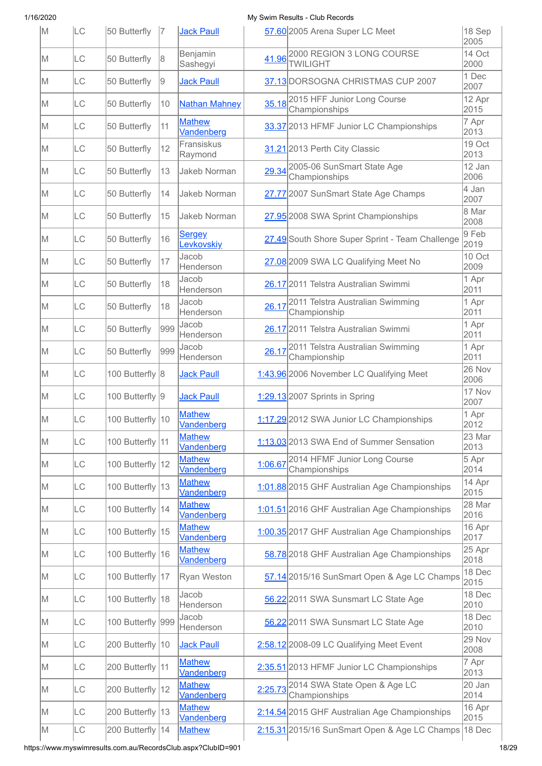| M   | <b>LC</b> | 50 Butterfly      | 17  | <b>Jack Paull</b>           |         | 57.60 2005 Arena Super LC Meet                       | 18 Sep<br>2005 |
|-----|-----------|-------------------|-----|-----------------------------|---------|------------------------------------------------------|----------------|
| M   | LC        | 50 Butterfly      | 8   | Benjamin<br>Sashegyi        | 41.96   | 2000 REGION 3 LONG COURSE<br><b>TWILIGHT</b>         | 14 Oct<br>2000 |
| M   | LC        | 50 Butterfly      | 9   | <b>Jack Paull</b>           |         | 37.13 DORSOGNA CHRISTMAS CUP 2007                    | 1 Dec<br>2007  |
| M   | LC        | 50 Butterfly      | 10  | <b>Nathan Mahney</b>        |         | 35.18 2015 HFF Junior Long Course<br>Championships   | 12 Apr<br>2015 |
| lΜ  | LC        | 50 Butterfly      | 11  | <b>Mathew</b><br>Vandenberg |         | 33.37 2013 HFMF Junior LC Championships              | 7 Apr<br>2013  |
| lΜ  | LC        | 50 Butterfly      | 12  | Fransiskus<br>Raymond       |         | 31.21 2013 Perth City Classic                        | 19 Oct<br>2013 |
| M   | <b>LC</b> | 50 Butterfly      | 13  | Jakeb Norman                |         | 29.34 2005-06 SunSmart State Age<br>Championships    | 12 Jan<br>2006 |
| M   | LC        | 50 Butterfly      | 14  | Jakeb Norman                |         | 27.77 2007 SunSmart State Age Champs                 | 4 Jan<br>2007  |
| lΜ  | LC        | 50 Butterfly      | 15  | Jakeb Norman                |         | 27.95 2008 SWA Sprint Championships                  | 8 Mar<br>2008  |
| M   | LC        | 50 Butterfly      | 16  | Sergey<br>Levkovskiy        |         | 27.49 South Shore Super Sprint - Team Challenge      | 9 Feb<br>2019  |
| M   | LC        | 50 Butterfly      | 17  | Jacob<br>Henderson          |         | 27.08 2009 SWA LC Qualifying Meet No                 | 10 Oct<br>2009 |
| M   | LC        | 50 Butterfly      | 18  | Jacob<br>Henderson          |         | 26.17 2011 Telstra Australian Swimmi                 | 1 Apr<br>2011  |
| M   | LC        | 50 Butterfly      | 18  | Jacob<br>Henderson          | 26.17   | 2011 Telstra Australian Swimming<br>Championship     | 1 Apr<br>2011  |
| M   | LC        | 50 Butterfly      | 999 | Jacob<br>Henderson          |         | 26.17 2011 Telstra Australian Swimmi                 | 1 Apr<br>2011  |
| M   | <b>LC</b> | 50 Butterfly      | 999 | Jacob<br>Henderson          | 26.17   | 2011 Telstra Australian Swimming<br>Championship     | 1 Apr<br>2011  |
| M   | LC        | 100 Butterfly 8   |     | <b>Jack Paull</b>           |         | 1:43.96 2006 November LC Qualifying Meet             | 26 Nov<br>2006 |
| lΜ  | LC        | 100 Butterfly 9   |     | <b>Jack Paull</b>           |         | 1:29.13 2007 Sprints in Spring                       | 17 Nov<br>2007 |
| M   | LC        | 100 Butterfly 10  |     | <b>Mathew</b><br>Vandenberg |         | 1:17.29 2012 SWA Junior LC Championships             | 1 Apr<br>2012  |
| M   | LC        | 100 Butterfly 11  |     | <b>Mathew</b><br>Vandenberg |         | 1:13.03 2013 SWA End of Summer Sensation             | 23 Mar<br>2013 |
| M   | LC        | 100 Butterfly 12  |     | <b>Mathew</b><br>Vandenberg | 1:06.67 | 2014 HFMF Junior Long Course<br>Championships        | 5 Apr<br>2014  |
| M   | LC        | 100 Butterfly 13  |     | <b>Mathew</b><br>Vandenberg |         | 1:01.88 2015 GHF Australian Age Championships        | 14 Apr<br>2015 |
| M   | LC        | 100 Butterfly 14  |     | <b>Mathew</b><br>Vandenberg |         | 1:01.51 2016 GHF Australian Age Championships        | 28 Mar<br>2016 |
| M   | LC        | 100 Butterfly 15  |     | <b>Mathew</b><br>Vandenberg |         | 1:00.35 2017 GHF Australian Age Championships        | 16 Apr<br>2017 |
| IM. | LC        | 100 Butterfly 16  |     | <b>Mathew</b><br>Vandenberg |         | 58.78 2018 GHF Australian Age Championships          | 25 Apr<br>2018 |
| M   | LC        | 100 Butterfly 17  |     | Ryan Weston                 |         | 57.14 2015/16 SunSmart Open & Age LC Champs          | 18 Dec<br>2015 |
| M   | LC        | 100 Butterfly 18  |     | Jacob<br>Henderson          |         | 56.22 2011 SWA Sunsmart LC State Age                 | 18 Dec<br>2010 |
| M   | LC        | 100 Butterfly 999 |     | Jacob<br>Henderson          |         | 56.22 2011 SWA Sunsmart LC State Age                 | 18 Dec<br>2010 |
| M   | LC        | 200 Butterfly 10  |     | <b>Jack Paull</b>           |         | 2:58.12 2008-09 LC Qualifying Meet Event             | 29 Nov<br>2008 |
| M   | LC        | 200 Butterfly 11  |     | <b>Mathew</b><br>Vandenberg |         | 2:35.51 2013 HFMF Junior LC Championships            | 7 Apr<br>2013  |
| M   | <b>LC</b> | 200 Butterfly 12  |     | <b>Mathew</b><br>Vandenberg | 2:25.73 | 2014 SWA State Open & Age LC<br>Championships        | 20 Jan<br>2014 |
| M   | LC        | 200 Butterfly 13  |     | <b>Mathew</b><br>Vandenberg |         | 2:14.54 2015 GHF Australian Age Championships        | 16 Apr<br>2015 |
| M   | LC        | 200 Butterfly 14  |     | <b>Mathew</b>               |         | 2:15.31 2015/16 SunSmart Open & Age LC Champs 18 Dec |                |

https://www.myswimresults.com.au/RecordsClub.aspx?ClubID=901 18/29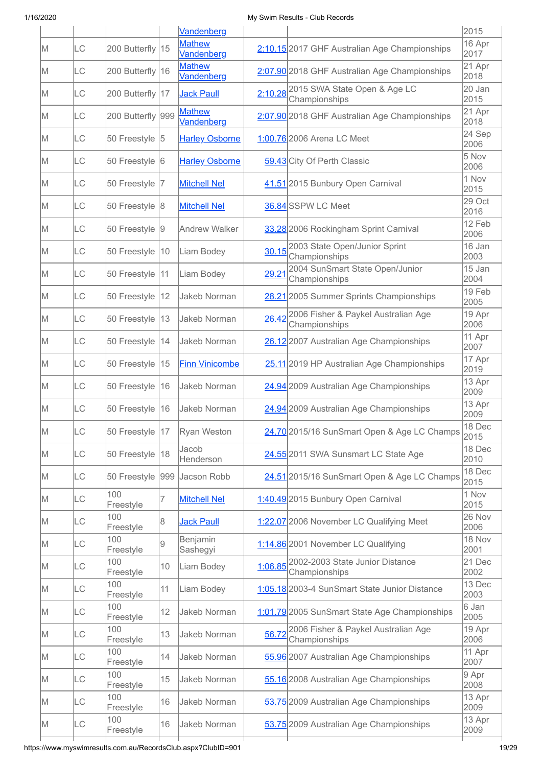|    |           |                   |              | Vandenberg                  |         |                                                       | 2015             |
|----|-----------|-------------------|--------------|-----------------------------|---------|-------------------------------------------------------|------------------|
| M  | LC        | 200 Butterfly 15  |              | <b>Mathew</b><br>Vandenberg |         | 2:10.15 2017 GHF Australian Age Championships         | $16$ Apr<br>2017 |
| M  | LC        | 200 Butterfly 16  |              | <b>Mathew</b><br>Vandenberg |         | 2:07.90 2018 GHF Australian Age Championships         | 21 Apr<br>2018   |
| M  | LC        | 200 Butterfly 17  |              | <b>Jack Paull</b>           |         | 2:10.28 2015 SWA State Open & Age LC<br>Championships | 20 Jan<br>2015   |
| ΙM | LC        | 200 Butterfly 999 |              | <b>Mathew</b><br>Vandenberg |         | 2:07.90 2018 GHF Australian Age Championships         | 21 Apr<br>2018   |
| ΙM | <b>LC</b> | 50 Freestyle 5    |              | <b>Harley Osborne</b>       |         | 1:00.76 2006 Arena LC Meet                            | 24 Sep<br>2006   |
| M  | LC        | 50 Freestyle 6    |              | <b>Harley Osborne</b>       |         | 59.43 City Of Perth Classic                           | 5 Nov<br>2006    |
| lΜ | LC        | 50 Freestyle  7   |              | <b>Mitchell Nel</b>         |         | 41.51 2015 Bunbury Open Carnival                      | 1 Nov<br>2015    |
| lΜ | LC        | 50 Freestyle 8    |              | <b>Mitchell Nel</b>         |         | 36.84 SSPW LC Meet                                    | 29 Oct<br>2016   |
| M  | <b>LC</b> | 50 Freestyle 9    |              | <b>Andrew Walker</b>        |         | 33.28 2006 Rockingham Sprint Carnival                 | 12 Feb<br>2006   |
| M  | LC        | 50 Freestyle 10   |              | Liam Bodey                  | 30.15   | 2003 State Open/Junior Sprint<br>Championships        | 16 Jan<br>2003   |
| M  | LC        | 50 Freestyle  11  |              | Liam Bodey                  | 29.21   | 2004 SunSmart State Open/Junior<br>Championships      | 15 Jan<br>2004   |
| M  | LC        | 50 Freestyle      | 12           | Jakeb Norman                |         | 28.21 2005 Summer Sprints Championships               | 19 Feb<br>2005   |
| lΜ | <b>LC</b> | 50 Freestyle      | $ 13\rangle$ | Jakeb Norman                | 26.42   | 2006 Fisher & Paykel Australian Age<br>Championships  | 19 Apr<br>2006   |
| M  | LC        | 50 Freestyle 14   |              | Jakeb Norman                |         | 26.12 2007 Australian Age Championships               | 11 Apr<br>2007   |
| lΜ | LC        | 50 Freestyle   15 |              | <b>Finn Vinicombe</b>       |         | 25.11 2019 HP Australian Age Championships            | 17 Apr<br>2019   |
| lΜ | LC        | 50 Freestyle 16   |              | Jakeb Norman                |         | 24.94 2009 Australian Age Championships               | 13 Apr<br>2009   |
| M  | <b>LC</b> | 50 Freestyle 16   |              | Jakeb Norman                |         | 24.94 2009 Australian Age Championships               | 13 Apr<br>2009   |
| M  | LC        | 50 Freestyle 17   |              | Ryan Weston                 |         | 24.70 2015/16 SunSmart Open & Age LC Champs           | 18 Dec<br>2015   |
| M  | LC        | 50 Freestyle      | 18           | Jacob<br>Henderson          |         | 24.55 2011 SWA Sunsmart LC State Age                  | 18 Dec<br>2010   |
| M  | LC        | 50 Freestyle      | 999          | Jacson Robb                 |         | 24.51 2015/16 SunSmart Open & Age LC Champs           | 18 Dec<br>2015   |
| M  | LC        | 100<br>Freestyle  | 7            | <b>Mitchell Nel</b>         |         | 1:40.49 2015 Bunbury Open Carnival                    | 1 Nov<br>2015    |
| M  | LC        | 100<br>Freestyle  | 8            | <b>Jack Paull</b>           |         | 1:22.07 2006 November LC Qualifying Meet              | 26 Nov<br>2006   |
| M  | LC        | 100<br>Freestyle  | 9            | Benjamin<br>Sashegyi        |         | 1:14.86 2001 November LC Qualifying                   | 18 Nov<br>2001   |
| M  | LC        | 100<br>Freestyle  | 10           | Liam Bodey                  | 1:06.85 | 2002-2003 State Junior Distance<br>Championships      | 21 Dec<br>2002   |
| M  | LC        | 100<br>Freestyle  | 11           | Liam Bodey                  |         | 1:05.18 2003-4 SunSmart State Junior Distance         | 13 Dec<br>2003   |
| M  | LC        | 100<br>Freestyle  | 12           | Jakeb Norman                |         | 1:01.79 2005 SunSmart State Age Championships         | 6 Jan<br>2005    |
| M  | LC        | 100<br>Freestyle  | 13           | Jakeb Norman                | 56.72   | 2006 Fisher & Paykel Australian Age<br>Championships  | 19 Apr<br>2006   |
| M  | <b>LC</b> | 100<br>Freestyle  | 14           | Jakeb Norman                |         | 55.96 2007 Australian Age Championships               | 11 Apr<br>2007   |
| M  | <b>LC</b> | 100<br>Freestyle  | 15           | Jakeb Norman                |         | 55.16 2008 Australian Age Championships               | 9 Apr<br>2008    |
| M  | LC        | 100<br>Freestyle  | 16           | Jakeb Norman                |         | 53.75 2009 Australian Age Championships               | 13 Apr<br>2009   |
| M  | LC        | 100<br>Freestyle  | 16           | Jakeb Norman                |         | 53.75 2009 Australian Age Championships               | 13 Apr<br>2009   |
|    |           |                   |              |                             |         |                                                       |                  |

https://www.myswimresults.com.au/RecordsClub.aspx?ClubID=901 19/29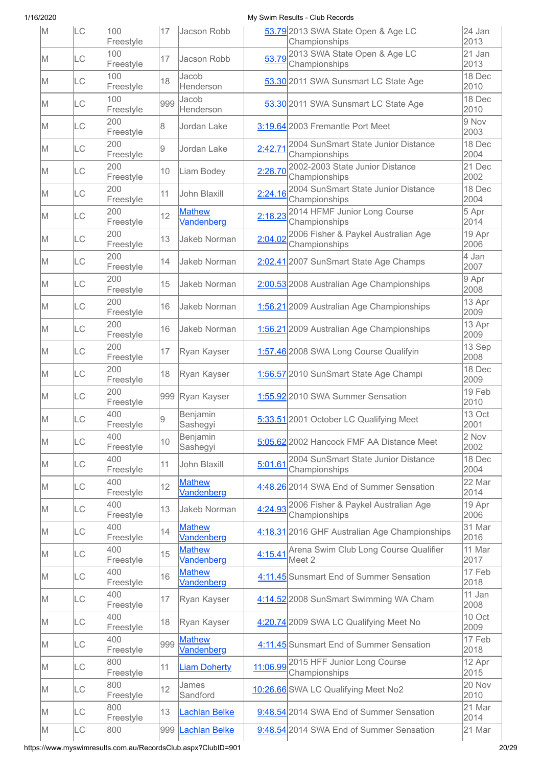| M   | LC        | 100<br>Freestyle | 17  | Jacson Robb                 |         | 53.79 2013 SWA State Open & Age LC<br>Championships          | 24 Jan<br>2013 |
|-----|-----------|------------------|-----|-----------------------------|---------|--------------------------------------------------------------|----------------|
| M   | LC        | 100<br>Freestyle | 17  | Jacson Robb                 |         | 53.79 2013 SWA State Open & Age LC<br>Championships          | 21 Jan<br>2013 |
| M   | LC        | 100<br>Freestyle | 18  | Jacob<br>Henderson          |         | 53.30 2011 SWA Sunsmart LC State Age                         | 18 Dec<br>2010 |
| M   | LC        | 100<br>Freestyle | 999 | Jacob<br>Henderson          |         | 53.30 2011 SWA Sunsmart LC State Age                         | 18 Dec<br>2010 |
| M   | LC        | 200<br>Freestyle | 8   | Jordan Lake                 |         | 3:19.64 2003 Fremantle Port Meet                             | 9 Nov<br>2003  |
| M   | LC        | 200<br>Freestyle | 9   | Jordan Lake                 | 2:42.71 | 2004 SunSmart State Junior Distance<br>Championships         | 18 Dec<br>2004 |
| M   | LC        | 200<br>Freestyle | 10  | Liam Bodey                  | 2:28.70 | 2002-2003 State Junior Distance<br>Championships             | 21 Dec<br>2002 |
| lΜ  | <b>LC</b> | 200<br>Freestyle | 11  | John Blaxill                | 2:24.16 | 2004 SunSmart State Junior Distance<br>Championships         | 18 Dec<br>2004 |
| M   | LC        | 200<br>Freestyle | 12  | <b>Mathew</b><br>Vandenberg | 2:18.23 | 2014 HFMF Junior Long Course<br>Championships                | 5 Apr<br>2014  |
| lΜ  | LC        | 200<br>Freestyle | 13  | Jakeb Norman                | 2:04.02 | 2006 Fisher & Paykel Australian Age<br>Championships         | 19 Apr<br>2006 |
| M   | LC        | 200<br>Freestyle | 14  | Jakeb Norman                |         | 2:02.41 2007 SunSmart State Age Champs                       | 4 Jan<br>2007  |
| M   | <b>LC</b> | 200<br>Freestyle | 15  | Jakeb Norman                |         | 2:00.53 2008 Australian Age Championships                    | 9 Apr<br>2008  |
| M   | LC        | 200<br>Freestyle | 16  | <b>Jakeb Norman</b>         |         | 1:56.21 2009 Australian Age Championships                    | 13 Apr<br>2009 |
| M   | LC        | 200<br>Freestyle | 16  | <b>Jakeb Norman</b>         |         | 1:56.21 2009 Australian Age Championships                    | 13 Apr<br>2009 |
| M   | LC        | 200<br>Freestyle | 17  | Ryan Kayser                 |         | 1:57.46 2008 SWA Long Course Qualifyin                       | 13 Sep<br>2008 |
| M   | LC        | 200<br>Freestyle | 18  | Ryan Kayser                 |         | 1:56.57 2010 SunSmart State Age Champi                       | 18 Dec<br>2009 |
| M   | LC        | 200<br>Freestyle | 999 | Ryan Kayser                 |         | 1:55.92 2010 SWA Summer Sensation                            | 19 Feb<br>2010 |
| M   | LC        | 400<br>Freestyle | 9   | Benjamin<br>Sashegyi        |         | 5:33.51 2001 October LC Qualifying Meet                      | 13 Oct<br>2001 |
| M   | LC        | 400<br>Freestyle | 10  | Benjamin<br>Sashegyi        |         | 5:05.62 2002 Hancock FMF AA Distance Meet                    | 2 Nov<br>2002  |
| M   | <b>LC</b> | 400<br>Freestyle | 11  | John Blaxill                | 5:01.61 | 2004 SunSmart State Junior Distance<br>Championships         | 18 Dec<br>2004 |
| M   | LC        | 400<br>Freestyle | 12  | <b>Mathew</b><br>Vandenberg |         | 4:48.26 2014 SWA End of Summer Sensation                     | 22 Mar<br>2014 |
| M   | LC        | 400<br>Freestyle | 13  | <b>Jakeb Norman</b>         |         | 4:24.93 2006 Fisher & Paykel Australian Age<br>Championships | 19 Apr<br>2006 |
| M   | LC        | 400<br>Freestyle | 14  | <b>Mathew</b><br>Vandenberg |         | 4:18.31 2016 GHF Australian Age Championships                | 31 Mar<br>2016 |
| M   | LC        | 400<br>Freestyle | 15  | <b>Mathew</b><br>Vandenberg |         | 4:15.41 Arena Swim Club Long Course Qualifier<br>Meet 2      | 11 Mar<br>2017 |
| M   | LC        | 400<br>Freestyle | 16  | <b>Mathew</b><br>Vandenberg |         | 4:11.45 Sunsmart End of Summer Sensation                     | 17 Feb<br>2018 |
| IM. | LC        | 400<br>Freestyle | 17  | Ryan Kayser                 |         | 4:14.52 2008 SunSmart Swimming WA Cham                       | 11 Jan<br>2008 |
| M   | LC        | 400<br>Freestyle | 18  | Ryan Kayser                 |         | 4:20.74 2009 SWA LC Qualifying Meet No                       | 10 Oct<br>2009 |
| M   | LC        | 400<br>Freestyle | 999 | <b>Mathew</b><br>Vandenberg |         | 4:11.45 Sunsmart End of Summer Sensation                     | 17 Feb<br>2018 |
| M   | LC        | 800<br>Freestyle | 11  | <b>Liam Doherty</b>         |         | 11:06.99 2015 HFF Junior Long Course<br>Championships        | 12 Apr<br>2015 |
| M   | LC        | 800<br>Freestyle | 12  | James<br>Sandford           |         | 10:26.66 SWA LC Qualifying Meet No2                          | 20 Nov<br>2010 |
| M   | <b>LC</b> | 800<br>Freestyle | 13  | Lachlan Belke               |         | 9:48.54 2014 SWA End of Summer Sensation                     | 21 Mar<br>2014 |
| M   | LC        | 800              | 999 | Lachlan Belke               |         | 9:48.54 2014 SWA End of Summer Sensation                     | 21 Mar         |

https://www.myswimresults.com.au/RecordsClub.aspx?ClubID=901 20/29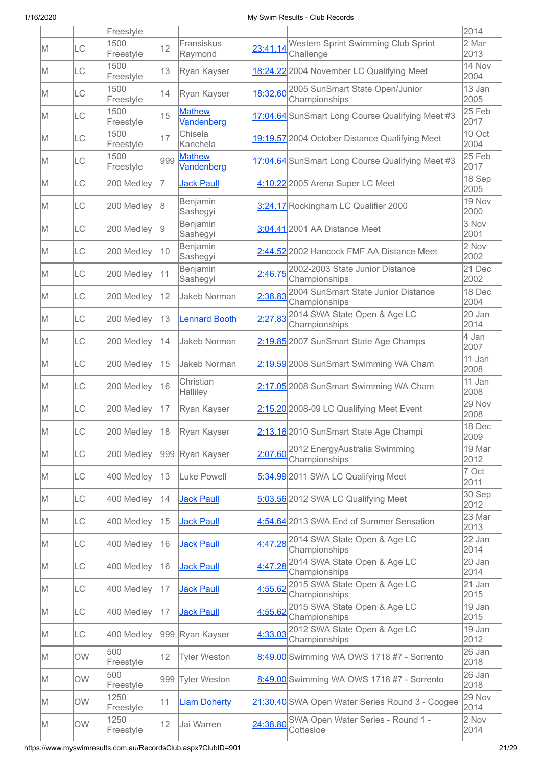|     |           | Freestyle         |     |                             |          |                                                         | 2014           |
|-----|-----------|-------------------|-----|-----------------------------|----------|---------------------------------------------------------|----------------|
| M   | LC        | 1500<br>Freestyle | 12  | Fransiskus<br>Raymond       | 23:41.14 | Western Sprint Swimming Club Sprint<br>Challenge        | 2 Mar<br>2013  |
| ΙM  | LC        | 1500<br>Freestyle | 13  | Ryan Kayser                 |          | 18:24.22 2004 November LC Qualifying Meet               | 14 Nov<br>2004 |
| M   | LC        | 1500<br>Freestyle | 14  | Ryan Kayser                 | 18:32.60 | 2005 SunSmart State Open/Junior<br>Championships        | 13 Jan<br>2005 |
| M   | LC        | 1500<br>Freestyle | 15  | <b>Mathew</b><br>Vandenberg |          | 17:04.64 SunSmart Long Course Qualifying Meet #3        | 25 Feb<br>2017 |
| M   | ILС       | 1500<br>Freestyle | 17  | Chisela<br>Kanchela         |          | 19:19.57 2004 October Distance Qualifying Meet          | 10 Oct<br>2004 |
| M   | LC        | 1500<br>Freestyle | 999 | <b>Mathew</b><br>Vandenberg |          | 17:04.64 SunSmart Long Course Qualifying Meet #3        | 25 Feb<br>2017 |
| ΙM  | LC        | 200 Medley        | 7   | <b>Jack Paull</b>           |          | 4:10.22 2005 Arena Super LC Meet                        | 18 Sep<br>2005 |
| IM. | LC        | 200 Medley        | 18  | Benjamin<br>Sashegyi        |          | 3:24.17 Rockingham LC Qualifier 2000                    | 19 Nov<br>2000 |
| IM. | LC        | 200 Medley        | 19  | Benjamin<br>Sashegyi        |          | 3:04.41 2001 AA Distance Meet                           | 3 Nov<br>2001  |
| ΙM  | LC        | 200 Medley        | 10  | Benjamin<br>Sashegyi        |          | 2:44.52 2002 Hancock FMF AA Distance Meet               | 2 Nov<br>2002  |
| M   | LC        | 200 Medley        | 11  | Benjamin<br>Sashegyi        | 2:46.75  | 2002-2003 State Junior Distance<br>Championships        | 21 Dec<br>2002 |
| M   | LC        | 200 Medley        | 12  | Jakeb Norman                | 2:38.83  | 2004 SunSmart State Junior Distance<br>Championships    | 18 Dec<br>2004 |
| IM. | LC        | 200 Medley        | 13  | <b>Lennard Booth</b>        | 2:27.83  | 2014 SWA State Open & Age LC<br>Championships           | 20 Jan<br>2014 |
| M   | LC        | 200 Medley        | 14  | Jakeb Norman                |          | 2:19.85 2007 SunSmart State Age Champs                  | 4 Jan<br>2007  |
| M   | LC        | 200 Medley        | 15  | Jakeb Norman                |          | 2:19.59 2008 SunSmart Swimming WA Cham                  | 11 Jan<br>2008 |
| M   | LC        | 200 Medley        | 16  | Christian<br>Halliley       |          | 2:17.05 2008 SunSmart Swimming WA Cham                  | 11 Jan<br>2008 |
| IM. | LC        | 200 Medley        | 17  | Ryan Kayser                 |          | 2:15.20 2008-09 LC Qualifying Meet Event                | 29 Nov<br>2008 |
| M   | LC        | 200 Medley        |     | 18 Ryan Kayser              |          | 2:13.16 2010 SunSmart State Age Champi                  | 18 Dec<br>2009 |
| M   | LC        | 200 Medley        |     | 999 Ryan Kayser             | 2:07.60  | 2012 EnergyAustralia Swimming<br>Championships          | 19 Mar<br>2012 |
| M   | LC        | 400 Medley        | 13  | Luke Powell                 |          | 5:34.99 2011 SWA LC Qualifying Meet                     | 7 Oct<br>2011  |
| IM. | LC        | 400 Medley        | 14  | <b>Jack Paull</b>           |          | 5:03.56 2012 SWA LC Qualifying Meet                     | 30 Sep<br>2012 |
| M   | LC        | 400 Medley        | 15  | <b>Jack Paull</b>           |          | 4:54.64 2013 SWA End of Summer Sensation                | 23 Mar<br>2013 |
| M   | LC        | 400 Medley        | 16  | <b>Jack Paull</b>           |          | 4:47.28 2014 SWA State Open & Age LC<br>Championships   | 22 Jan<br>2014 |
| M   | LC        | 400 Medley        | 16  | <b>Jack Paull</b>           |          | 4:47.28 2014 SWA State Open & Age LC<br>Championships   | 20 Jan<br>2014 |
| IM. | LC        | 400 Medley        | 17  | <b>Jack Paull</b>           | 4:55.62  | 2015 SWA State Open & Age LC<br>Championships           | 21 Jan<br>2015 |
| IM. | LC        | 400 Medley        | 17  | <b>Jack Paull</b>           | 4:55.62  | 2015 SWA State Open & Age LC<br>Championships           | 19 Jan<br>2015 |
| IM. | LC        | 400 Medley        |     | 999 Ryan Kayser             | 4:33.03  | 2012 SWA State Open & Age LC<br>Championships           | 19 Jan<br>2012 |
| M   | <b>OW</b> | 500<br>Freestyle  | 12  | <b>Tyler Weston</b>         |          | 8:49.00 Swimming WA OWS 1718 #7 - Sorrento              | 26 Jan<br>2018 |
| IM. | <b>OW</b> | 500<br>Freestyle  | 999 | <b>Tyler Weston</b>         |          | 8:49.00 Swimming WA OWS 1718 #7 - Sorrento              | 26 Jan<br>2018 |
| IM. | OW        | 1250<br>Freestyle | 11  | <b>Liam Doherty</b>         |          | 21:30.40 SWA Open Water Series Round 3 - Coogee         | 29 Nov<br>2014 |
| M   | <b>OW</b> | 1250<br>Freestyle | 12  | Jai Warren                  |          | 24:38.80 SWA Open Water Series - Round 1 -<br>Cottesloe | 2 Nov<br>2014  |
|     |           |                   |     |                             |          |                                                         |                |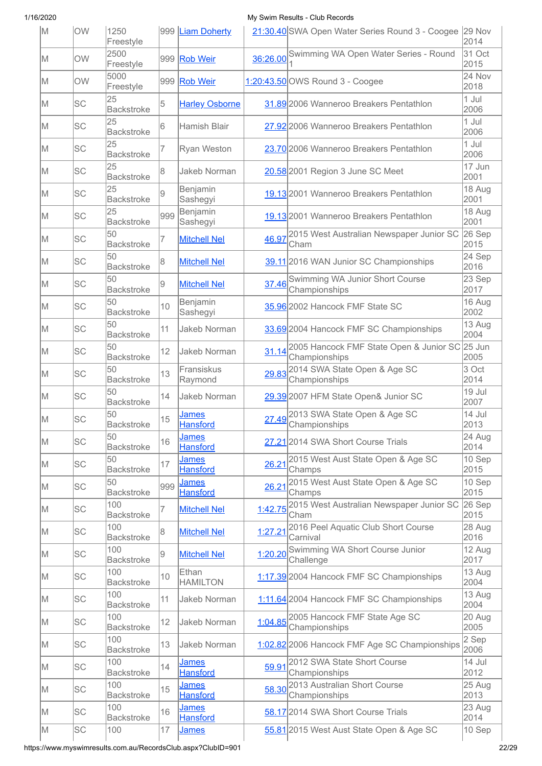| M   | OW        | 1250<br>Freestyle        |     | 999 Liam Doherty                |          | 21:30.40 SWA Open Water Series Round 3 - Coogee 29 Nov          | 2014                       |
|-----|-----------|--------------------------|-----|---------------------------------|----------|-----------------------------------------------------------------|----------------------------|
| M   | OW        | 2500<br>Freestyle        | 999 | <b>Rob Weir</b>                 | 36:26.00 | Swimming WA Open Water Series - Round                           | 31 Oct<br>2015             |
| IM. | <b>OW</b> | 5000<br>Freestyle        | 999 | <b>Rob Weir</b>                 |          | 1:20:43.50 OWS Round 3 - Coogee                                 | 24 Nov<br>2018             |
| M   | <b>SC</b> | 25<br><b>Backstroke</b>  | 5   | <b>Harley Osborne</b>           |          | 31.89 2006 Wanneroo Breakers Pentathlon                         | 1 Jul<br>2006              |
| M   | <b>SC</b> | 25<br><b>Backstroke</b>  | 6   | Hamish Blair                    |          | 27.92 2006 Wanneroo Breakers Pentathlon                         | 1 Jul<br>2006              |
| M   | <b>SC</b> | 25<br><b>Backstroke</b>  | 7   | Ryan Weston                     |          | 23.70 2006 Wanneroo Breakers Pentathlon                         | 1 Jul<br>2006              |
| M   | <b>SC</b> | 25<br><b>Backstroke</b>  | 8   | <b>Jakeb Norman</b>             |          | 20.58 2001 Region 3 June SC Meet                                | 17 Jun<br>2001             |
| lΜ  | <b>SC</b> | 25<br><b>Backstroke</b>  | 9   | Benjamin<br>Sashegyi            |          | 19.13 2001 Wanneroo Breakers Pentathlon                         | 18 Aug<br>2001             |
| M   | <b>SC</b> | 25<br><b>Backstroke</b>  | 999 | Benjamin<br>Sashegyi            |          | 19.13 2001 Wanneroo Breakers Pentathlon                         | 18 Aug<br>2001             |
| lΜ  | <b>SC</b> | 50<br><b>Backstroke</b>  | 7   | <b>Mitchell Nel</b>             | 46.97    | 2015 West Australian Newspaper Junior SC<br>Cham                | 26 Sep<br>2015             |
| M   | <b>SC</b> | 50<br><b>Backstroke</b>  | 8   | <b>Mitchell Nel</b>             |          | 39.11 2016 WAN Junior SC Championships                          | 24 Sep<br>2016             |
| ΙM  | SC        | 50<br><b>Backstroke</b>  | 9   | <b>Mitchell Nel</b>             |          | 37.46 Swimming WA Junior Short Course<br>Championships          | 23 Sep<br>2017             |
| M   | SC        | 50<br><b>Backstroke</b>  | 10  | Benjamin<br>Sashegyi            |          | 35.96 2002 Hancock FMF State SC                                 | 16 Aug<br>2002             |
| M   | <b>SC</b> | 50<br><b>Backstroke</b>  | 11  | Jakeb Norman                    |          | 33.69 2004 Hancock FMF SC Championships                         | 13 Aug<br>2004             |
| M   | <b>SC</b> | 50<br><b>Backstroke</b>  | 12  | Jakeb Norman                    | 31.14    | 2005 Hancock FMF State Open & Junior SC 25 Jun<br>Championships | 2005                       |
| M   | <b>SC</b> | 50<br><b>Backstroke</b>  | 13  | Fransiskus<br>Raymond           | 29.83    | 2014 SWA State Open & Age SC<br>Championships                   | 3 Oct<br>2014              |
| M   | <b>SC</b> | 50<br><b>Backstroke</b>  | 14  | Jakeb Norman                    |          | 29.39 2007 HFM State Open& Junior SC                            | 19 Jul<br>2007             |
| M   | <b>SC</b> | 50<br><b>Backstroke</b>  | 15  | James<br><b>Hansford</b>        | 27.49    | 2013 SWA State Open & Age SC<br>Championships                   | 14 Jul<br>2013             |
| M   | <b>SC</b> | 50<br><b>Backstroke</b>  | 16  | <b>James</b><br><b>Hansford</b> |          | 27.21 2014 SWA Short Course Trials                              | 24 Aug<br>2014             |
| IM. | SC        | 50<br><b>Backstroke</b>  | 17  | James<br><b>Hansford</b>        |          | 26.21 <sup>2015</sup> West Aust State Open & Age SC<br>Champs   | 10 Sep<br>2015             |
| IM. | SC        | 50<br><b>Backstroke</b>  | 999 | <b>James</b><br><b>Hansford</b> | 26.21    | 2015 West Aust State Open & Age SC<br>Champs                    | 10 Sep<br>2015             |
| M   | <b>SC</b> | 100<br><b>Backstroke</b> | 7   | <b>Mitchell Nel</b>             | 1:42.75  | 2015 West Australian Newspaper Junior SC<br>Cham                | 26 Sep<br>2015             |
| M   | <b>SC</b> | 100<br><b>Backstroke</b> | 8   | <b>Mitchell Nel</b>             | 1:27.21  | 2016 Peel Aquatic Club Short Course<br>Carnival                 | 28 Aug<br>2016             |
| IM. | <b>SC</b> | 100<br><b>Backstroke</b> | 9   | <b>Mitchell Nel</b>             | 1:20.20  | Swimming WA Short Course Junior<br>Challenge                    | 12 Aug<br>2017             |
| IM. | <b>SC</b> | 100<br><b>Backstroke</b> | 10  | Ethan<br><b>HAMILTON</b>        |          | 1:17.39 2004 Hancock FMF SC Championships                       | $13$ Aug<br>2004           |
| IM. | <b>SC</b> | 100<br><b>Backstroke</b> | 11  | Jakeb Norman                    |          | 1:11.64 2004 Hancock FMF SC Championships                       | 13 Aug<br>2004             |
| M   | <b>SC</b> | 100<br><b>Backstroke</b> | 12  | Jakeb Norman                    |          | 1:04.85 2005 Hancock FMF State Age SC<br>Championships          | 20 Aug<br>2005             |
| IM. | <b>SC</b> | 100<br><b>Backstroke</b> | 13  | Jakeb Norman                    |          | 1:02.82 2006 Hancock FMF Age SC Championships                   | $\overline{2}$ Sep<br>2006 |
| IM. | <b>SC</b> | 100<br><b>Backstroke</b> | 14  | <u>James</u><br><b>Hansford</b> | 59.91    | 2012 SWA State Short Course<br>Championships                    | 14 Jul<br>2012             |
| M   | <b>SC</b> | 100<br><b>Backstroke</b> | 15  | <b>James</b><br><b>Hansford</b> | 58.30    | 2013 Australian Short Course<br>Championships                   | 25 Aug<br>2013             |
| M   | <b>SC</b> | 100<br><b>Backstroke</b> | 16  | <u>James</u><br><b>Hansford</b> |          | 58.17 2014 SWA Short Course Trials                              | 23 Aug<br>2014             |
| M   | <b>SC</b> | 100                      | 17  | <b>James</b>                    |          | 55.81 2015 West Aust State Open & Age SC                        | 10 Sep                     |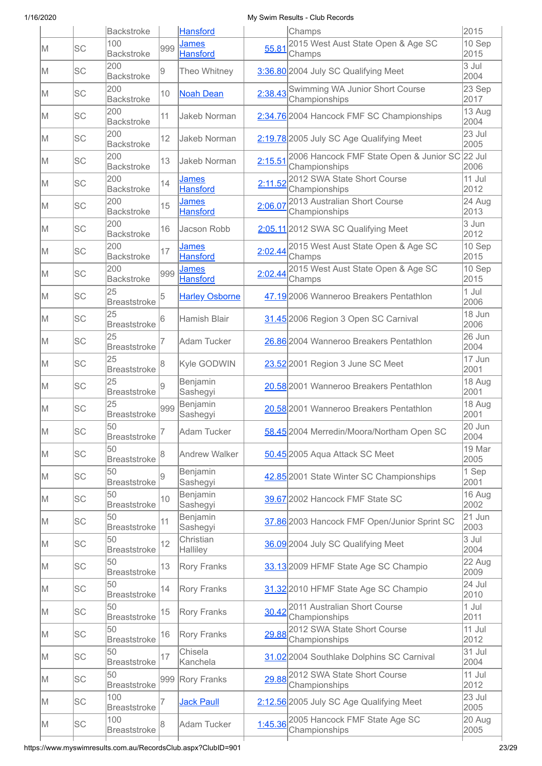|     |           | <b>Backstroke</b>          |                 | <b>Hansford</b>                 |         | Champs                                                   | 2015             |
|-----|-----------|----------------------------|-----------------|---------------------------------|---------|----------------------------------------------------------|------------------|
| IM. | <b>SC</b> | 100<br><b>Backstroke</b>   | 999             | James<br><b>Hansford</b>        | 55.81   | 2015 West Aust State Open & Age SC<br>Champs             | $10$ Sep<br>2015 |
| ΙM  | <b>SC</b> | 200<br><b>Backstroke</b>   | 9               | Theo Whitney                    |         | 3:36.80 2004 July SC Qualifying Meet                     | 3 Jul<br>2004    |
| M   | <b>SC</b> | 200<br><b>Backstroke</b>   | 10              | <b>Noah Dean</b>                | 2:38.43 | Swimming WA Junior Short Course<br>Championships         | 23 Sep<br>2017   |
| M   | <b>SC</b> | 200<br><b>Backstroke</b>   | 11              | <b>Jakeb Norman</b>             |         | 2:34.76 2004 Hancock FMF SC Championships                | 13 Aug<br>2004   |
| M   | <b>SC</b> | 200<br><b>Backstroke</b>   | 12              | Jakeb Norman                    |         | 2:19.78 2005 July SC Age Qualifying Meet                 | 23 Jul<br>2005   |
| M   | <b>SC</b> | 200<br><b>Backstroke</b>   | 13              | Jakeb Norman                    | 2:15.51 | 2006 Hancock FMF State Open & Junior SC<br>Championships | 22 Jul<br>2006   |
| lΜ  | <b>SC</b> | 200<br><b>Backstroke</b>   | 14              | <b>James</b><br><b>Hansford</b> | 2:11.52 | 2012 SWA State Short Course<br>Championships             | $11$ Jul<br>2012 |
| lΜ  | <b>SC</b> | 200<br><b>Backstroke</b>   | 15              | <b>James</b><br><b>Hansford</b> | 2:06.07 | 2013 Australian Short Course<br>Championships            | 24 Aug<br>2013   |
| ΙM  | <b>SC</b> | 200<br><b>Backstroke</b>   | 16              | Jacson Robb                     |         | 2:05.11 2012 SWA SC Qualifying Meet                      | 3 Jun<br>2012    |
| ΙM  | SC        | 200<br><b>Backstroke</b>   | 17              | <u>James</u><br><b>Hansford</b> |         | 2:02.44 2015 West Aust State Open & Age SC<br>Champs     | 10 Sep<br>2015   |
| M   | <b>SC</b> | 200<br><b>Backstroke</b>   | 999             | <u>James</u><br><b>Hansford</b> | 2:02.44 | 2015 West Aust State Open & Age SC<br>Champs             | 10 Sep<br>2015   |
| M   | <b>SC</b> | 25<br><b>Breaststroke</b>  | 5               | <b>Harley Osborne</b>           |         | 47.19 2006 Wanneroo Breakers Pentathlon                  | 1 Jul<br>2006    |
| M   | <b>SC</b> | 25<br><b>Breaststroke</b>  | 6               | Hamish Blair                    |         | 31.45 2006 Region 3 Open SC Carnival                     | 18 Jun<br>2006   |
| M   | <b>SC</b> | 25<br><b>Breaststroke</b>  |                 | Adam Tucker                     |         | 26.86 2004 Wanneroo Breakers Pentathlon                  | 26 Jun<br>2004   |
| lΜ  | <b>SC</b> | 25<br><b>Breaststroke</b>  | 8               | Kyle GODWIN                     |         | 23.52 2001 Region 3 June SC Meet                         | 17 Jun<br>2001   |
| M   | <b>SC</b> | 25<br><b>Breaststroke</b>  | 9               | Benjamin<br>Sashegyi            |         | 20.58 2001 Wanneroo Breakers Pentathlon                  | 18 Aug<br>2001   |
| IM. | <b>SC</b> | 25<br><b>Breaststroke</b>  | 999             | Benjamin<br>Sashegyi            |         | 20.58 2001 Wanneroo Breakers Pentathlon                  | 18 Aug<br>2001   |
| M   | SC        | 50<br><b>Breaststroke</b>  | $\vert 7 \vert$ | Adam Tucker                     |         | 58.45 2004 Merredin/Moora/Northam Open SC                | 20 Jun<br>2004   |
| M   | SC        | 50<br><b>Breaststroke</b>  | 18              | <b>Andrew Walker</b>            |         | 50.45 2005 Aqua Attack SC Meet                           | 19 Mar<br>2005   |
| M   | <b>SC</b> | 50<br><b>Breaststroke</b>  | 9               | Benjamin<br>Sashegyi            |         | 42.85 2001 State Winter SC Championships                 | 1 Sep<br>2001    |
| IM. | SC        | 50<br><b>Breaststroke</b>  | 10              | Benjamin<br>Sashegyi            |         | 39.67 2002 Hancock FMF State SC                          | 16 Aug<br>2002   |
| M   | SC        | 50<br><b>Breaststroke</b>  | 11              | Benjamin<br>Sashegyi            |         | 37.86 2003 Hancock FMF Open/Junior Sprint SC             | 21 Jun<br>2003   |
| M   | SC        | 50<br><b>Breaststroke</b>  | 12              | Christian<br>Halliley           |         | 36.09 2004 July SC Qualifying Meet                       | 3 Jul<br>2004    |
| M   | <b>SC</b> | 50<br><b>Breaststroke</b>  | 13              | <b>Rory Franks</b>              |         | 33.13 2009 HFMF State Age SC Champio                     | 22 Aug<br>2009   |
| IM. | <b>SC</b> | 50<br><b>Breaststroke</b>  | 14              | <b>Rory Franks</b>              |         | 31.32 2010 HFMF State Age SC Champio                     | 24 Jul<br>2010   |
| M   | <b>SC</b> | 50<br><b>Breaststroke</b>  | 15              | <b>Rory Franks</b>              | 30.42   | 2011 Australian Short Course<br>Championships            | 1 Jul<br>2011    |
| IM. | <b>SC</b> | 50<br><b>Breaststroke</b>  | 16              | <b>Rory Franks</b>              | 29.88   | 2012 SWA State Short Course<br>Championships             | 11 Jul<br>2012   |
| M   | <b>SC</b> | 50<br><b>Breaststroke</b>  | 17              | Chisela<br>Kanchela             |         | 31.02 2004 Southlake Dolphins SC Carnival                | 31 Jul<br>2004   |
| IM. | SC        | 50<br><b>Breaststroke</b>  | 999             | <b>Rory Franks</b>              |         | 29.88 2012 SWA State Short Course<br>Championships       | 11 Jul<br>2012   |
| IM. | SC        | 100<br><b>Breaststroke</b> |                 | <b>Jack Paull</b>               |         | 2:12.56 2005 July SC Age Qualifying Meet                 | 23 Jul<br>2005   |
| M   | <b>SC</b> | 100<br><b>Breaststroke</b> |                 | Adam Tucker                     |         | 1:45.36 2005 Hancock FMF State Age SC<br>Championships   | 20 Aug<br>2005   |
|     |           |                            |                 |                                 |         |                                                          |                  |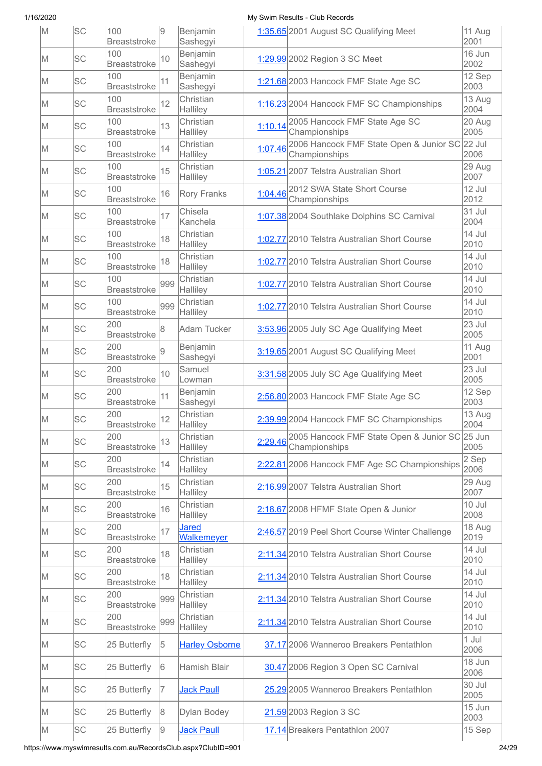| M   | lsc       | 100<br><b>Breaststroke</b> | 19  | Benjamin<br>Sashegyi              |         | 1:35.65 2001 August SC Qualifying Meet                                  | 11 Aug<br>2001   |
|-----|-----------|----------------------------|-----|-----------------------------------|---------|-------------------------------------------------------------------------|------------------|
| M   | <b>SC</b> | 100<br><b>Breaststroke</b> | 10  | Benjamin<br>Sashegyi              |         | 1:29.99 2002 Region 3 SC Meet                                           | 16 Jun<br>2002   |
| M   | SC        | 100<br><b>Breaststroke</b> | 11  | Benjamin<br>Sashegyi              |         | 1:21.68 2003 Hancock FMF State Age SC                                   | 12 Sep<br>2003   |
| M   | SC        | 100<br><b>Breaststroke</b> | 12  | Christian<br>Halliley             |         | 1:16.23 2004 Hancock FMF SC Championships                               | 13 Aug<br>2004   |
| M   | <b>SC</b> | 100<br><b>Breaststroke</b> | 13  | Christian<br>Halliley             | 1:10.14 | 2005 Hancock FMF State Age SC<br>Championships                          | 20 Aug<br>2005   |
| M   | <b>SC</b> | 100<br><b>Breaststroke</b> | 14  | Christian<br>Halliley             | 1:07.46 | 2006 Hancock FMF State Open & Junior SC 22 Jul<br>Championships         | 2006             |
| M   | <b>SC</b> | 100<br><b>Breaststroke</b> | 15  | Christian<br>Halliley             |         | 1:05.21 2007 Telstra Australian Short                                   | 29 Aug<br>2007   |
| M   | <b>SC</b> | 100<br><b>Breaststroke</b> | 16  | <b>Rory Franks</b>                | 1:04.46 | 2012 SWA State Short Course<br>Championships                            | 12 Jul<br>2012   |
| M   | <b>SC</b> | 100<br><b>Breaststroke</b> | 17  | Chisela<br>Kanchela               |         | 1:07.38 2004 Southlake Dolphins SC Carnival                             | 31 Jul<br>2004   |
| M   | <b>SC</b> | 100<br><b>Breaststroke</b> | 18  | Christian<br>Halliley             |         | 1:02.77 2010 Telstra Australian Short Course                            | 14 Jul<br>2010   |
| IM. | <b>SC</b> | 100<br><b>Breaststroke</b> | 18  | Christian<br>Halliley             |         | 1:02.77 2010 Telstra Australian Short Course                            | 14 Jul<br>2010   |
| M   | <b>SC</b> | 100<br><b>Breaststroke</b> | 999 | Christian<br>Halliley             |         | 1:02.77 2010 Telstra Australian Short Course                            | 14 Jul<br>2010   |
| M   | <b>SC</b> | 100<br><b>Breaststroke</b> | 999 | Christian<br>Halliley             |         | 1:02.77 2010 Telstra Australian Short Course                            | 14 Jul<br>2010   |
| M   | <b>SC</b> | 200<br><b>Breaststroke</b> | 8   | Adam Tucker                       |         | 3:53.96 2005 July SC Age Qualifying Meet                                | $23$ Jul<br>2005 |
| M   | <b>SC</b> | 200<br><b>Breaststroke</b> | 9   | Benjamin<br>Sashegyi              |         | 3:19.65 2001 August SC Qualifying Meet                                  | 11 Aug<br>2001   |
| M   | <b>SC</b> | 200<br><b>Breaststroke</b> | 10  | Samuel<br>Lowman                  |         | 3:31.58 2005 July SC Age Qualifying Meet                                | 23 Jul<br>2005   |
| M   | <b>SC</b> | 200<br>Breaststroke        | 11  | Benjamin<br>Sashegyi              |         | 2:56.80 2003 Hancock FMF State Age SC                                   | 12 Sep<br>2003   |
| M   | <b>SC</b> | 200<br><b>Breaststroke</b> | 12  | Christian<br>Halliley             |         | 2:39.99 2004 Hancock FMF SC Championships                               | 13 Aug<br>2004   |
| M   | <b>SC</b> | 200<br><b>Breaststroke</b> | 13  | Christian<br>Halliley             |         | 2:29.46 2005 Hancock FMF State Open & Junior SC 25 Jun<br>Championships | 2005             |
| IM. | SC        | 200<br><b>Breaststroke</b> | 14  | Christian<br>Halliley             |         | 2:22.81 2006 Hancock FMF Age SC Championships                           | 2 Sep<br>2006    |
| IM. | <b>SC</b> | 200<br><b>Breaststroke</b> | 15  | Christian<br>Halliley             |         | 2:16.99 2007 Telstra Australian Short                                   | 29 Aug<br>2007   |
| M   | SC        | 200<br><b>Breaststroke</b> | 16  | Christian<br>Halliley             |         | 2:18.67 2008 HFMF State Open & Junior                                   | 10 Jul<br>2008   |
| IM. | <b>SC</b> | 200<br><b>Breaststroke</b> | 17  | <b>Jared</b><br><b>Walkemeyer</b> |         | 2:46.57 2019 Peel Short Course Winter Challenge                         | 18 Aug<br>2019   |
| IM. | SC        | 200<br><b>Breaststroke</b> | 18  | Christian<br>Halliley             |         | 2:11.34 2010 Telstra Australian Short Course                            | 14 Jul<br>2010   |
| IM. | SC        | 200<br><b>Breaststroke</b> | 18  | Christian<br>Halliley             |         | 2:11.34 2010 Telstra Australian Short Course                            | 14 Jul<br>2010   |
| M   | <b>SC</b> | 200<br><b>Breaststroke</b> | 999 | Christian<br>Halliley             |         | 2:11.34 2010 Telstra Australian Short Course                            | 14 Jul<br>2010   |
| IM. | <b>SC</b> | 200<br><b>Breaststroke</b> | 999 | Christian<br>Halliley             |         | 2:11.34 2010 Telstra Australian Short Course                            | 14 Jul<br>2010   |
| IM. | SC        | 25 Butterfly               | 5   | <b>Harley Osborne</b>             |         | 37.17 2006 Wanneroo Breakers Pentathlon                                 | 1 Jul<br>2006    |
| IM. | <b>SC</b> | 25 Butterfly               | 16  | Hamish Blair                      |         | 30.47 2006 Region 3 Open SC Carnival                                    | 18 Jun<br>2006   |
| M   | SC        | 25 Butterfly               | 17  | <b>Jack Paull</b>                 |         | 25.29 2005 Wanneroo Breakers Pentathlon                                 | 30 Jul<br>2005   |
| M   | SC        | 25 Butterfly               | 8   | Dylan Bodey                       |         | 21.59 2003 Region 3 SC                                                  | 15 Jun<br>2003   |
| M   | SC        | 25 Butterfly               | 9   | <b>Jack Paull</b>                 |         | 17.14 Breakers Pentathlon 2007                                          | 15 Sep           |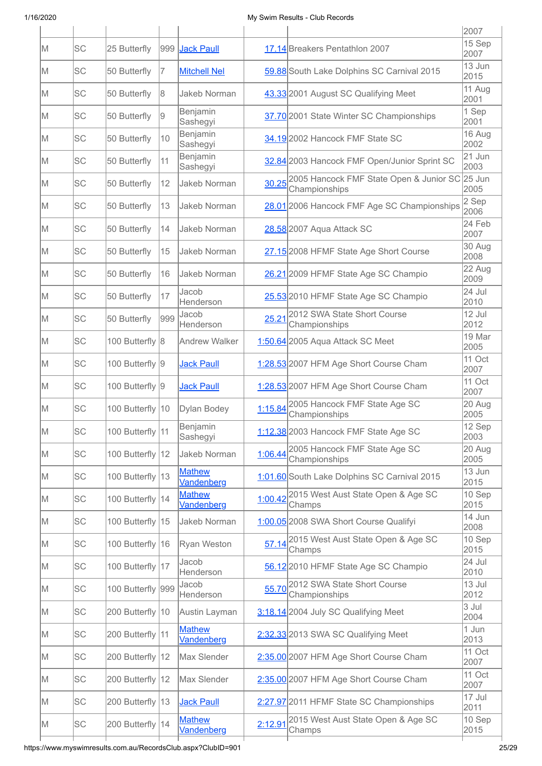|    |           |                   |     |                             |       |                                                                | 2007           |
|----|-----------|-------------------|-----|-----------------------------|-------|----------------------------------------------------------------|----------------|
| M  | <b>SC</b> | 25 Butterfly      | 999 | <b>Jack Paull</b>           |       | 17.14 Breakers Pentathlon 2007                                 | 15 Sep<br>2007 |
| lΜ | <b>SC</b> | 50 Butterfly      | 7   | <b>Mitchell Nel</b>         |       | 59.88 South Lake Dolphins SC Carnival 2015                     | 13 Jun<br>2015 |
| M  | <b>SC</b> | 50 Butterfly      | 8   | Jakeb Norman                |       | 43.33 2001 August SC Qualifying Meet                           | 11 Aug<br>2001 |
| M  | lsc       | 50 Butterfly      | 9   | Benjamin<br>Sashegyi        |       | 37.70 2001 State Winter SC Championships                       | 1 Sep<br>2001  |
| lΜ | <b>SC</b> | 50 Butterfly      | 10  | Benjamin<br>Sashegyi        |       | 34.19 2002 Hancock FMF State SC                                | 16 Aug<br>2002 |
| lΜ | <b>SC</b> | 50 Butterfly      | 11  | Benjamin<br>Sashegyi        |       | 32.84 2003 Hancock FMF Open/Junior Sprint SC                   | 21 Jun<br>2003 |
| lΜ | <b>SC</b> | 50 Butterfly      | 12  | Jakeb Norman                |       | 30.25 2005 Hancock FMF State Open & Junior SC<br>Championships | 25 Jun<br>2005 |
| M  | <b>SC</b> | 50 Butterfly      | 13  | Jakeb Norman                |       | 28.01 2006 Hancock FMF Age SC Championships                    | 2 Sep<br>2006  |
| lΜ | <b>SC</b> | 50 Butterfly      | 14  | Jakeb Norman                |       | 28.58 2007 Aqua Attack SC                                      | 24 Feb<br>2007 |
| lΜ | <b>SC</b> | 50 Butterfly      | 15  | Jakeb Norman                |       | 27.15 2008 HFMF State Age Short Course                         | 30 Aug<br>2008 |
| lΜ | <b>SC</b> | 50 Butterfly      | 16  | Jakeb Norman                |       | 26.21 2009 HFMF State Age SC Champio                           | 22 Aug<br>2009 |
| M  | <b>SC</b> | 50 Butterfly      | 17  | Jacob<br>Henderson          |       | 25.53 2010 HFMF State Age SC Champio                           | 24 Jul<br>2010 |
| lΜ | <b>SC</b> | 50 Butterfly      | 999 | Jacob<br>Henderson          | 25.21 | 2012 SWA State Short Course<br>Championships                   | 12 Jul<br>2012 |
| M  | <b>SC</b> | 100 Butterfly 8   |     | <b>Andrew Walker</b>        |       | 1:50.64 2005 Aqua Attack SC Meet                               | 19 Mar<br>2005 |
| lΜ | <b>SC</b> | 100 Butterfly 9   |     | <b>Jack Paull</b>           |       | 1:28.53 2007 HFM Age Short Course Cham                         | 11 Oct<br>2007 |
| M  | SC        | 100 Butterfly 9   |     | <b>Jack Paull</b>           |       | 1:28.53 2007 HFM Age Short Course Cham                         | 11 Oct<br>2007 |
| lΜ | <b>SC</b> | 100 Butterfly 10  |     | Dylan Bodey                 |       | 1:15.84 2005 Hancock FMF State Age SC<br>Championships         | 20 Aug<br>2005 |
| M  | SC        | 100 Butterfly 11  |     | Benjamin<br>Sashegyi        |       | 1:12.38 2003 Hancock FMF State Age SC                          | 12 Sep<br>2003 |
| M  | <b>SC</b> | 100 Butterfly 12  |     | Jakeb Norman                |       | 1:06.44 2005 Hancock FMF State Age SC<br>Championships         | 20 Aug<br>2005 |
| M  | lsc       | 100 Butterfly 13  |     | <b>Mathew</b><br>Vandenberg |       | 1:01.60 South Lake Dolphins SC Carnival 2015                   | 13 Jun<br>2015 |
| M  | SC        | 100 Butterfly 14  |     | <b>Mathew</b><br>Vandenberg |       | 1:00.42 2015 West Aust State Open & Age SC<br>Champs           | 10 Sep<br>2015 |
| M  | SC        | 100 Butterfly 15  |     | Jakeb Norman                |       | 1:00.05 2008 SWA Short Course Qualifyi                         | 14 Jun<br>2008 |
| M  | SC        | 100 Butterfly 16  |     | Ryan Weston                 |       | 57.14 2015 West Aust State Open & Age SC<br>Champs             | 10 Sep<br>2015 |
| M  | <b>SC</b> | 100 Butterfly 17  |     | Jacob<br>Henderson          |       | 56.12 2010 HFMF State Age SC Champio                           | 24 Jul<br>2010 |
| M  | <b>SC</b> | 100 Butterfly 999 |     | Jacob<br>Henderson          |       | 55.70 2012 SWA State Short Course<br>Championships             | 13 Jul<br>2012 |
| M  | lsc       | 200 Butterfly 10  |     | Austin Layman               |       | 3:18.14 2004 July SC Qualifying Meet                           | 3 Jul<br>2004  |
| M  | <b>SC</b> | 200 Butterfly 11  |     | <b>Mathew</b><br>Vandenberg |       | 2:32.33 2013 SWA SC Qualifying Meet                            | 1 Jun<br>2013  |
| M  | <b>SC</b> | 200 Butterfly 12  |     | Max Slender                 |       | 2:35.00 2007 HFM Age Short Course Cham                         | 11 Oct<br>2007 |
| M  | <b>SC</b> | 200 Butterfly 12  |     | Max Slender                 |       | 2:35.00 2007 HFM Age Short Course Cham                         | 11 Oct<br>2007 |
| M  | SC        | 200 Butterfly 13  |     | <b>Jack Paull</b>           |       | 2:27.97 2011 HFMF State SC Championships                       | 17 Jul<br>2011 |
| M  | <b>SC</b> | 200 Butterfly 14  |     | <b>Mathew</b><br>Vandenberg |       | 2:12.91 2015 West Aust State Open & Age SC<br>Champs           | 10 Sep<br>2015 |
|    |           |                   |     |                             |       |                                                                |                |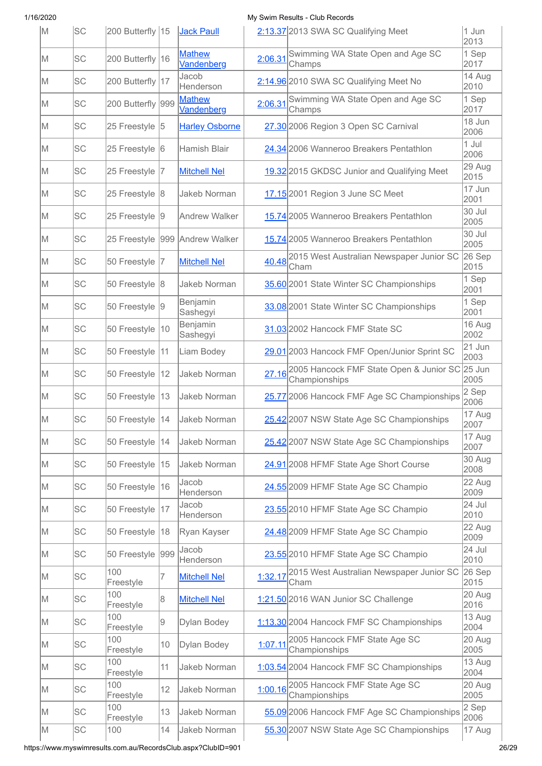| M   | <b>SC</b> | 200 Butterfly 15  |     | Jack Paull                     |         | 2:13.37 2013 SWA SC Qualifying Meet                             | 1 Jun<br>2013    |
|-----|-----------|-------------------|-----|--------------------------------|---------|-----------------------------------------------------------------|------------------|
| IM. | <b>SC</b> | 200 Butterfly 16  |     | <b>Mathew</b><br>Vandenberg    | 2:06.31 | Swimming WA State Open and Age SC<br>Champs                     | 1 Sep<br>2017    |
| M   | <b>SC</b> | 200 Butterfly 17  |     | Jacob<br>Henderson             |         | 2:14.96 2010 SWA SC Qualifying Meet No                          | 14 Aug<br>2010   |
| M   | <b>SC</b> | 200 Butterfly 999 |     | <b>Mathew</b><br>Vandenberg    | 2:06.31 | Swimming WA State Open and Age SC<br>Champs                     | 1 Sep<br>2017    |
| M   | <b>SC</b> | 25 Freestyle 5    |     | <b>Harley Osborne</b>          |         | 27.30 2006 Region 3 Open SC Carnival                            | 18 Jun<br>2006   |
| M   | <b>SC</b> | 25 Freestyle 6    |     | Hamish Blair                   |         | 24.34 2006 Wanneroo Breakers Pentathlon                         | 1 Jul<br>2006    |
| lΜ  | <b>SC</b> | 25 Freestyle      | 17  | <b>Mitchell Nel</b>            |         | 19.32 2015 GKDSC Junior and Qualifying Meet                     | 29 Aug<br>2015   |
| ΙM  | SC        | 25 Freestyle 8    |     | Jakeb Norman                   |         | 17.15 2001 Region 3 June SC Meet                                | 17 Jun<br>2001   |
| IM. | <b>SC</b> | 25 Freestyle 9    |     | Andrew Walker                  |         | 15.74 2005 Wanneroo Breakers Pentathlon                         | 30 Jul<br>2005   |
| ΙM  | SC        |                   |     | 25 Freestyle 999 Andrew Walker |         | 15.74 2005 Wanneroo Breakers Pentathlon                         | 30 Jul<br>2005   |
| M   | <b>SC</b> | 50 Freestyle  7   |     | <b>Mitchell Nel</b>            | 40.48   | 2015 West Australian Newspaper Junior SC<br>Cham                | $26$ Sep<br>2015 |
| M   | <b>SC</b> | 50 Freestyle 8    |     | <b>Jakeb Norman</b>            |         | 35.60 2001 State Winter SC Championships                        | 1 Sep<br>2001    |
| M   | <b>SC</b> | 50 Freestyle 9    |     | Benjamin<br>Sashegyi           |         | 33.08 2001 State Winter SC Championships                        | 1 Sep<br>2001    |
| M   | <b>SC</b> | 50 Freestyle      | 10  | Benjamin<br>Sashegyi           |         | 31.03 2002 Hancock FMF State SC                                 | 16 Aug<br>2002   |
| lΜ  | <b>SC</b> | 50 Freestyle      | 11  | Liam Bodey                     |         | 29.01 2003 Hancock FMF Open/Junior Sprint SC                    | 21 Jun<br>2003   |
| M   | <b>SC</b> | 50 Freestyle      | 12  | Jakeb Norman                   | 27.16   | 2005 Hancock FMF State Open & Junior SC 25 Jun<br>Championships | 2005             |
| IM. | <b>SC</b> | 50 Freestyle   13 |     | Jakeb Norman                   |         | 25.77 2006 Hancock FMF Age SC Championships                     | 2 Sep<br>2006    |
| M   | SC        | 50 Freestyle   14 |     | Jakeb Norman                   |         | 25.42 2007 NSW State Age SC Championships                       | 17 Aug<br>2007   |
| M   | <b>SC</b> | 50 Freestyle   14 |     | Jakeb Norman                   |         | 25.42 2007 NSW State Age SC Championships                       | 17 Aug<br>2007   |
| M   | <b>SC</b> | 50 Freestyle 15   |     | Jakeb Norman                   |         | 24.91 2008 HFMF State Age Short Course                          | 30 Aug<br>2008   |
| M   | <b>SC</b> | 50 Freestyle 16   |     | Jacob<br>Henderson             |         | 24.55 2009 HFMF State Age SC Champio                            | 22 Aug<br>2009   |
| M   | <b>SC</b> | 50 Freestyle      | 17  | Jacob<br>Henderson             |         | 23.55 2010 HFMF State Age SC Champio                            | 24 Jul<br>2010   |
| IM. | <b>SC</b> | 50 Freestyle      | 18  | Ryan Kayser                    |         | 24.48 2009 HFMF State Age SC Champio                            | 22 Aug<br>2009   |
| M   | SC        | 50 Freestyle      | 999 | Jacob<br>Henderson             |         | 23.55 2010 HFMF State Age SC Champio                            | 24 Jul<br>2010   |
| M   | <b>SC</b> | 100<br>Freestyle  | 7   | <b>Mitchell Nel</b>            | 1:32.17 | 2015 West Australian Newspaper Junior SC<br>Cham                | 26 Sep<br>2015   |
| M   | <b>SC</b> | 100<br>Freestyle  | 8   | <b>Mitchell Nel</b>            |         | 1:21.50 2016 WAN Junior SC Challenge                            | 20 Aug<br>2016   |
| ΙM  | <b>SC</b> | 100<br>Freestyle  | 9   | Dylan Bodey                    |         | 1:13.30 2004 Hancock FMF SC Championships                       | 13 Aug<br>2004   |
| M   | <b>SC</b> | 100<br>Freestyle  | 10  | Dylan Bodey                    | 1:07.11 | 2005 Hancock FMF State Age SC<br>Championships                  | 20 Aug<br>2005   |
| IM. | <b>SC</b> | 100<br>Freestyle  | 11  | Jakeb Norman                   |         | 1:03.54 2004 Hancock FMF SC Championships                       | 13 Aug<br>2004   |
| IM. | <b>SC</b> | 100<br>Freestyle  | 12  | Jakeb Norman                   | 1:00.16 | 2005 Hancock FMF State Age SC<br>Championships                  | 20 Aug<br>2005   |
| M   | SC        | 100<br>Freestyle  | 13  | Jakeb Norman                   |         | 55.09 2006 Hancock FMF Age SC Championships                     | 2 Sep<br>2006    |
| M   | SC        | 100               | 14  | Jakeb Norman                   |         | 55.30 2007 NSW State Age SC Championships                       | 17 Aug           |

https://www.myswimresults.com.au/RecordsClub.aspx?ClubID=901 26/29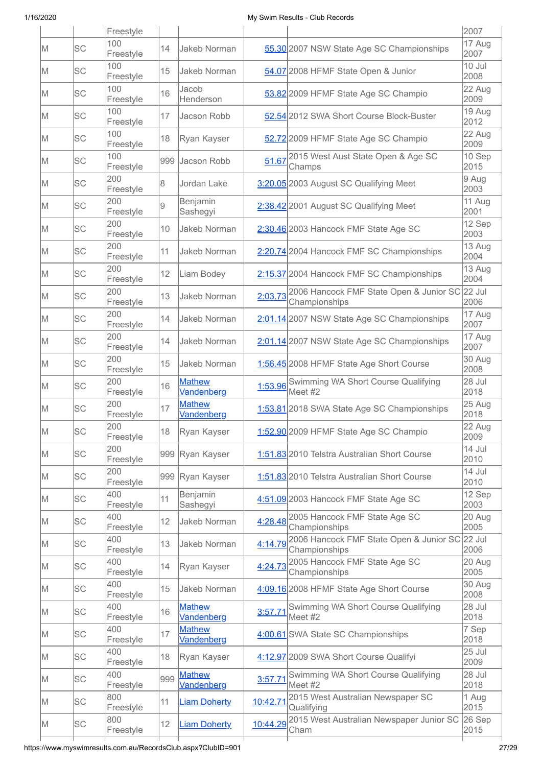|     |           | Freestyle        |     |                                    |          |                                                                 | 2007             |
|-----|-----------|------------------|-----|------------------------------------|----------|-----------------------------------------------------------------|------------------|
| IM. | <b>SC</b> | 100<br>Freestyle | 14  | Jakeb Norman                       |          | 55.30 2007 NSW State Age SC Championships                       | 17 Aug<br>2007   |
| lΜ  | lsc       | 100<br>Freestyle | 15  | Jakeb Norman                       |          | 54.07 2008 HFMF State Open & Junior                             | 10 Jul<br>2008   |
| M   | lsc       | 100<br>Freestyle | 16  | Jacob<br>Henderson                 |          | 53.82 2009 HFMF State Age SC Champio                            | 22 Aug<br>2009   |
| M   | lsc       | 100<br>Freestyle | 17  | Jacson Robb                        |          | 52.54 2012 SWA Short Course Block-Buster                        | 19 Aug<br>2012   |
| lΜ  | lsc       | 100<br>Freestyle | 18  | Ryan Kayser                        |          | 52.72 2009 HFMF State Age SC Champio                            | 22 Aug<br>2009   |
| ΙM  | lsc       | 100<br>Freestyle | 999 | Jacson Robb                        | 51.67    | 2015 West Aust State Open & Age SC<br>Champs                    | 10 Sep<br>2015   |
| lΜ  | <b>SC</b> | 200<br>Freestyle | 8   | Jordan Lake                        |          | 3:20.05 2003 August SC Qualifying Meet                          | 9 Aug<br>2003    |
| lΜ  | <b>SC</b> | 200<br>Freestyle | 9   | Benjamin<br>Sashegyi               |          | 2:38.42 2001 August SC Qualifying Meet                          | 11 Aug<br>2001   |
| lΜ  | <b>SC</b> | 200<br>Freestyle | 10  | Jakeb Norman                       |          | 2:30.46 2003 Hancock FMF State Age SC                           | 12 Sep<br>2003   |
| M   | lsc       | 200<br>Freestyle | 11  | <b>Jakeb Norman</b>                |          | 2:20.74 2004 Hancock FMF SC Championships                       | 13 Aug<br>2004   |
| M   | lsc       | 200<br>Freestyle | 12  | Liam Bodey                         |          | 2:15.37 2004 Hancock FMF SC Championships                       | 13 Aug<br>2004   |
| M   | lsc       | 200<br>Freestyle | 13  | <b>Jakeb Norman</b>                | 2:03.73  | 2006 Hancock FMF State Open & Junior SC 22 Jul<br>Championships | 2006             |
| lΜ  | <b>SC</b> | 200<br>Freestyle | 14  | <b>Jakeb Norman</b>                |          | 2:01.14 2007 NSW State Age SC Championships                     | 17 Aug<br>2007   |
| M   | <b>SC</b> | 200<br>Freestyle | 14  | <b>Jakeb Norman</b>                |          | 2:01.14 2007 NSW State Age SC Championships                     | $17$ Aug<br>2007 |
| lΜ  | <b>SC</b> | 200<br>Freestyle | 15  | Jakeb Norman                       |          | 1:56.45 2008 HFMF State Age Short Course                        | 30 Aug<br>2008   |
| M   | <b>SC</b> | 200<br>Freestyle | 16  | <b>Mathew</b><br>Vandenberg        |          | 1:53.96 Swimming WA Short Course Qualifying<br>Meet #2          | 28 Jul<br>2018   |
| lΜ  | <b>SC</b> | 200<br>Freestyle | 17  | <b>Mathew</b><br><b>Vandenberg</b> |          | 1:53.81 2018 SWA State Age SC Championships                     | 25 Aug<br>2018   |
| M   | SC        | 200<br>Freestyle | 18  | Ryan Kayser                        |          | 1:52.90 2009 HFMF State Age SC Champio                          | 22 Aug<br>2009   |
| M   | SC        | 200<br>Freestyle |     | 999 Ryan Kayser                    |          | 1:51.83 2010 Telstra Australian Short Course                    | 14 Jul<br>2010   |
| M   | <b>SC</b> | 200<br>Freestyle |     | 999 Ryan Kayser                    |          | 1:51.83 2010 Telstra Australian Short Course                    | 14 Jul<br>2010   |
| M   | SC        | 400<br>Freestyle | 11  | Benjamin<br>Sashegyi               |          | 4:51.09 2003 Hancock FMF State Age SC                           | 12 Sep<br>2003   |
| M   | <b>SC</b> | 400<br>Freestyle | 12  | <b>Jakeb Norman</b>                |          | 4:28.48 2005 Hancock FMF State Age SC<br>Championships          | 20 Aug<br>2005   |
| M   | <b>SC</b> | 400<br>Freestyle | 13  | Jakeb Norman                       | 4:14.79  | 2006 Hancock FMF State Open & Junior SC 22 Jul<br>Championships | 2006             |
| M   | <b>SC</b> | 400<br>Freestyle | 14  | Ryan Kayser                        | 4:24.73  | 2005 Hancock FMF State Age SC<br>Championships                  | 20 Aug<br>2005   |
| M   | <b>SC</b> | 400<br>Freestyle | 15  | Jakeb Norman                       |          | 4:09.16 2008 HFMF State Age Short Course                        | 30 Aug<br>2008   |
| M   | <b>SC</b> | 400<br>Freestyle | 16  | <b>Mathew</b><br>Vandenberg        | 3:57.71  | Swimming WA Short Course Qualifying<br>Meet #2                  | 28 Jul<br>2018   |
| M   | <b>SC</b> | 400<br>Freestyle | 17  | <b>Mathew</b><br>Vandenberg        |          | 4:00.61 SWA State SC Championships                              | 7 Sep<br>2018    |
| M   | <b>SC</b> | 400<br>Freestyle | 18  | Ryan Kayser                        |          | 4:12.97 2009 SWA Short Course Qualifyi                          | 25 Jul<br>2009   |
| M   | <b>SC</b> | 400<br>Freestyle | 999 | <b>Mathew</b><br>Vandenberg        | 3:57.71  | Swimming WA Short Course Qualifying<br>Meet #2                  | 28 Jul<br>2018   |
| M   | <b>SC</b> | 800<br>Freestyle | 11  | <b>Liam Doherty</b>                | 10:42.71 | 2015 West Australian Newspaper SC<br>Qualifying                 | 1 Aug<br>2015    |
| M   | <b>SC</b> | 800<br>Freestyle | 12  | <b>Liam Doherty</b>                |          | 10:44.29 2015 West Australian Newspaper Junior SC<br>Cham       | $26$ Sep<br>2015 |
|     |           |                  |     |                                    |          |                                                                 |                  |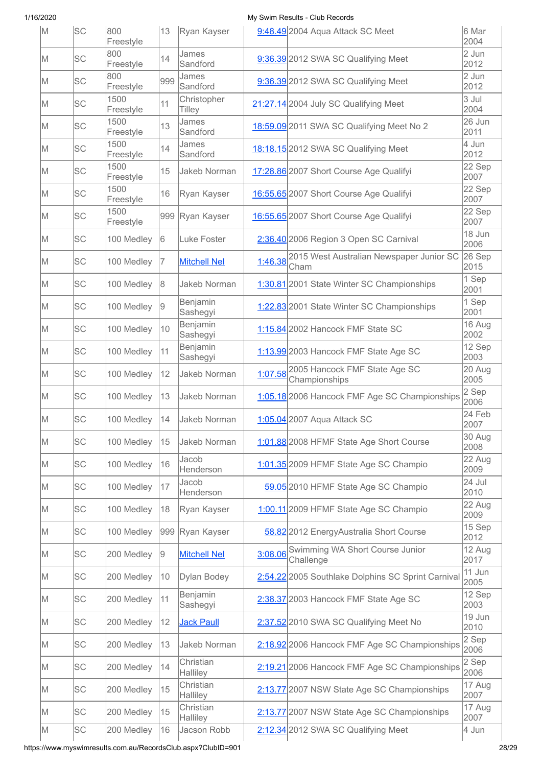| M   | lsc       | 800<br>Freestyle  | 13  | Ryan Kayser           |         | 9:48.49 2004 Aqua Attack SC Meet                         | 6 Mar<br>2004  |
|-----|-----------|-------------------|-----|-----------------------|---------|----------------------------------------------------------|----------------|
| IM. | <b>SC</b> | 800<br>Freestyle  | 14  | James<br>Sandford     |         | 9:36.39 2012 SWA SC Qualifying Meet                      | 2 Jun<br>2012  |
| M   | <b>SC</b> | 800<br>Freestyle  | 999 | James<br>Sandford     |         | 9:36.39 2012 SWA SC Qualifying Meet                      | 2 Jun<br>2012  |
| M   | lsc       | 1500<br>Freestyle | 11  | Christopher<br>Tilley |         | 21:27.14 2004 July SC Qualifying Meet                    | 3 Jul<br>2004  |
| M   | lsc       | 1500<br>Freestyle | 13  | James<br>Sandford     |         | 18:59.09 2011 SWA SC Qualifying Meet No 2                | 26 Jun<br>2011 |
| M   | lsc       | 1500<br>Freestyle | 14  | James<br>Sandford     |         | 18:18.15 2012 SWA SC Qualifying Meet                     | 4 Jun<br>2012  |
| M   | <b>SC</b> | 1500<br>Freestyle | 15  | Jakeb Norman          |         | 17:28.86 2007 Short Course Age Qualifyi                  | 22 Sep<br>2007 |
| M   | <b>SC</b> | 1500<br>Freestyle | 16  | Ryan Kayser           |         | 16:55.65 2007 Short Course Age Qualifyi                  | 22 Sep<br>2007 |
| lΜ  | <b>SC</b> | 1500<br>Freestyle |     | 999 Ryan Kayser       |         | 16:55.65 2007 Short Course Age Qualifyi                  | 22 Sep<br>2007 |
| M   | lsc       | 100 Medley        | 6   | Luke Foster           |         | 2:36.40 2006 Region 3 Open SC Carnival                   | 18 Jun<br>2006 |
| M   | lsc       | 100 Medley        | 17  | <b>Mitchell Nel</b>   |         | 1:46.38 2015 West Australian Newspaper Junior SC<br>Cham | 26 Sep<br>2015 |
| M   | lsc       | 100 Medley        | 8   | <b>Jakeb Norman</b>   |         | 1:30.81 2001 State Winter SC Championships               | 1 Sep<br>2001  |
| M   | lsc       | 100 Medley        | 9   | Benjamin<br>Sashegyi  |         | 1:22.83 2001 State Winter SC Championships               | 1 Sep<br>2001  |
| M   | <b>SC</b> | 100 Medley        | 10  | Benjamin<br>Sashegyi  |         | 1:15.84 2002 Hancock FMF State SC                        | 16 Aug<br>2002 |
| M   | <b>SC</b> | 100 Medley        | 11  | Benjamin<br>Sashegyi  |         | 1:13.99 2003 Hancock FMF State Age SC                    | 12 Sep<br>2003 |
| M   | <b>SC</b> | 100 Medley        | 12  | Jakeb Norman          | 1:07.58 | 2005 Hancock FMF State Age SC<br>Championships           | 20 Aug<br>2005 |
| IM. | <b>SC</b> | 100 Medley        | 13  | Jakeb Norman          |         | 1:05.18 2006 Hancock FMF Age SC Championships            | 2 Sep<br>2006  |
| M   | <b>SC</b> | 100 Medley        | 14  | Jakeb Norman          |         | 1:05.04 2007 Aqua Attack SC                              | 24 Feb<br>2007 |
| M   | <b>SC</b> | 100 Medley        | 15  | Jakeb Norman          |         | 1:01.88 2008 HFMF State Age Short Course                 | 30 Aug<br>2008 |
| M   | lsc       | 100 Medley        | 16  | Jacob<br>Henderson    |         | 1:01.35 2009 HFMF State Age SC Champio                   | 22 Aug<br>2009 |
| M   | <b>SC</b> | 100 Medley        | 17  | Jacob<br>Henderson    |         | 59.05 2010 HFMF State Age SC Champio                     | 24 Jul<br>2010 |
| M   | lsc       | 100 Medley        | 18  | Ryan Kayser           |         | 1:00.11 2009 HFMF State Age SC Champio                   | 22 Aug<br>2009 |
| M   | <b>SC</b> | 100 Medley        | 999 | Ryan Kayser           |         | 58.82 2012 Energy Australia Short Course                 | 15 Sep<br>2012 |
| M   | <b>SC</b> | 200 Medley        | 9   | <b>Mitchell Nel</b>   | 3:08.06 | Swimming WA Short Course Junior<br>Challenge             | 12 Aug<br>2017 |
| M   | <b>SC</b> | 200 Medley        | 10  | Dylan Bodey           |         | 2:54.22 2005 Southlake Dolphins SC Sprint Carnival       | 11 Jun<br>2005 |
| M   | lsc       | 200 Medley        | 11  | Benjamin<br>Sashegyi  |         | 2:38.37 2003 Hancock FMF State Age SC                    | 12 Sep<br>2003 |
| M   | <b>SC</b> | 200 Medley        | 12  | <b>Jack Paull</b>     |         | 2:37.52 2010 SWA SC Qualifying Meet No                   | 19 Jun<br>2010 |
| M   | lsc       | 200 Medley        | 13  | Jakeb Norman          |         | 2:18.92 2006 Hancock FMF Age SC Championships            | 2 Sep<br>2006  |
| M   | SC        | 200 Medley        | 14  | Christian<br>Halliley |         | 2:19.21 2006 Hancock FMF Age SC Championships            | 2 Sep<br>2006  |
| M   | SC        | 200 Medley        | 15  | Christian<br>Halliley |         | 2:13.77 2007 NSW State Age SC Championships              | 17 Aug<br>2007 |
| M   | lsc       | 200 Medley        | 15  | Christian<br>Halliley |         | 2:13.77 2007 NSW State Age SC Championships              | 17 Aug<br>2007 |
| M   | SC        | 200 Medley        | 16  | Jacson Robb           |         | 2:12.34 2012 SWA SC Qualifying Meet                      | 4 Jun          |

https://www.myswimresults.com.au/RecordsClub.aspx?ClubID=901 28/29